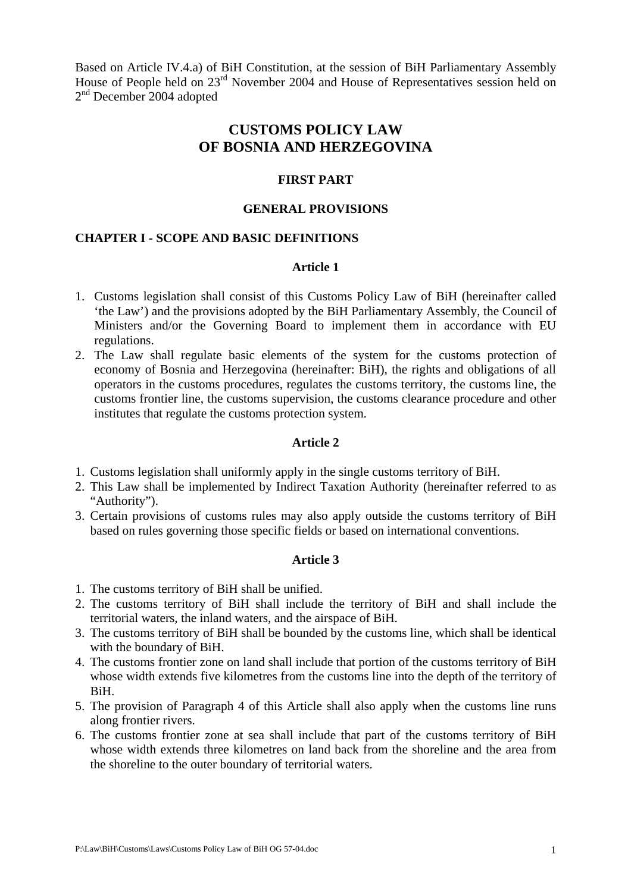Based on Article IV.4.a) of BiH Constitution, at the session of BiH Parliamentary Assembly House of People held on 23<sup>rd</sup> November 2004 and House of Representatives session held on 2<sup>nd</sup> December 2004 adopted

# **CUSTOMS POLICY LAW OF BOSNIA AND HERZEGOVINA**

## **FIRST PART**

#### **GENERAL PROVISIONS**

# **CHAPTER I - SCOPE AND BASIC DEFINITIONS**

## **Article 1**

- 1. Customs legislation shall consist of this Customs Policy Law of BiH (hereinafter called 'the Law') and the provisions adopted by the BiH Parliamentary Assembly, the Council of Ministers and/or the Governing Board to implement them in accordance with EU regulations.
- 2. The Law shall regulate basic elements of the system for the customs protection of economy of Bosnia and Herzegovina (hereinafter: BiH), the rights and obligations of all operators in the customs procedures, regulates the customs territory, the customs line, the customs frontier line, the customs supervision, the customs clearance procedure and other institutes that regulate the customs protection system.

## **Article 2**

- 1. Customs legislation shall uniformly apply in the single customs territory of BiH.
- 2. This Law shall be implemented by Indirect Taxation Authority (hereinafter referred to as "Authority").
- 3. Certain provisions of customs rules may also apply outside the customs territory of BiH based on rules governing those specific fields or based on international conventions.

- 1. The customs territory of BiH shall be unified.
- 2. The customs territory of BiH shall include the territory of BiH and shall include the territorial waters, the inland waters, and the airspace of BiH.
- 3. The customs territory of BiH shall be bounded by the customs line, which shall be identical with the boundary of BiH.
- 4. The customs frontier zone on land shall include that portion of the customs territory of BiH whose width extends five kilometres from the customs line into the depth of the territory of BiH.
- 5. The provision of Paragraph 4 of this Article shall also apply when the customs line runs along frontier rivers.
- 6. The customs frontier zone at sea shall include that part of the customs territory of BiH whose width extends three kilometres on land back from the shoreline and the area from the shoreline to the outer boundary of territorial waters.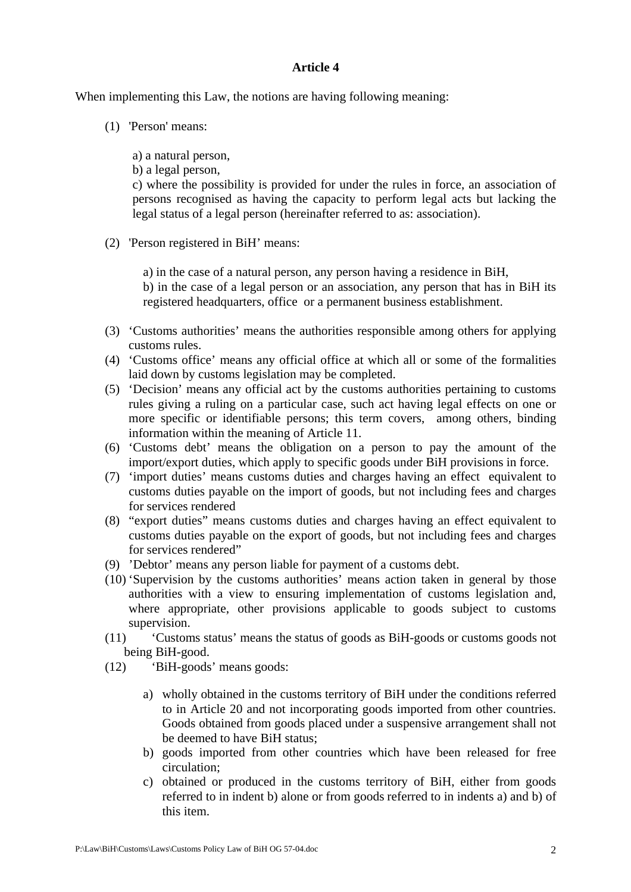When implementing this Law, the notions are having following meaning:

(1) 'Person' means:

a) a natural person,

b) a legal person,

c) where the possibility is provided for under the rules in force, an association of persons recognised as having the capacity to perform legal acts but lacking the legal status of a legal person (hereinafter referred to as: association).

(2) 'Person registered in BiH' means:

a) in the case of a natural person, any person having a residence in BiH, b) in the case of a legal person or an association, any person that has in BiH its registered headquarters, office or a permanent business establishment.

- (3) 'Customs authorities' means the authorities responsible among others for applying customs rules.
- (4) 'Customs office' means any official office at which all or some of the formalities laid down by customs legislation may be completed.
- (5) 'Decision' means any official act by the customs authorities pertaining to customs rules giving a ruling on a particular case, such act having legal effects on one or more specific or identifiable persons; this term covers, among others, binding information within the meaning of Article 11.
- (6) 'Customs debt' means the obligation on a person to pay the amount of the import/export duties, which apply to specific goods under BiH provisions in force.
- (7) 'import duties' means customs duties and charges having an effect equivalent to customs duties payable on the import of goods, but not including fees and charges for services rendered
- (8) "export duties" means customs duties and charges having an effect equivalent to customs duties payable on the export of goods, but not including fees and charges for services rendered"
- (9) 'Debtor' means any person liable for payment of a customs debt.
- (10) 'Supervision by the customs authorities' means action taken in general by those authorities with a view to ensuring implementation of customs legislation and, where appropriate, other provisions applicable to goods subject to customs supervision.
- (11) 'Customs status' means the status of goods as BiH-goods or customs goods not being BiH-good.
- (12) 'BiH-goods' means goods:
	- a) wholly obtained in the customs territory of BiH under the conditions referred to in Article 20 and not incorporating goods imported from other countries. Goods obtained from goods placed under a suspensive arrangement shall not be deemed to have BiH status;
	- b) goods imported from other countries which have been released for free circulation;
	- c) obtained or produced in the customs territory of BiH, either from goods referred to in indent b) alone or from goods referred to in indents a) and b) of this item.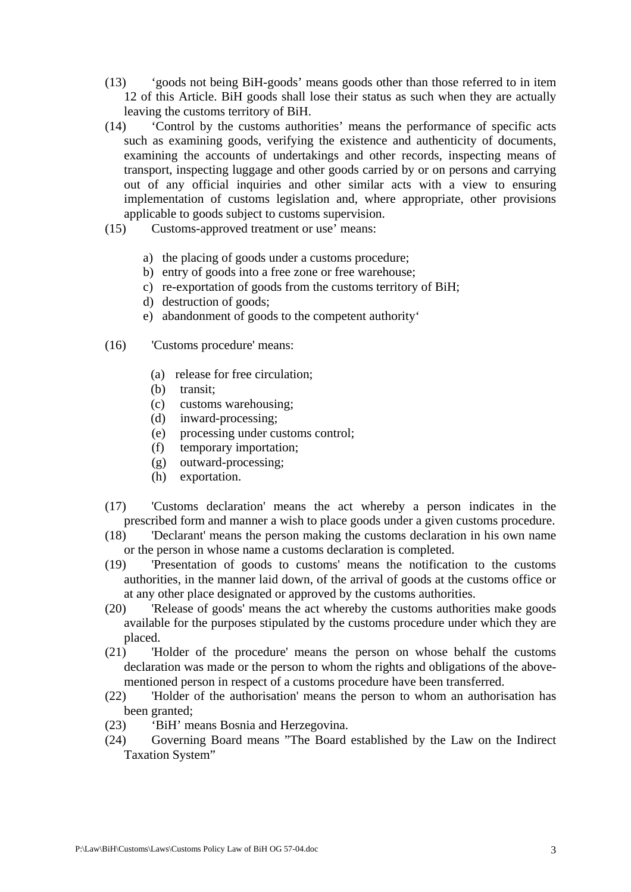- (13) 'goods not being BiH-goods' means goods other than those referred to in item 12 of this Article. BiH goods shall lose their status as such when they are actually leaving the customs territory of BiH.
- (14) 'Control by the customs authorities' means the performance of specific acts such as examining goods, verifying the existence and authenticity of documents, examining the accounts of undertakings and other records, inspecting means of transport, inspecting luggage and other goods carried by or on persons and carrying out of any official inquiries and other similar acts with a view to ensuring implementation of customs legislation and, where appropriate, other provisions applicable to goods subject to customs supervision.
- (15) Customs-approved treatment or use' means:
	- a) the placing of goods under a customs procedure;
	- b) entry of goods into a free zone or free warehouse;
	- c) re-exportation of goods from the customs territory of BiH;
	- d) destruction of goods;
	- e) abandonment of goods to the competent authority'
- (16) 'Customs procedure' means:
	- (a) release for free circulation;
	- (b) transit:
	- (c) customs warehousing;
	- (d) inward-processing;
	- (e) processing under customs control;
	- (f) temporary importation;
	- (g) outward-processing;
	- (h) exportation.
- (17) 'Customs declaration' means the act whereby a person indicates in the prescribed form and manner a wish to place goods under a given customs procedure.
- (18) 'Declarant' means the person making the customs declaration in his own name or the person in whose name a customs declaration is completed.
- (19) 'Presentation of goods to customs' means the notification to the customs authorities, in the manner laid down, of the arrival of goods at the customs office or at any other place designated or approved by the customs authorities.
- (20) 'Release of goods' means the act whereby the customs authorities make goods available for the purposes stipulated by the customs procedure under which they are placed.
- (21) 'Holder of the procedure' means the person on whose behalf the customs declaration was made or the person to whom the rights and obligations of the abovementioned person in respect of a customs procedure have been transferred.
- (22) 'Holder of the authorisation' means the person to whom an authorisation has been granted;
- (23) 'BiH' means Bosnia and Herzegovina.
- (24) Governing Board means "The Board established by the Law on the Indirect Taxation System"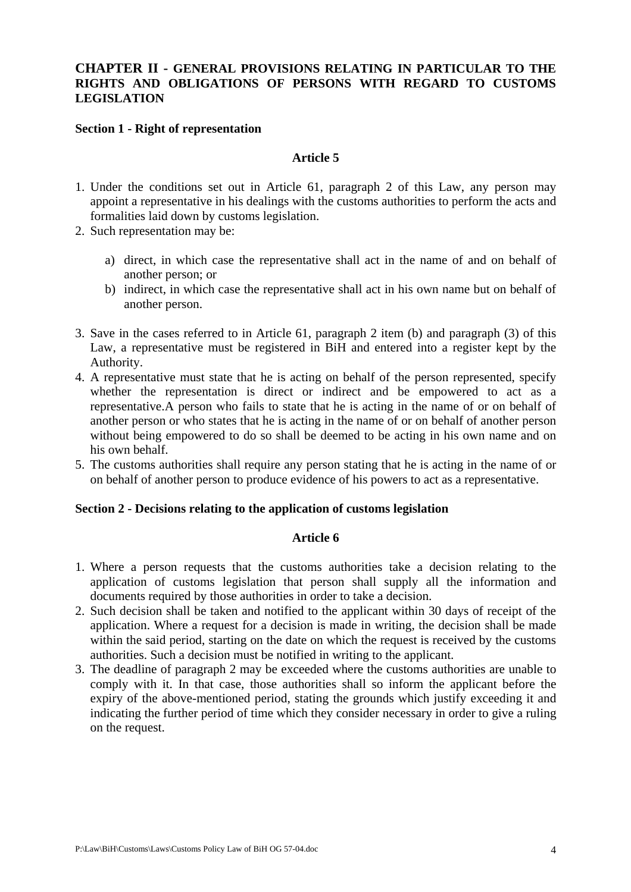# **CHAPTER II - GENERAL PROVISIONS RELATING IN PARTICULAR TO THE RIGHTS AND OBLIGATIONS OF PERSONS WITH REGARD TO CUSTOMS LEGISLATION**

#### **Section 1 - Right of representation**

#### **Article 5**

- 1. Under the conditions set out in Article 61, paragraph 2 of this Law, any person may appoint a representative in his dealings with the customs authorities to perform the acts and formalities laid down by customs legislation.
- 2. Such representation may be:
	- a) direct, in which case the representative shall act in the name of and on behalf of another person; or
	- b) indirect, in which case the representative shall act in his own name but on behalf of another person.
- 3. Save in the cases referred to in Article 61, paragraph 2 item (b) and paragraph (3) of this Law, a representative must be registered in BiH and entered into a register kept by the Authority.
- 4. A representative must state that he is acting on behalf of the person represented, specify whether the representation is direct or indirect and be empowered to act as a representative.A person who fails to state that he is acting in the name of or on behalf of another person or who states that he is acting in the name of or on behalf of another person without being empowered to do so shall be deemed to be acting in his own name and on his own behalf.
- 5. The customs authorities shall require any person stating that he is acting in the name of or on behalf of another person to produce evidence of his powers to act as a representative.

#### **Section 2 - Decisions relating to the application of customs legislation**

- 1. Where a person requests that the customs authorities take a decision relating to the application of customs legislation that person shall supply all the information and documents required by those authorities in order to take a decision.
- 2. Such decision shall be taken and notified to the applicant within 30 days of receipt of the application. Where a request for a decision is made in writing, the decision shall be made within the said period, starting on the date on which the request is received by the customs authorities. Such a decision must be notified in writing to the applicant.
- 3. The deadline of paragraph 2 may be exceeded where the customs authorities are unable to comply with it. In that case, those authorities shall so inform the applicant before the expiry of the above-mentioned period, stating the grounds which justify exceeding it and indicating the further period of time which they consider necessary in order to give a ruling on the request.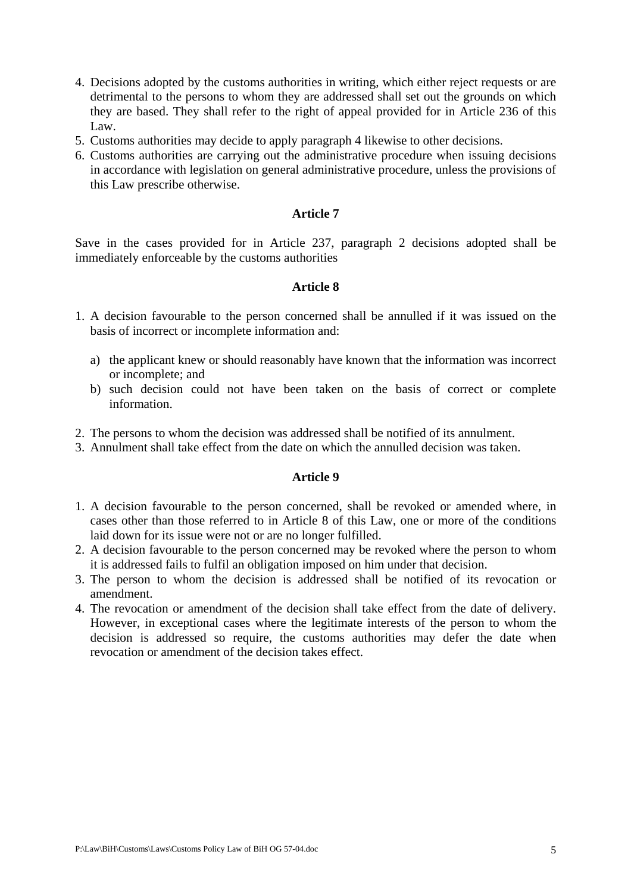- 4. Decisions adopted by the customs authorities in writing, which either reject requests or are detrimental to the persons to whom they are addressed shall set out the grounds on which they are based. They shall refer to the right of appeal provided for in Article 236 of this Law.
- 5. Customs authorities may decide to apply paragraph 4 likewise to other decisions.
- 6. Customs authorities are carrying out the administrative procedure when issuing decisions in accordance with legislation on general administrative procedure, unless the provisions of this Law prescribe otherwise.

Save in the cases provided for in Article 237, paragraph 2 decisions adopted shall be immediately enforceable by the customs authorities

# **Article 8**

- 1. A decision favourable to the person concerned shall be annulled if it was issued on the basis of incorrect or incomplete information and:
	- a) the applicant knew or should reasonably have known that the information was incorrect or incomplete; and
	- b) such decision could not have been taken on the basis of correct or complete information.
- 2. The persons to whom the decision was addressed shall be notified of its annulment.
- 3. Annulment shall take effect from the date on which the annulled decision was taken.

- 1. A decision favourable to the person concerned, shall be revoked or amended where, in cases other than those referred to in Article 8 of this Law, one or more of the conditions laid down for its issue were not or are no longer fulfilled.
- 2. A decision favourable to the person concerned may be revoked where the person to whom it is addressed fails to fulfil an obligation imposed on him under that decision.
- 3. The person to whom the decision is addressed shall be notified of its revocation or amendment.
- 4. The revocation or amendment of the decision shall take effect from the date of delivery. However, in exceptional cases where the legitimate interests of the person to whom the decision is addressed so require, the customs authorities may defer the date when revocation or amendment of the decision takes effect.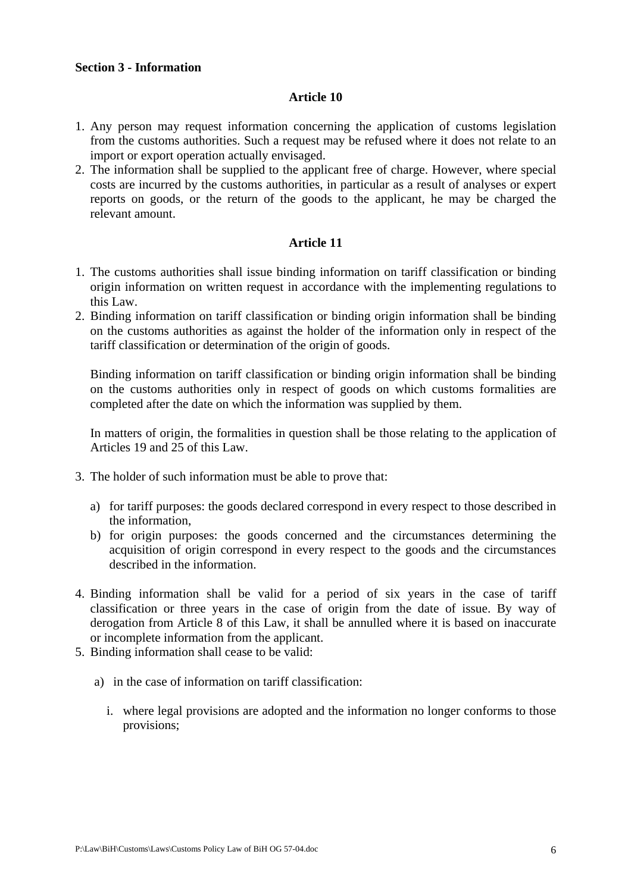#### **Section 3 - Information**

#### **Article 10**

- 1. Any person may request information concerning the application of customs legislation from the customs authorities. Such a request may be refused where it does not relate to an import or export operation actually envisaged.
- 2. The information shall be supplied to the applicant free of charge. However, where special costs are incurred by the customs authorities, in particular as a result of analyses or expert reports on goods, or the return of the goods to the applicant, he may be charged the relevant amount.

## **Article 11**

- 1. The customs authorities shall issue binding information on tariff classification or binding origin information on written request in accordance with the implementing regulations to this Law.
- 2. Binding information on tariff classification or binding origin information shall be binding on the customs authorities as against the holder of the information only in respect of the tariff classification or determination of the origin of goods.

Binding information on tariff classification or binding origin information shall be binding on the customs authorities only in respect of goods on which customs formalities are completed after the date on which the information was supplied by them.

In matters of origin, the formalities in question shall be those relating to the application of Articles 19 and 25 of this Law.

- 3. The holder of such information must be able to prove that:
	- a) for tariff purposes: the goods declared correspond in every respect to those described in the information,
	- b) for origin purposes: the goods concerned and the circumstances determining the acquisition of origin correspond in every respect to the goods and the circumstances described in the information.
- 4. Binding information shall be valid for a period of six years in the case of tariff classification or three years in the case of origin from the date of issue. By way of derogation from Article 8 of this Law, it shall be annulled where it is based on inaccurate or incomplete information from the applicant.
- 5. Binding information shall cease to be valid:
	- a) in the case of information on tariff classification:
		- i. where legal provisions are adopted and the information no longer conforms to those provisions;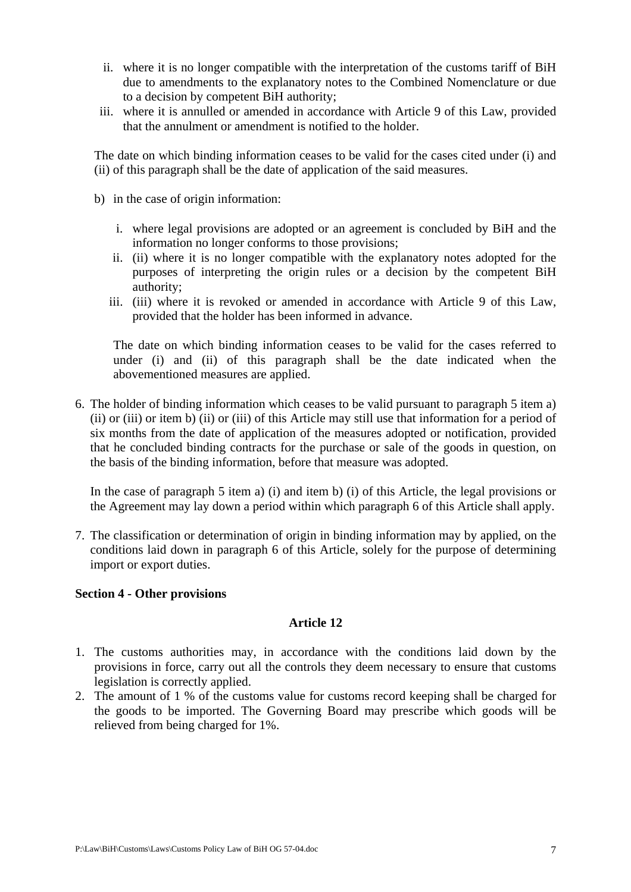- ii. where it is no longer compatible with the interpretation of the customs tariff of BiH due to amendments to the explanatory notes to the Combined Nomenclature or due to a decision by competent BiH authority;
- iii. where it is annulled or amended in accordance with Article 9 of this Law, provided that the annulment or amendment is notified to the holder.

The date on which binding information ceases to be valid for the cases cited under (i) and (ii) of this paragraph shall be the date of application of the said measures.

- b) in the case of origin information:
	- i. where legal provisions are adopted or an agreement is concluded by BiH and the information no longer conforms to those provisions;
	- ii. (ii) where it is no longer compatible with the explanatory notes adopted for the purposes of interpreting the origin rules or a decision by the competent BiH authority;
	- iii. (iii) where it is revoked or amended in accordance with Article 9 of this Law, provided that the holder has been informed in advance.

The date on which binding information ceases to be valid for the cases referred to under (i) and (ii) of this paragraph shall be the date indicated when the abovementioned measures are applied.

6. The holder of binding information which ceases to be valid pursuant to paragraph 5 item a) (ii) or (iii) or item b) (ii) or (iii) of this Article may still use that information for a period of six months from the date of application of the measures adopted or notification, provided that he concluded binding contracts for the purchase or sale of the goods in question, on the basis of the binding information, before that measure was adopted.

In the case of paragraph 5 item a) (i) and item b) (i) of this Article, the legal provisions or the Agreement may lay down a period within which paragraph 6 of this Article shall apply.

7. The classification or determination of origin in binding information may by applied, on the conditions laid down in paragraph 6 of this Article, solely for the purpose of determining import or export duties.

## **Section 4 - Other provisions**

- 1. The customs authorities may, in accordance with the conditions laid down by the provisions in force, carry out all the controls they deem necessary to ensure that customs legislation is correctly applied.
- 2. The amount of 1 % of the customs value for customs record keeping shall be charged for the goods to be imported. The Governing Board may prescribe which goods will be relieved from being charged for 1%.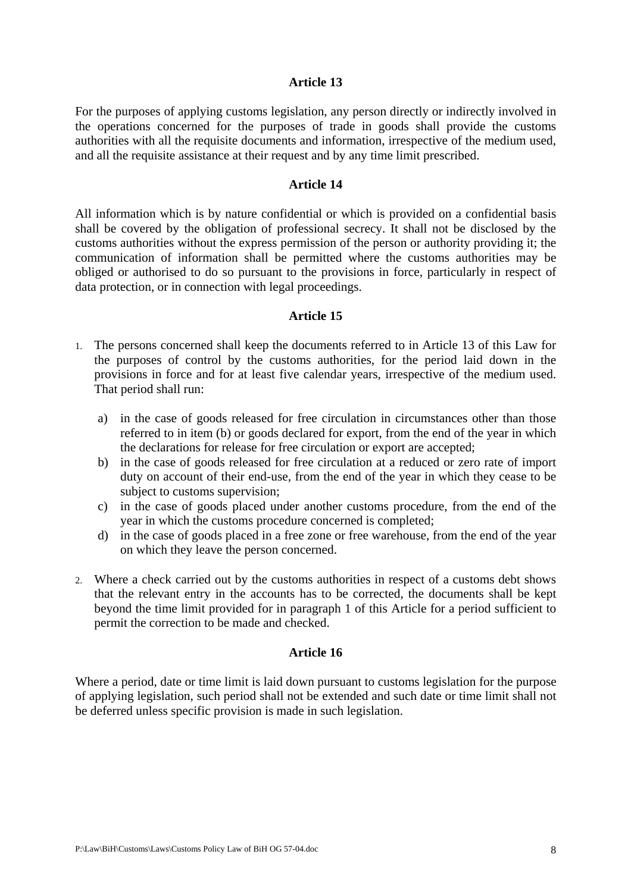For the purposes of applying customs legislation, any person directly or indirectly involved in the operations concerned for the purposes of trade in goods shall provide the customs authorities with all the requisite documents and information, irrespective of the medium used, and all the requisite assistance at their request and by any time limit prescribed.

#### **Article 14**

All information which is by nature confidential or which is provided on a confidential basis shall be covered by the obligation of professional secrecy. It shall not be disclosed by the customs authorities without the express permission of the person or authority providing it; the communication of information shall be permitted where the customs authorities may be obliged or authorised to do so pursuant to the provisions in force, particularly in respect of data protection, or in connection with legal proceedings.

#### **Article 15**

- 1. The persons concerned shall keep the documents referred to in Article 13 of this Law for the purposes of control by the customs authorities, for the period laid down in the provisions in force and for at least five calendar years, irrespective of the medium used. That period shall run:
	- a) in the case of goods released for free circulation in circumstances other than those referred to in item (b) or goods declared for export, from the end of the year in which the declarations for release for free circulation or export are accepted;
	- b) in the case of goods released for free circulation at a reduced or zero rate of import duty on account of their end-use, from the end of the year in which they cease to be subject to customs supervision;
	- c) in the case of goods placed under another customs procedure, from the end of the year in which the customs procedure concerned is completed;
	- d) in the case of goods placed in a free zone or free warehouse, from the end of the year on which they leave the person concerned.
- 2. Where a check carried out by the customs authorities in respect of a customs debt shows that the relevant entry in the accounts has to be corrected, the documents shall be kept beyond the time limit provided for in paragraph 1 of this Article for a period sufficient to permit the correction to be made and checked.

## **Article 16**

Where a period, date or time limit is laid down pursuant to customs legislation for the purpose of applying legislation, such period shall not be extended and such date or time limit shall not be deferred unless specific provision is made in such legislation.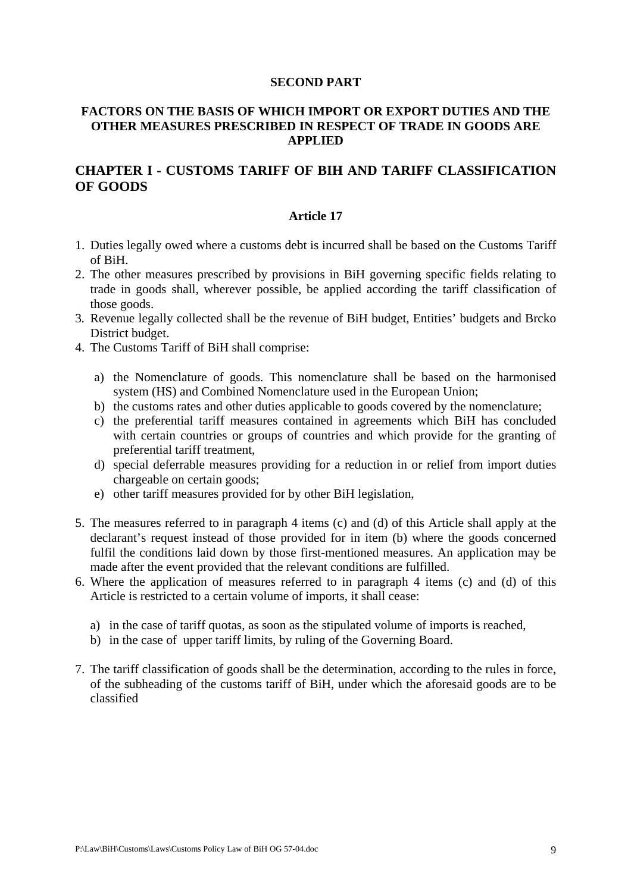#### **SECOND PART**

# **FACTORS ON THE BASIS OF WHICH IMPORT OR EXPORT DUTIES AND THE OTHER MEASURES PRESCRIBED IN RESPECT OF TRADE IN GOODS ARE APPLIED**

# **CHAPTER I - CUSTOMS TARIFF OF BIH AND TARIFF CLASSIFICATION OF GOODS**

- 1. Duties legally owed where a customs debt is incurred shall be based on the Customs Tariff of BiH.
- 2. The other measures prescribed by provisions in BiH governing specific fields relating to trade in goods shall, wherever possible, be applied according the tariff classification of those goods.
- 3. Revenue legally collected shall be the revenue of BiH budget, Entities' budgets and Brcko District budget.
- 4. The Customs Tariff of BiH shall comprise:
	- a) the Nomenclature of goods. This nomenclature shall be based on the harmonised system (HS) and Combined Nomenclature used in the European Union;
	- b) the customs rates and other duties applicable to goods covered by the nomenclature;
	- c) the preferential tariff measures contained in agreements which BiH has concluded with certain countries or groups of countries and which provide for the granting of preferential tariff treatment,
	- d) special deferrable measures providing for a reduction in or relief from import duties chargeable on certain goods;
	- e) other tariff measures provided for by other BiH legislation,
- 5. The measures referred to in paragraph 4 items (c) and (d) of this Article shall apply at the declarant's request instead of those provided for in item (b) where the goods concerned fulfil the conditions laid down by those first-mentioned measures. An application may be made after the event provided that the relevant conditions are fulfilled.
- 6. Where the application of measures referred to in paragraph 4 items (c) and (d) of this Article is restricted to a certain volume of imports, it shall cease:
	- a) in the case of tariff quotas, as soon as the stipulated volume of imports is reached,
	- b) in the case of upper tariff limits, by ruling of the Governing Board.
- 7. The tariff classification of goods shall be the determination, according to the rules in force, of the subheading of the customs tariff of BiH, under which the aforesaid goods are to be classified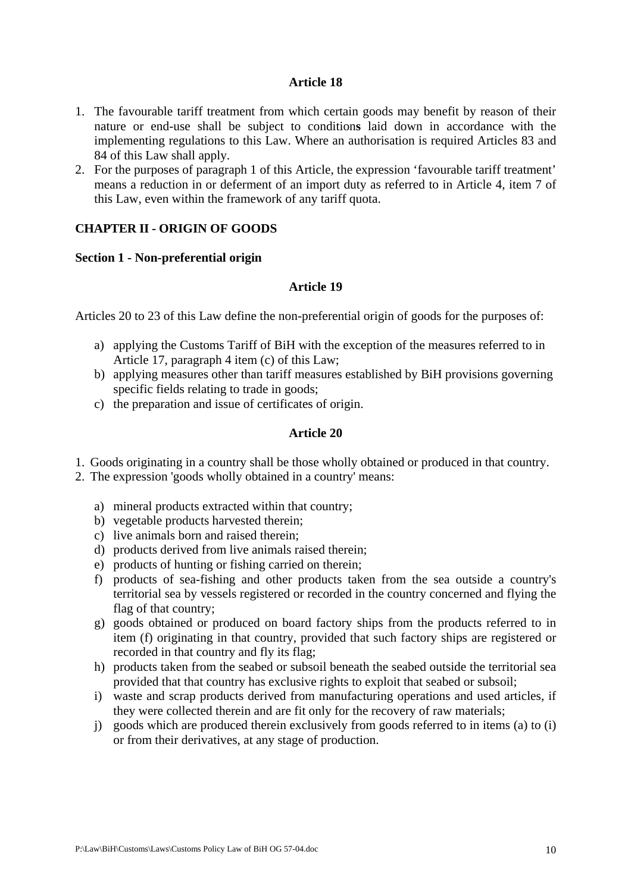- 1. The favourable tariff treatment from which certain goods may benefit by reason of their nature or end-use shall be subject to condition**s** laid down in accordance with the implementing regulations to this Law. Where an authorisation is required Articles 83 and 84 of this Law shall apply.
- 2. For the purposes of paragraph 1 of this Article, the expression 'favourable tariff treatment' means a reduction in or deferment of an import duty as referred to in Article 4, item 7 of this Law, even within the framework of any tariff quota.

# **CHAPTER II - ORIGIN OF GOODS**

## **Section 1 - Non-preferential origin**

# **Article 19**

Articles 20 to 23 of this Law define the non-preferential origin of goods for the purposes of:

- a) applying the Customs Tariff of BiH with the exception of the measures referred to in Article 17, paragraph 4 item (c) of this Law;
- b) applying measures other than tariff measures established by BiH provisions governing specific fields relating to trade in goods;
- c) the preparation and issue of certificates of origin.

- 1. Goods originating in a country shall be those wholly obtained or produced in that country.
- 2. The expression 'goods wholly obtained in a country' means:
	- a) mineral products extracted within that country;
	- b) vegetable products harvested therein;
	- c) live animals born and raised therein;
	- d) products derived from live animals raised therein;
	- e) products of hunting or fishing carried on therein;
	- f) products of sea-fishing and other products taken from the sea outside a country's territorial sea by vessels registered or recorded in the country concerned and flying the flag of that country;
	- g) goods obtained or produced on board factory ships from the products referred to in item (f) originating in that country, provided that such factory ships are registered or recorded in that country and fly its flag;
	- h) products taken from the seabed or subsoil beneath the seabed outside the territorial sea provided that that country has exclusive rights to exploit that seabed or subsoil;
	- i) waste and scrap products derived from manufacturing operations and used articles, if they were collected therein and are fit only for the recovery of raw materials;
	- j) goods which are produced therein exclusively from goods referred to in items (a) to (i) or from their derivatives, at any stage of production.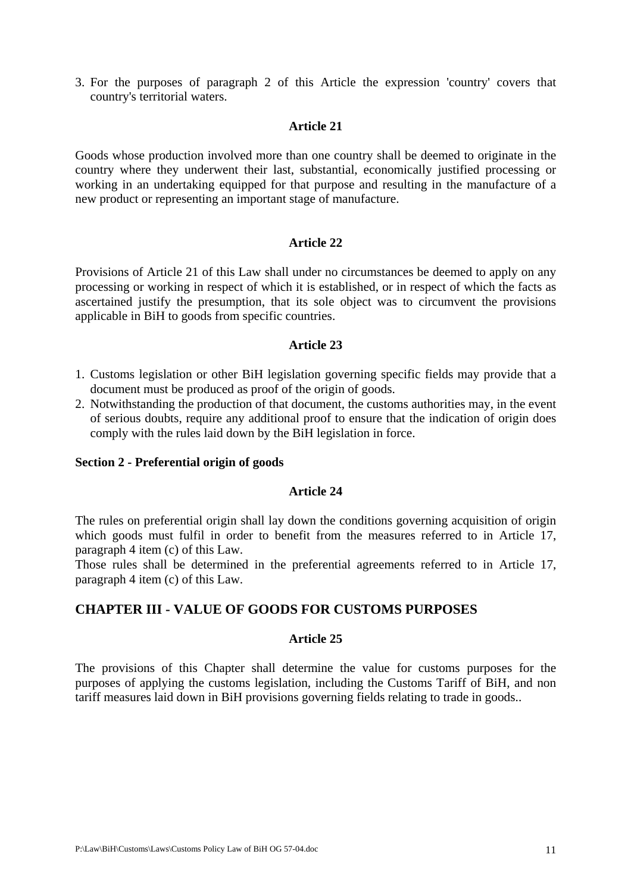3. For the purposes of paragraph 2 of this Article the expression 'country' covers that country's territorial waters.

#### **Article 21**

Goods whose production involved more than one country shall be deemed to originate in the country where they underwent their last, substantial, economically justified processing or working in an undertaking equipped for that purpose and resulting in the manufacture of a new product or representing an important stage of manufacture.

#### **Article 22**

Provisions of Article 21 of this Law shall under no circumstances be deemed to apply on any processing or working in respect of which it is established, or in respect of which the facts as ascertained justify the presumption, that its sole object was to circumvent the provisions applicable in BiH to goods from specific countries.

#### **Article 23**

- 1. Customs legislation or other BiH legislation governing specific fields may provide that a document must be produced as proof of the origin of goods.
- 2. Notwithstanding the production of that document, the customs authorities may, in the event of serious doubts, require any additional proof to ensure that the indication of origin does comply with the rules laid down by the BiH legislation in force.

#### **Section 2 - Preferential origin of goods**

#### **Article 24**

The rules on preferential origin shall lay down the conditions governing acquisition of origin which goods must fulfil in order to benefit from the measures referred to in Article 17, paragraph 4 item (c) of this Law.

Those rules shall be determined in the preferential agreements referred to in Article 17, paragraph 4 item (c) of this Law.

# **CHAPTER III - VALUE OF GOODS FOR CUSTOMS PURPOSES**

#### **Article 25**

The provisions of this Chapter shall determine the value for customs purposes for the purposes of applying the customs legislation, including the Customs Tariff of BiH, and non tariff measures laid down in BiH provisions governing fields relating to trade in goods..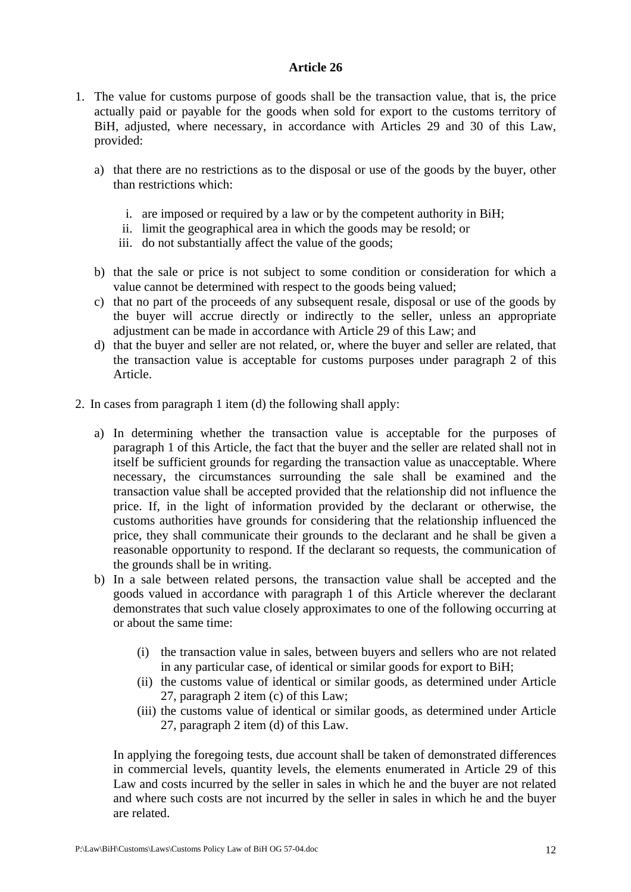- 1. The value for customs purpose of goods shall be the transaction value, that is, the price actually paid or payable for the goods when sold for export to the customs territory of BiH, adjusted, where necessary, in accordance with Articles 29 and 30 of this Law, provided:
	- a) that there are no restrictions as to the disposal or use of the goods by the buyer, other than restrictions which:
		- i. are imposed or required by a law or by the competent authority in BiH;
		- ii. limit the geographical area in which the goods may be resold; or
		- iii. do not substantially affect the value of the goods;
	- b) that the sale or price is not subject to some condition or consideration for which a value cannot be determined with respect to the goods being valued;
	- c) that no part of the proceeds of any subsequent resale, disposal or use of the goods by the buyer will accrue directly or indirectly to the seller, unless an appropriate adjustment can be made in accordance with Article 29 of this Law; and
	- d) that the buyer and seller are not related, or, where the buyer and seller are related, that the transaction value is acceptable for customs purposes under paragraph 2 of this Article.
- 2. In cases from paragraph 1 item (d) the following shall apply:
	- a) In determining whether the transaction value is acceptable for the purposes of paragraph 1 of this Article, the fact that the buyer and the seller are related shall not in itself be sufficient grounds for regarding the transaction value as unacceptable. Where necessary, the circumstances surrounding the sale shall be examined and the transaction value shall be accepted provided that the relationship did not influence the price. If, in the light of information provided by the declarant or otherwise, the customs authorities have grounds for considering that the relationship influenced the price, they shall communicate their grounds to the declarant and he shall be given a reasonable opportunity to respond. If the declarant so requests, the communication of the grounds shall be in writing.
	- b) In a sale between related persons, the transaction value shall be accepted and the goods valued in accordance with paragraph 1 of this Article wherever the declarant demonstrates that such value closely approximates to one of the following occurring at or about the same time:
		- (i) the transaction value in sales, between buyers and sellers who are not related in any particular case, of identical or similar goods for export to BiH;
		- (ii) the customs value of identical or similar goods, as determined under Article 27, paragraph 2 item (c) of this Law;
		- (iii) the customs value of identical or similar goods, as determined under Article 27, paragraph 2 item (d) of this Law.

In applying the foregoing tests, due account shall be taken of demonstrated differences in commercial levels, quantity levels, the elements enumerated in Article 29 of this Law and costs incurred by the seller in sales in which he and the buyer are not related and where such costs are not incurred by the seller in sales in which he and the buyer are related.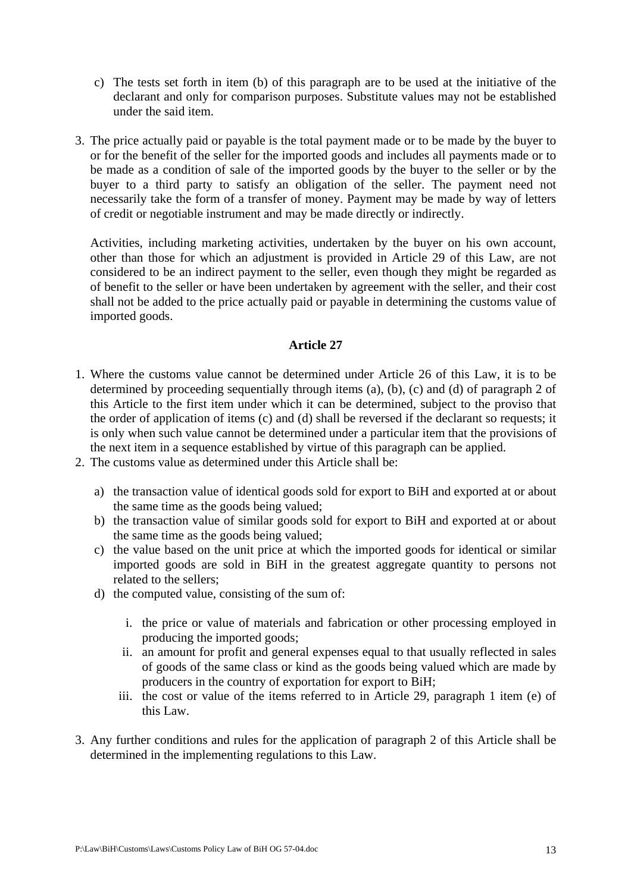- c) The tests set forth in item (b) of this paragraph are to be used at the initiative of the declarant and only for comparison purposes. Substitute values may not be established under the said item.
- 3. The price actually paid or payable is the total payment made or to be made by the buyer to or for the benefit of the seller for the imported goods and includes all payments made or to be made as a condition of sale of the imported goods by the buyer to the seller or by the buyer to a third party to satisfy an obligation of the seller. The payment need not necessarily take the form of a transfer of money. Payment may be made by way of letters of credit or negotiable instrument and may be made directly or indirectly.

Activities, including marketing activities, undertaken by the buyer on his own account, other than those for which an adjustment is provided in Article 29 of this Law, are not considered to be an indirect payment to the seller, even though they might be regarded as of benefit to the seller or have been undertaken by agreement with the seller, and their cost shall not be added to the price actually paid or payable in determining the customs value of imported goods.

- 1. Where the customs value cannot be determined under Article 26 of this Law, it is to be determined by proceeding sequentially through items (a), (b), (c) and (d) of paragraph 2 of this Article to the first item under which it can be determined, subject to the proviso that the order of application of items (c) and (d) shall be reversed if the declarant so requests; it is only when such value cannot be determined under a particular item that the provisions of the next item in a sequence established by virtue of this paragraph can be applied.
- 2. The customs value as determined under this Article shall be:
	- a) the transaction value of identical goods sold for export to BiH and exported at or about the same time as the goods being valued;
	- b) the transaction value of similar goods sold for export to BiH and exported at or about the same time as the goods being valued;
	- c) the value based on the unit price at which the imported goods for identical or similar imported goods are sold in BiH in the greatest aggregate quantity to persons not related to the sellers;
	- d) the computed value, consisting of the sum of:
		- i. the price or value of materials and fabrication or other processing employed in producing the imported goods;
		- ii. an amount for profit and general expenses equal to that usually reflected in sales of goods of the same class or kind as the goods being valued which are made by producers in the country of exportation for export to BiH;
		- iii. the cost or value of the items referred to in Article 29, paragraph 1 item (e) of this Law.
- 3. Any further conditions and rules for the application of paragraph 2 of this Article shall be determined in the implementing regulations to this Law.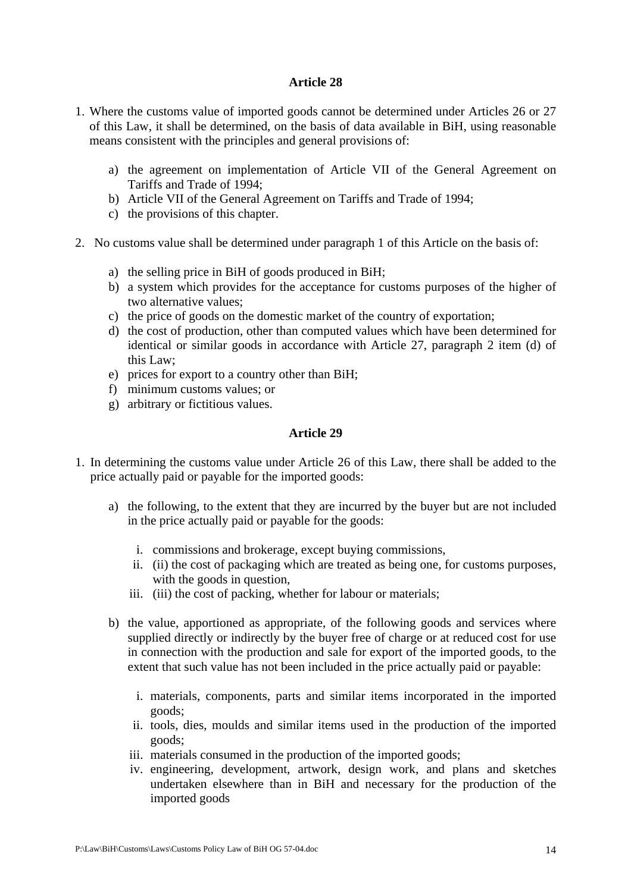- 1. Where the customs value of imported goods cannot be determined under Articles 26 or 27 of this Law, it shall be determined, on the basis of data available in BiH, using reasonable means consistent with the principles and general provisions of:
	- a) the agreement on implementation of Article VII of the General Agreement on Tariffs and Trade of 1994;
	- b) Article VII of the General Agreement on Tariffs and Trade of 1994;
	- c) the provisions of this chapter.
- 2. No customs value shall be determined under paragraph 1 of this Article on the basis of:
	- a) the selling price in BiH of goods produced in BiH;
	- b) a system which provides for the acceptance for customs purposes of the higher of two alternative values;
	- c) the price of goods on the domestic market of the country of exportation;
	- d) the cost of production, other than computed values which have been determined for identical or similar goods in accordance with Article 27, paragraph 2 item (d) of this Law;
	- e) prices for export to a country other than BiH;
	- f) minimum customs values; or
	- g) arbitrary or fictitious values.

- 1. In determining the customs value under Article 26 of this Law, there shall be added to the price actually paid or payable for the imported goods:
	- a) the following, to the extent that they are incurred by the buyer but are not included in the price actually paid or payable for the goods:
		- i. commissions and brokerage, except buying commissions,
		- ii. (ii) the cost of packaging which are treated as being one, for customs purposes, with the goods in question,
		- iii. (iii) the cost of packing, whether for labour or materials;
	- b) the value, apportioned as appropriate, of the following goods and services where supplied directly or indirectly by the buyer free of charge or at reduced cost for use in connection with the production and sale for export of the imported goods, to the extent that such value has not been included in the price actually paid or payable:
		- i. materials, components, parts and similar items incorporated in the imported goods;
		- ii. tools, dies, moulds and similar items used in the production of the imported goods;
		- iii. materials consumed in the production of the imported goods;
		- iv. engineering, development, artwork, design work, and plans and sketches undertaken elsewhere than in BiH and necessary for the production of the imported goods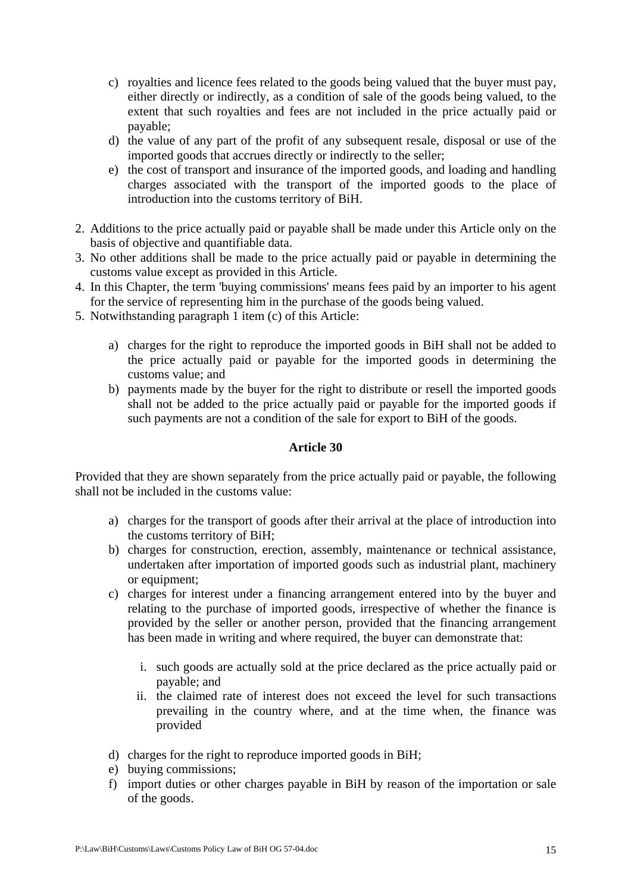- c) royalties and licence fees related to the goods being valued that the buyer must pay, either directly or indirectly, as a condition of sale of the goods being valued, to the extent that such royalties and fees are not included in the price actually paid or payable;
- d) the value of any part of the profit of any subsequent resale, disposal or use of the imported goods that accrues directly or indirectly to the seller;
- e) the cost of transport and insurance of the imported goods, and loading and handling charges associated with the transport of the imported goods to the place of introduction into the customs territory of BiH.
- 2. Additions to the price actually paid or payable shall be made under this Article only on the basis of objective and quantifiable data.
- 3. No other additions shall be made to the price actually paid or payable in determining the customs value except as provided in this Article.
- 4. In this Chapter, the term 'buying commissions' means fees paid by an importer to his agent for the service of representing him in the purchase of the goods being valued.
- 5. Notwithstanding paragraph 1 item (c) of this Article:
	- a) charges for the right to reproduce the imported goods in BiH shall not be added to the price actually paid or payable for the imported goods in determining the customs value; and
	- b) payments made by the buyer for the right to distribute or resell the imported goods shall not be added to the price actually paid or payable for the imported goods if such payments are not a condition of the sale for export to BiH of the goods.

Provided that they are shown separately from the price actually paid or payable, the following shall not be included in the customs value:

- a) charges for the transport of goods after their arrival at the place of introduction into the customs territory of BiH;
- b) charges for construction, erection, assembly, maintenance or technical assistance, undertaken after importation of imported goods such as industrial plant, machinery or equipment;
- c) charges for interest under a financing arrangement entered into by the buyer and relating to the purchase of imported goods, irrespective of whether the finance is provided by the seller or another person, provided that the financing arrangement has been made in writing and where required, the buyer can demonstrate that:
	- i. such goods are actually sold at the price declared as the price actually paid or payable; and
	- ii. the claimed rate of interest does not exceed the level for such transactions prevailing in the country where, and at the time when, the finance was provided
- d) charges for the right to reproduce imported goods in BiH;
- e) buying commissions;
- f) import duties or other charges payable in BiH by reason of the importation or sale of the goods.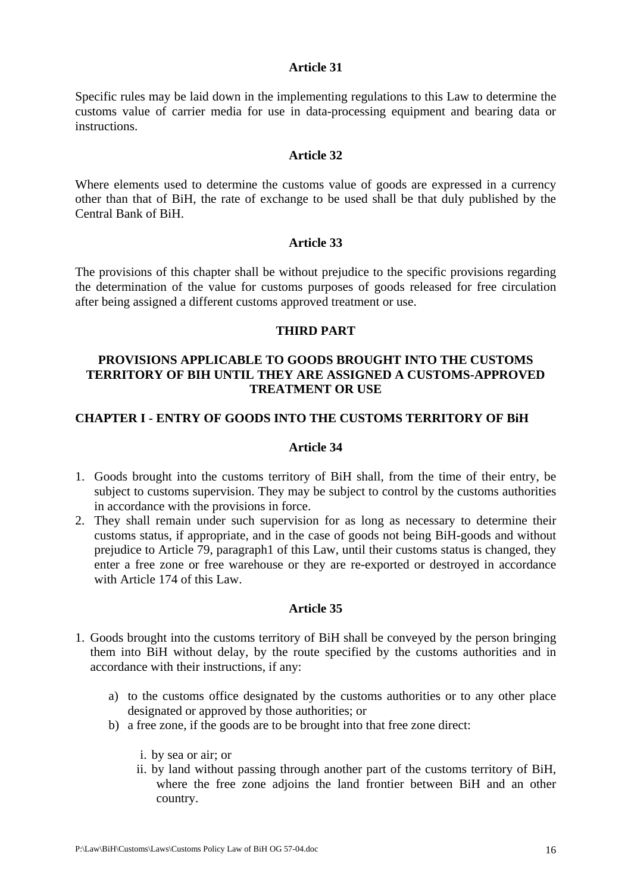Specific rules may be laid down in the implementing regulations to this Law to determine the customs value of carrier media for use in data-processing equipment and bearing data or instructions.

#### **Article 32**

Where elements used to determine the customs value of goods are expressed in a currency other than that of BiH, the rate of exchange to be used shall be that duly published by the Central Bank of BiH.

## **Article 33**

The provisions of this chapter shall be without prejudice to the specific provisions regarding the determination of the value for customs purposes of goods released for free circulation after being assigned a different customs approved treatment or use.

## **THIRD PART**

## **PROVISIONS APPLICABLE TO GOODS BROUGHT INTO THE CUSTOMS TERRITORY OF BIH UNTIL THEY ARE ASSIGNED A CUSTOMS-APPROVED TREATMENT OR USE**

# **CHAPTER I - ENTRY OF GOODS INTO THE CUSTOMS TERRITORY OF BiH**

## **Article 34**

- 1. Goods brought into the customs territory of BiH shall, from the time of their entry, be subject to customs supervision. They may be subject to control by the customs authorities in accordance with the provisions in force.
- 2. They shall remain under such supervision for as long as necessary to determine their customs status, if appropriate, and in the case of goods not being BiH-goods and without prejudice to Article 79, paragraph1 of this Law, until their customs status is changed, they enter a free zone or free warehouse or they are re-exported or destroyed in accordance with Article 174 of this Law.

- 1. Goods brought into the customs territory of BiH shall be conveyed by the person bringing them into BiH without delay, by the route specified by the customs authorities and in accordance with their instructions, if any:
	- a) to the customs office designated by the customs authorities or to any other place designated or approved by those authorities; or
	- b) a free zone, if the goods are to be brought into that free zone direct:
		- i. by sea or air; or
		- ii. by land without passing through another part of the customs territory of BiH, where the free zone adjoins the land frontier between BiH and an other country.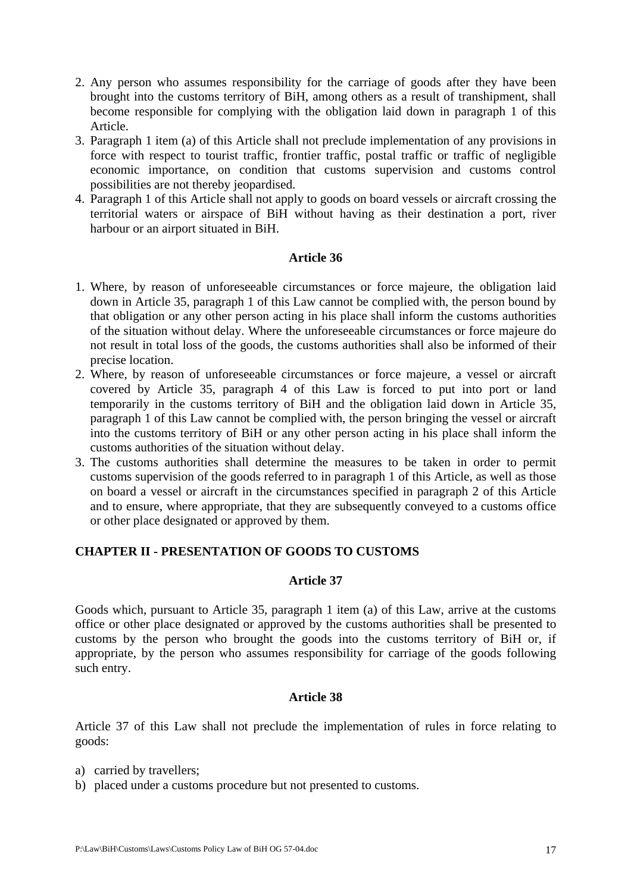- 2. Any person who assumes responsibility for the carriage of goods after they have been brought into the customs territory of BiH, among others as a result of transhipment, shall become responsible for complying with the obligation laid down in paragraph 1 of this Article.
- 3. Paragraph 1 item (a) of this Article shall not preclude implementation of any provisions in force with respect to tourist traffic, frontier traffic, postal traffic or traffic of negligible economic importance, on condition that customs supervision and customs control possibilities are not thereby jeopardised.
- 4. Paragraph 1 of this Article shall not apply to goods on board vessels or aircraft crossing the territorial waters or airspace of BiH without having as their destination a port, river harbour or an airport situated in BiH.

- 1. Where, by reason of unforeseeable circumstances or force majeure, the obligation laid down in Article 35, paragraph 1 of this Law cannot be complied with, the person bound by that obligation or any other person acting in his place shall inform the customs authorities of the situation without delay. Where the unforeseeable circumstances or force majeure do not result in total loss of the goods, the customs authorities shall also be informed of their precise location.
- 2. Where, by reason of unforeseeable circumstances or force majeure, a vessel or aircraft covered by Article 35, paragraph 4 of this Law is forced to put into port or land temporarily in the customs territory of BiH and the obligation laid down in Article 35, paragraph 1 of this Law cannot be complied with, the person bringing the vessel or aircraft into the customs territory of BiH or any other person acting in his place shall inform the customs authorities of the situation without delay.
- 3. The customs authorities shall determine the measures to be taken in order to permit customs supervision of the goods referred to in paragraph 1 of this Article, as well as those on board a vessel or aircraft in the circumstances specified in paragraph 2 of this Article and to ensure, where appropriate, that they are subsequently conveyed to a customs office or other place designated or approved by them.

# **CHAPTER II - PRESENTATION OF GOODS TO CUSTOMS**

## **Article 37**

Goods which, pursuant to Article 35, paragraph 1 item (a) of this Law, arrive at the customs office or other place designated or approved by the customs authorities shall be presented to customs by the person who brought the goods into the customs territory of BiH or, if appropriate, by the person who assumes responsibility for carriage of the goods following such entry.

## **Article 38**

Article 37 of this Law shall not preclude the implementation of rules in force relating to goods:

- a) carried by travellers;
- b) placed under a customs procedure but not presented to customs.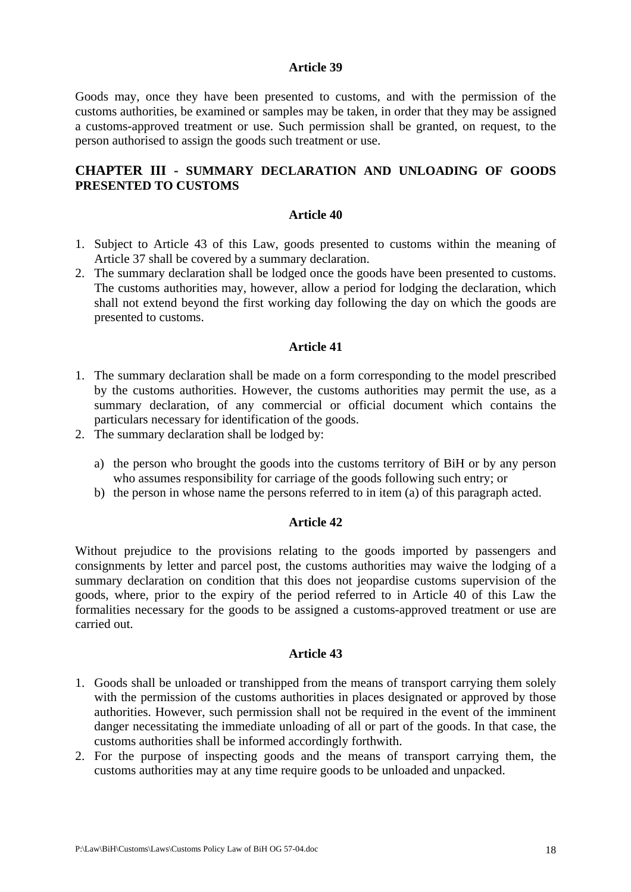Goods may, once they have been presented to customs, and with the permission of the customs authorities, be examined or samples may be taken, in order that they may be assigned a customs-approved treatment or use. Such permission shall be granted, on request, to the person authorised to assign the goods such treatment or use.

# **CHAPTER III - SUMMARY DECLARATION AND UNLOADING OF GOODS PRESENTED TO CUSTOMS**

#### **Article 40**

- 1. Subject to Article 43 of this Law, goods presented to customs within the meaning of Article 37 shall be covered by a summary declaration.
- 2. The summary declaration shall be lodged once the goods have been presented to customs. The customs authorities may, however, allow a period for lodging the declaration, which shall not extend beyond the first working day following the day on which the goods are presented to customs.

#### **Article 41**

- 1. The summary declaration shall be made on a form corresponding to the model prescribed by the customs authorities. However, the customs authorities may permit the use, as a summary declaration, of any commercial or official document which contains the particulars necessary for identification of the goods.
- 2. The summary declaration shall be lodged by:
	- a) the person who brought the goods into the customs territory of BiH or by any person who assumes responsibility for carriage of the goods following such entry; or
	- b) the person in whose name the persons referred to in item (a) of this paragraph acted.

#### **Article 42**

Without prejudice to the provisions relating to the goods imported by passengers and consignments by letter and parcel post, the customs authorities may waive the lodging of a summary declaration on condition that this does not jeopardise customs supervision of the goods, where, prior to the expiry of the period referred to in Article 40 of this Law the formalities necessary for the goods to be assigned a customs-approved treatment or use are carried out.

- 1. Goods shall be unloaded or transhipped from the means of transport carrying them solely with the permission of the customs authorities in places designated or approved by those authorities. However, such permission shall not be required in the event of the imminent danger necessitating the immediate unloading of all or part of the goods. In that case, the customs authorities shall be informed accordingly forthwith.
- 2. For the purpose of inspecting goods and the means of transport carrying them, the customs authorities may at any time require goods to be unloaded and unpacked.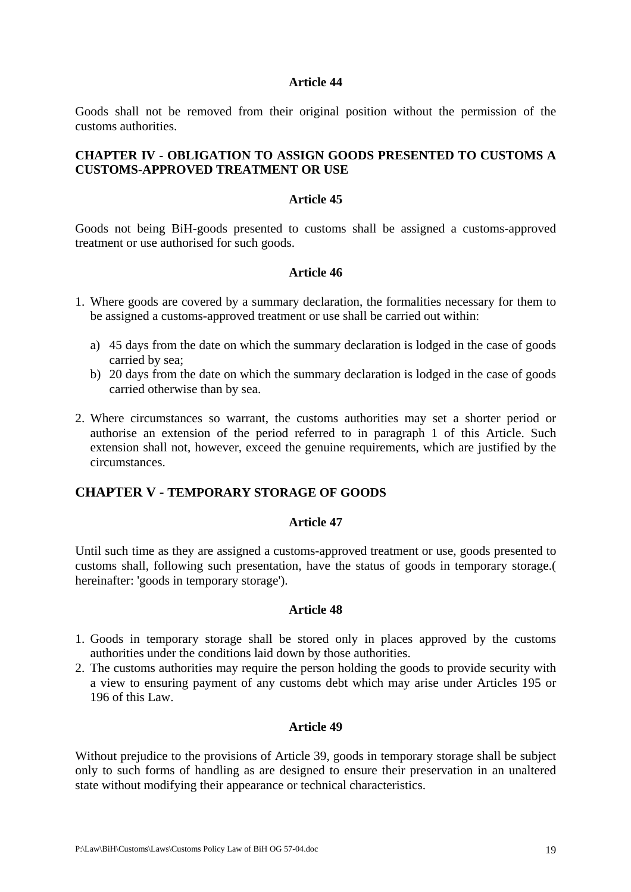Goods shall not be removed from their original position without the permission of the customs authorities.

## **CHAPTER IV - OBLIGATION TO ASSIGN GOODS PRESENTED TO CUSTOMS A CUSTOMS-APPROVED TREATMENT OR USE**

#### **Article 45**

Goods not being BiH-goods presented to customs shall be assigned a customs-approved treatment or use authorised for such goods.

#### **Article 46**

- 1. Where goods are covered by a summary declaration, the formalities necessary for them to be assigned a customs-approved treatment or use shall be carried out within:
	- a) 45 days from the date on which the summary declaration is lodged in the case of goods carried by sea;
	- b) 20 days from the date on which the summary declaration is lodged in the case of goods carried otherwise than by sea.
- 2. Where circumstances so warrant, the customs authorities may set a shorter period or authorise an extension of the period referred to in paragraph 1 of this Article. Such extension shall not, however, exceed the genuine requirements, which are justified by the circumstances.

# **CHAPTER V - TEMPORARY STORAGE OF GOODS**

#### **Article 47**

Until such time as they are assigned a customs-approved treatment or use, goods presented to customs shall, following such presentation, have the status of goods in temporary storage.( hereinafter: 'goods in temporary storage').

#### **Article 48**

- 1. Goods in temporary storage shall be stored only in places approved by the customs authorities under the conditions laid down by those authorities.
- 2. The customs authorities may require the person holding the goods to provide security with a view to ensuring payment of any customs debt which may arise under Articles 195 or 196 of this Law.

#### **Article 49**

Without prejudice to the provisions of Article 39, goods in temporary storage shall be subject only to such forms of handling as are designed to ensure their preservation in an unaltered state without modifying their appearance or technical characteristics.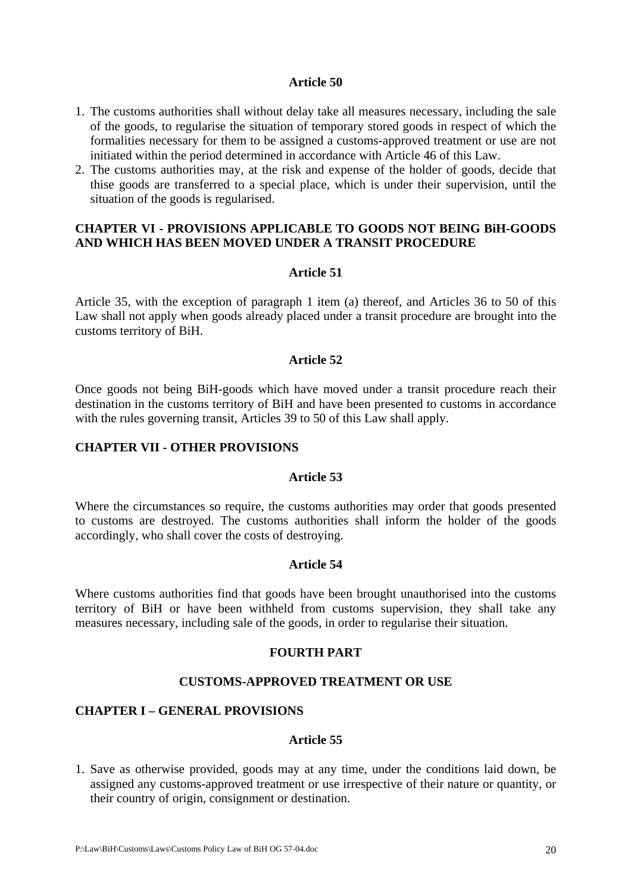- 1. The customs authorities shall without delay take all measures necessary, including the sale of the goods, to regularise the situation of temporary stored goods in respect of which the formalities necessary for them to be assigned a customs-approved treatment or use are not initiated within the period determined in accordance with Article 46 of this Law.
- 2. The customs authorities may, at the risk and expense of the holder of goods, decide that thise goods are transferred to a special place, which is under their supervision, until the situation of the goods is regularised.

## **CHAPTER VI - PROVISIONS APPLICABLE TO GOODS NOT BEING BiH-GOODS AND WHICH HAS BEEN MOVED UNDER A TRANSIT PROCEDURE**

#### **Article 51**

Article 35, with the exception of paragraph 1 item (a) thereof, and Articles 36 to 50 of this Law shall not apply when goods already placed under a transit procedure are brought into the customs territory of BiH.

#### **Article 52**

Once goods not being BiH-goods which have moved under a transit procedure reach their destination in the customs territory of BiH and have been presented to customs in accordance with the rules governing transit, Articles 39 to 50 of this Law shall apply.

#### **CHAPTER VII - OTHER PROVISIONS**

#### **Article 53**

Where the circumstances so require, the customs authorities may order that goods presented to customs are destroyed. The customs authorities shall inform the holder of the goods accordingly, who shall cover the costs of destroying.

#### **Article 54**

Where customs authorities find that goods have been brought unauthorised into the customs territory of BiH or have been withheld from customs supervision, they shall take any measures necessary, including sale of the goods, in order to regularise their situation.

#### **FOURTH PART**

#### **CUSTOMS-APPROVED TREATMENT OR USE**

#### **CHAPTER I – GENERAL PROVISIONS**

## **Article 55**

1. Save as otherwise provided, goods may at any time, under the conditions laid down, be assigned any customs-approved treatment or use irrespective of their nature or quantity, or their country of origin, consignment or destination.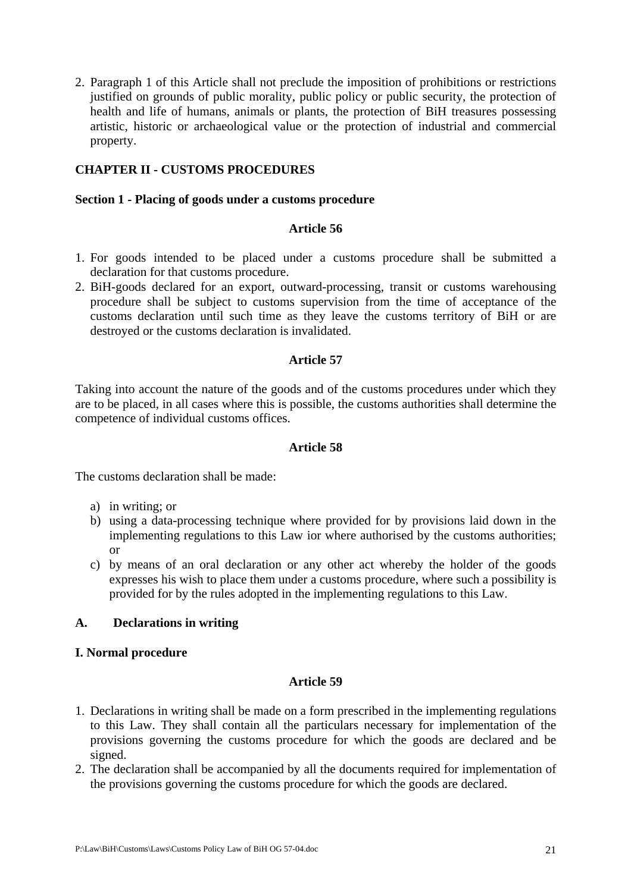2. Paragraph 1 of this Article shall not preclude the imposition of prohibitions or restrictions justified on grounds of public morality, public policy or public security, the protection of health and life of humans, animals or plants, the protection of BiH treasures possessing artistic, historic or archaeological value or the protection of industrial and commercial property.

# **CHAPTER II - CUSTOMS PROCEDURES**

## **Section 1 - Placing of goods under a customs procedure**

## **Article 56**

- 1. For goods intended to be placed under a customs procedure shall be submitted a declaration for that customs procedure.
- 2. BiH-goods declared for an export, outward-processing, transit or customs warehousing procedure shall be subject to customs supervision from the time of acceptance of the customs declaration until such time as they leave the customs territory of BiH or are destroyed or the customs declaration is invalidated.

# **Article 57**

Taking into account the nature of the goods and of the customs procedures under which they are to be placed, in all cases where this is possible, the customs authorities shall determine the competence of individual customs offices.

## **Article 58**

The customs declaration shall be made:

- a) in writing; or
- b) using a data-processing technique where provided for by provisions laid down in the implementing regulations to this Law ior where authorised by the customs authorities; or
- c) by means of an oral declaration or any other act whereby the holder of the goods expresses his wish to place them under a customs procedure, where such a possibility is provided for by the rules adopted in the implementing regulations to this Law.

# **A. Declarations in writing**

## **I. Normal procedure**

- 1. Declarations in writing shall be made on a form prescribed in the implementing regulations to this Law. They shall contain all the particulars necessary for implementation of the provisions governing the customs procedure for which the goods are declared and be signed.
- 2. The declaration shall be accompanied by all the documents required for implementation of the provisions governing the customs procedure for which the goods are declared.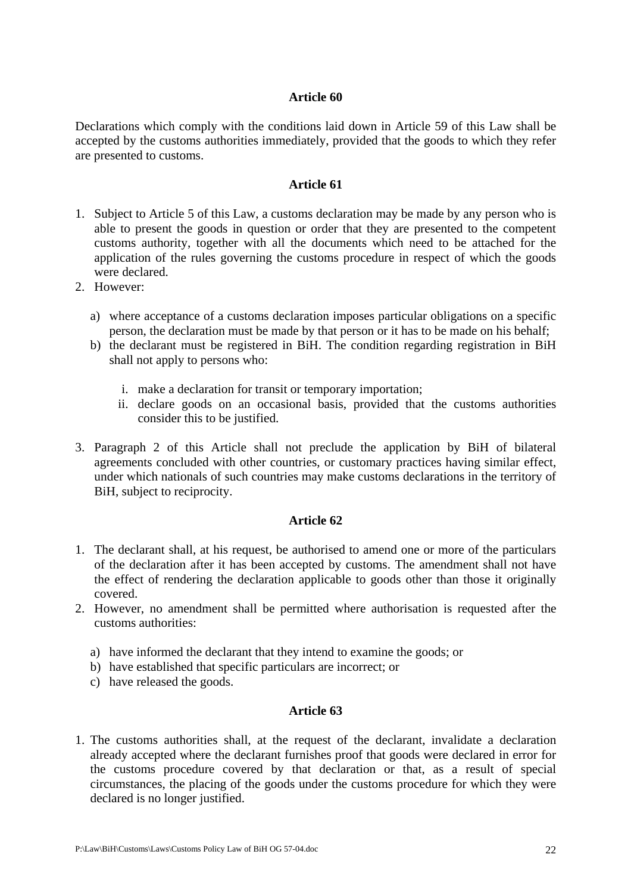Declarations which comply with the conditions laid down in Article 59 of this Law shall be accepted by the customs authorities immediately, provided that the goods to which they refer are presented to customs.

## **Article 61**

- 1. Subject to Article 5 of this Law, a customs declaration may be made by any person who is able to present the goods in question or order that they are presented to the competent customs authority, together with all the documents which need to be attached for the application of the rules governing the customs procedure in respect of which the goods were declared.
- 2. However:
	- a) where acceptance of a customs declaration imposes particular obligations on a specific person, the declaration must be made by that person or it has to be made on his behalf;
	- b) the declarant must be registered in BiH. The condition regarding registration in BiH shall not apply to persons who:
		- i. make a declaration for transit or temporary importation;
		- ii. declare goods on an occasional basis, provided that the customs authorities consider this to be justified.
- 3. Paragraph 2 of this Article shall not preclude the application by BiH of bilateral agreements concluded with other countries, or customary practices having similar effect, under which nationals of such countries may make customs declarations in the territory of BiH, subject to reciprocity.

## **Article 62**

- 1. The declarant shall, at his request, be authorised to amend one or more of the particulars of the declaration after it has been accepted by customs. The amendment shall not have the effect of rendering the declaration applicable to goods other than those it originally covered.
- 2. However, no amendment shall be permitted where authorisation is requested after the customs authorities:
	- a) have informed the declarant that they intend to examine the goods; or
	- b) have established that specific particulars are incorrect; or
	- c) have released the goods.

## **Article 63**

1. The customs authorities shall, at the request of the declarant, invalidate a declaration already accepted where the declarant furnishes proof that goods were declared in error for the customs procedure covered by that declaration or that, as a result of special circumstances, the placing of the goods under the customs procedure for which they were declared is no longer justified.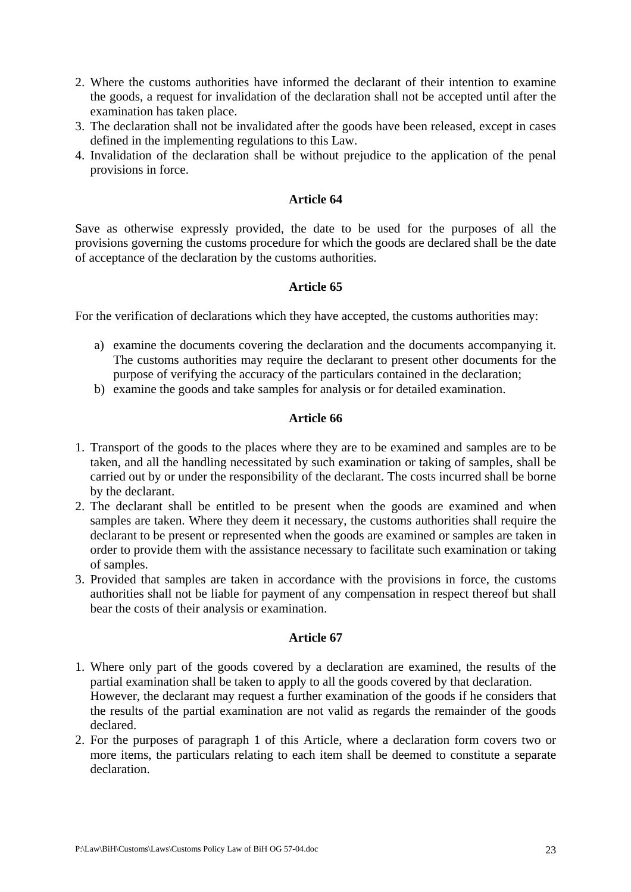- 2. Where the customs authorities have informed the declarant of their intention to examine the goods, a request for invalidation of the declaration shall not be accepted until after the examination has taken place.
- 3. The declaration shall not be invalidated after the goods have been released, except in cases defined in the implementing regulations to this Law.
- 4. Invalidation of the declaration shall be without prejudice to the application of the penal provisions in force.

Save as otherwise expressly provided, the date to be used for the purposes of all the provisions governing the customs procedure for which the goods are declared shall be the date of acceptance of the declaration by the customs authorities.

# **Article 65**

For the verification of declarations which they have accepted, the customs authorities may:

- a) examine the documents covering the declaration and the documents accompanying it. The customs authorities may require the declarant to present other documents for the purpose of verifying the accuracy of the particulars contained in the declaration;
- b) examine the goods and take samples for analysis or for detailed examination.

# **Article 66**

- 1. Transport of the goods to the places where they are to be examined and samples are to be taken, and all the handling necessitated by such examination or taking of samples, shall be carried out by or under the responsibility of the declarant. The costs incurred shall be borne by the declarant.
- 2. The declarant shall be entitled to be present when the goods are examined and when samples are taken. Where they deem it necessary, the customs authorities shall require the declarant to be present or represented when the goods are examined or samples are taken in order to provide them with the assistance necessary to facilitate such examination or taking of samples.
- 3. Provided that samples are taken in accordance with the provisions in force, the customs authorities shall not be liable for payment of any compensation in respect thereof but shall bear the costs of their analysis or examination.

- 1. Where only part of the goods covered by a declaration are examined, the results of the partial examination shall be taken to apply to all the goods covered by that declaration. However, the declarant may request a further examination of the goods if he considers that the results of the partial examination are not valid as regards the remainder of the goods declared.
- 2. For the purposes of paragraph 1 of this Article, where a declaration form covers two or more items, the particulars relating to each item shall be deemed to constitute a separate declaration.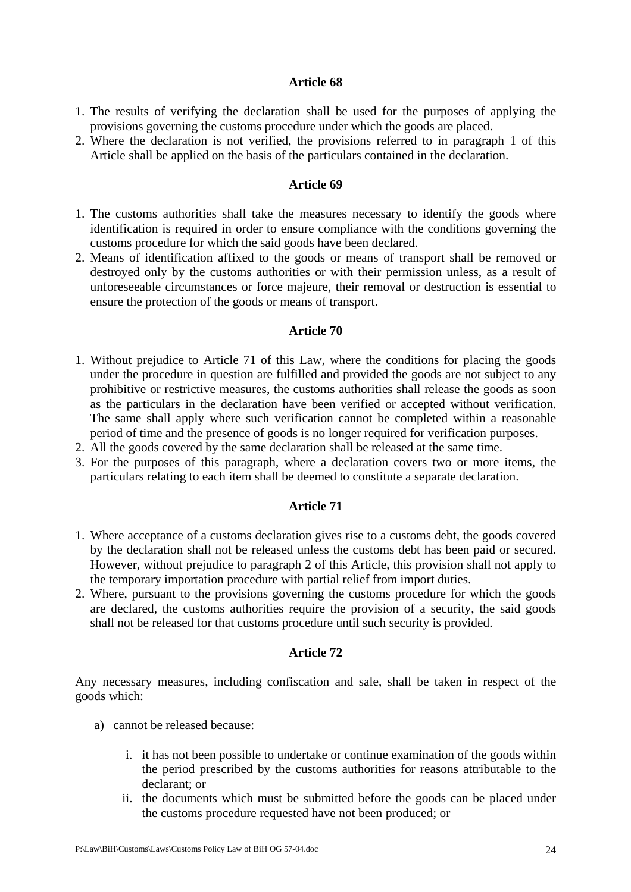- 1. The results of verifying the declaration shall be used for the purposes of applying the provisions governing the customs procedure under which the goods are placed.
- 2. Where the declaration is not verified, the provisions referred to in paragraph 1 of this Article shall be applied on the basis of the particulars contained in the declaration.

## **Article 69**

- 1. The customs authorities shall take the measures necessary to identify the goods where identification is required in order to ensure compliance with the conditions governing the customs procedure for which the said goods have been declared.
- 2. Means of identification affixed to the goods or means of transport shall be removed or destroyed only by the customs authorities or with their permission unless, as a result of unforeseeable circumstances or force majeure, their removal or destruction is essential to ensure the protection of the goods or means of transport.

#### **Article 70**

- 1. Without prejudice to Article 71 of this Law, where the conditions for placing the goods under the procedure in question are fulfilled and provided the goods are not subject to any prohibitive or restrictive measures, the customs authorities shall release the goods as soon as the particulars in the declaration have been verified or accepted without verification. The same shall apply where such verification cannot be completed within a reasonable period of time and the presence of goods is no longer required for verification purposes.
- 2. All the goods covered by the same declaration shall be released at the same time.
- 3. For the purposes of this paragraph, where a declaration covers two or more items, the particulars relating to each item shall be deemed to constitute a separate declaration.

## **Article 71**

- 1. Where acceptance of a customs declaration gives rise to a customs debt, the goods covered by the declaration shall not be released unless the customs debt has been paid or secured. However, without prejudice to paragraph 2 of this Article, this provision shall not apply to the temporary importation procedure with partial relief from import duties.
- 2. Where, pursuant to the provisions governing the customs procedure for which the goods are declared, the customs authorities require the provision of a security, the said goods shall not be released for that customs procedure until such security is provided.

## **Article 72**

Any necessary measures, including confiscation and sale, shall be taken in respect of the goods which:

- a) cannot be released because:
	- i. it has not been possible to undertake or continue examination of the goods within the period prescribed by the customs authorities for reasons attributable to the declarant; or
	- ii. the documents which must be submitted before the goods can be placed under the customs procedure requested have not been produced; or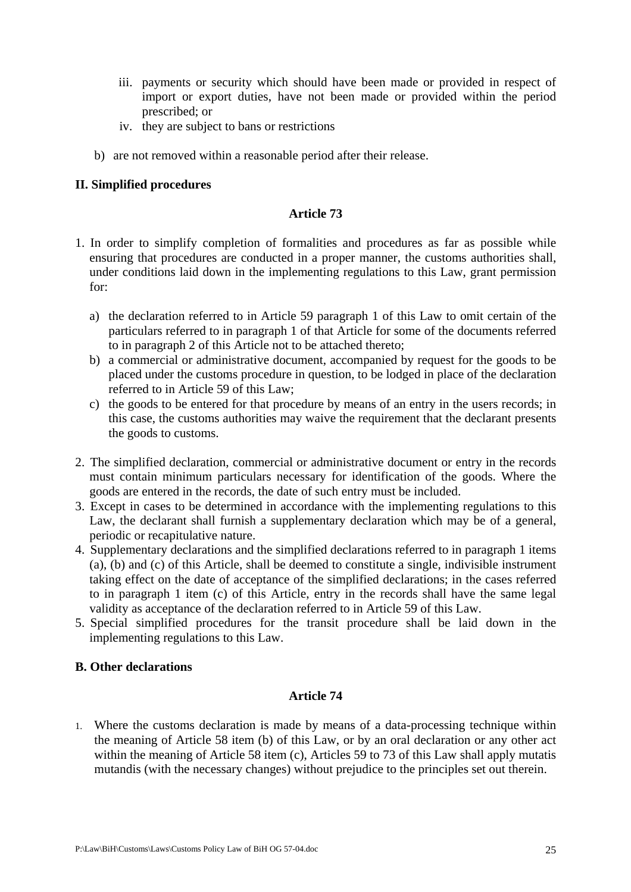- iii. payments or security which should have been made or provided in respect of import or export duties, have not been made or provided within the period prescribed; or
- iv. they are subject to bans or restrictions
- b) are not removed within a reasonable period after their release.

# **II. Simplified procedures**

# **Article 73**

- 1. In order to simplify completion of formalities and procedures as far as possible while ensuring that procedures are conducted in a proper manner, the customs authorities shall, under conditions laid down in the implementing regulations to this Law, grant permission for:
	- a) the declaration referred to in Article 59 paragraph 1 of this Law to omit certain of the particulars referred to in paragraph 1 of that Article for some of the documents referred to in paragraph 2 of this Article not to be attached thereto;
	- b) a commercial or administrative document, accompanied by request for the goods to be placed under the customs procedure in question, to be lodged in place of the declaration referred to in Article 59 of this Law;
	- c) the goods to be entered for that procedure by means of an entry in the users records; in this case, the customs authorities may waive the requirement that the declarant presents the goods to customs.
- 2. The simplified declaration, commercial or administrative document or entry in the records must contain minimum particulars necessary for identification of the goods. Where the goods are entered in the records, the date of such entry must be included.
- 3. Except in cases to be determined in accordance with the implementing regulations to this Law, the declarant shall furnish a supplementary declaration which may be of a general, periodic or recapitulative nature.
- 4. Supplementary declarations and the simplified declarations referred to in paragraph 1 items (a), (b) and (c) of this Article, shall be deemed to constitute a single, indivisible instrument taking effect on the date of acceptance of the simplified declarations; in the cases referred to in paragraph 1 item (c) of this Article, entry in the records shall have the same legal validity as acceptance of the declaration referred to in Article 59 of this Law.
- 5. Special simplified procedures for the transit procedure shall be laid down in the implementing regulations to this Law.

# **B. Other declarations**

## **Article 74**

1. Where the customs declaration is made by means of a data-processing technique within the meaning of Article 58 item (b) of this Law, or by an oral declaration or any other act within the meaning of Article 58 item (c), Articles 59 to 73 of this Law shall apply mutatis mutandis (with the necessary changes) without prejudice to the principles set out therein.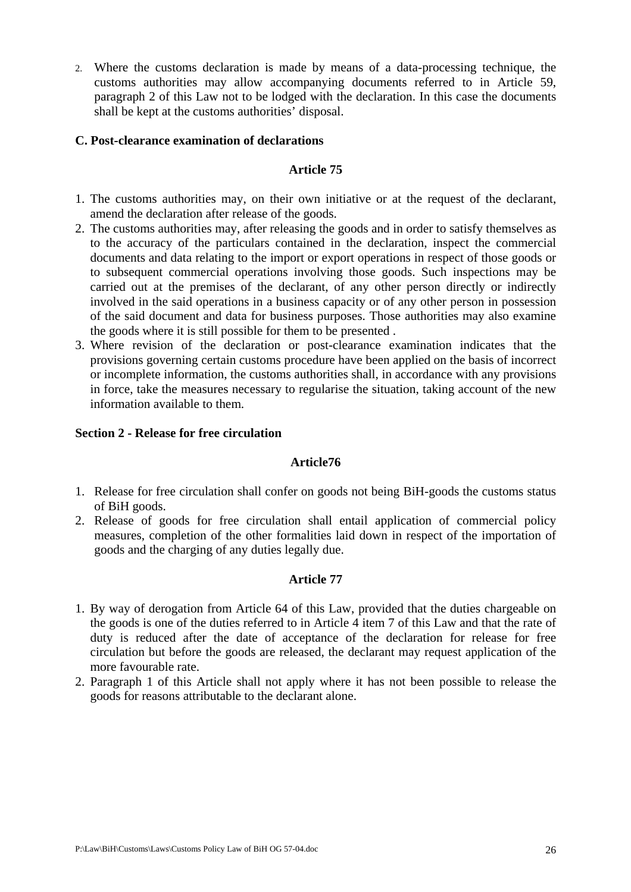2. Where the customs declaration is made by means of a data-processing technique, the customs authorities may allow accompanying documents referred to in Article 59, paragraph 2 of this Law not to be lodged with the declaration. In this case the documents shall be kept at the customs authorities' disposal.

## **C. Post-clearance examination of declarations**

# **Article 75**

- 1. The customs authorities may, on their own initiative or at the request of the declarant, amend the declaration after release of the goods.
- 2. The customs authorities may, after releasing the goods and in order to satisfy themselves as to the accuracy of the particulars contained in the declaration, inspect the commercial documents and data relating to the import or export operations in respect of those goods or to subsequent commercial operations involving those goods. Such inspections may be carried out at the premises of the declarant, of any other person directly or indirectly involved in the said operations in a business capacity or of any other person in possession of the said document and data for business purposes. Those authorities may also examine the goods where it is still possible for them to be presented .
- 3. Where revision of the declaration or post-clearance examination indicates that the provisions governing certain customs procedure have been applied on the basis of incorrect or incomplete information, the customs authorities shall, in accordance with any provisions in force, take the measures necessary to regularise the situation, taking account of the new information available to them.

# **Section 2 - Release for free circulation**

## **Article76**

- 1. Release for free circulation shall confer on goods not being BiH-goods the customs status of BiH goods.
- 2. Release of goods for free circulation shall entail application of commercial policy measures, completion of the other formalities laid down in respect of the importation of goods and the charging of any duties legally due.

- 1. By way of derogation from Article 64 of this Law, provided that the duties chargeable on the goods is one of the duties referred to in Article 4 item 7 of this Law and that the rate of duty is reduced after the date of acceptance of the declaration for release for free circulation but before the goods are released, the declarant may request application of the more favourable rate.
- 2. Paragraph 1 of this Article shall not apply where it has not been possible to release the goods for reasons attributable to the declarant alone.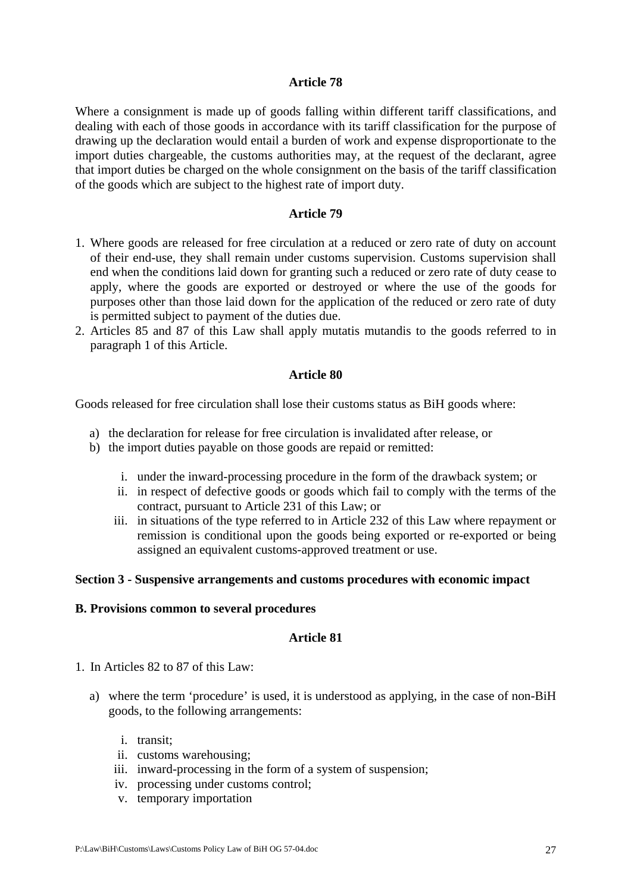Where a consignment is made up of goods falling within different tariff classifications, and dealing with each of those goods in accordance with its tariff classification for the purpose of drawing up the declaration would entail a burden of work and expense disproportionate to the import duties chargeable, the customs authorities may, at the request of the declarant, agree that import duties be charged on the whole consignment on the basis of the tariff classification of the goods which are subject to the highest rate of import duty.

#### **Article 79**

- 1. Where goods are released for free circulation at a reduced or zero rate of duty on account of their end-use, they shall remain under customs supervision. Customs supervision shall end when the conditions laid down for granting such a reduced or zero rate of duty cease to apply, where the goods are exported or destroyed or where the use of the goods for purposes other than those laid down for the application of the reduced or zero rate of duty is permitted subject to payment of the duties due.
- 2. Articles 85 and 87 of this Law shall apply mutatis mutandis to the goods referred to in paragraph 1 of this Article.

#### **Article 80**

Goods released for free circulation shall lose their customs status as BiH goods where:

- a) the declaration for release for free circulation is invalidated after release, or
- b) the import duties payable on those goods are repaid or remitted:
	- i. under the inward-processing procedure in the form of the drawback system; or
	- ii. in respect of defective goods or goods which fail to comply with the terms of the contract, pursuant to Article 231 of this Law; or
	- iii. in situations of the type referred to in Article 232 of this Law where repayment or remission is conditional upon the goods being exported or re-exported or being assigned an equivalent customs-approved treatment or use.

#### **Section 3 - Suspensive arrangements and customs procedures with economic impact**

#### **B. Provisions common to several procedures**

- 1. In Articles 82 to 87 of this Law:
	- a) where the term 'procedure' is used, it is understood as applying, in the case of non-BiH goods, to the following arrangements:
		- i. transit;
		- ii. customs warehousing;
		- iii. inward-processing in the form of a system of suspension;
		- iv. processing under customs control;
		- v. temporary importation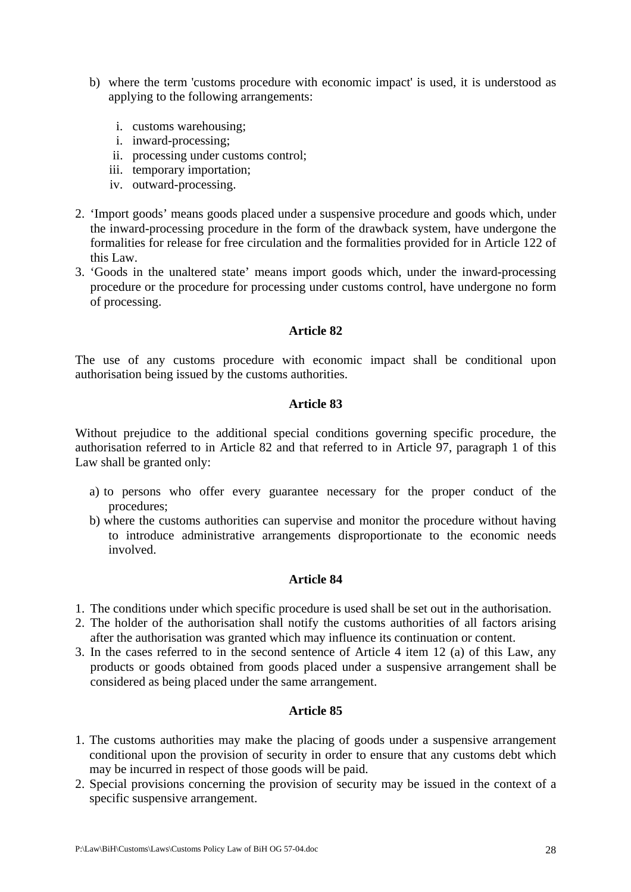- b) where the term 'customs procedure with economic impact' is used, it is understood as applying to the following arrangements:
	- i. customs warehousing;
	- i. inward-processing;
	- ii. processing under customs control;
	- iii. temporary importation;
	- iv. outward-processing.
- 2. 'Import goods' means goods placed under a suspensive procedure and goods which, under the inward-processing procedure in the form of the drawback system, have undergone the formalities for release for free circulation and the formalities provided for in Article 122 of this Law.
- 3. 'Goods in the unaltered state' means import goods which, under the inward-processing procedure or the procedure for processing under customs control, have undergone no form of processing.

The use of any customs procedure with economic impact shall be conditional upon authorisation being issued by the customs authorities.

## **Article 83**

Without prejudice to the additional special conditions governing specific procedure, the authorisation referred to in Article 82 and that referred to in Article 97, paragraph 1 of this Law shall be granted only:

- a) to persons who offer every guarantee necessary for the proper conduct of the procedures;
- b) where the customs authorities can supervise and monitor the procedure without having to introduce administrative arrangements disproportionate to the economic needs involved.

## **Article 84**

- 1. The conditions under which specific procedure is used shall be set out in the authorisation.
- 2. The holder of the authorisation shall notify the customs authorities of all factors arising after the authorisation was granted which may influence its continuation or content.
- 3. In the cases referred to in the second sentence of Article 4 item 12 (a) of this Law, any products or goods obtained from goods placed under a suspensive arrangement shall be considered as being placed under the same arrangement.

- 1. The customs authorities may make the placing of goods under a suspensive arrangement conditional upon the provision of security in order to ensure that any customs debt which may be incurred in respect of those goods will be paid.
- 2. Special provisions concerning the provision of security may be issued in the context of a specific suspensive arrangement.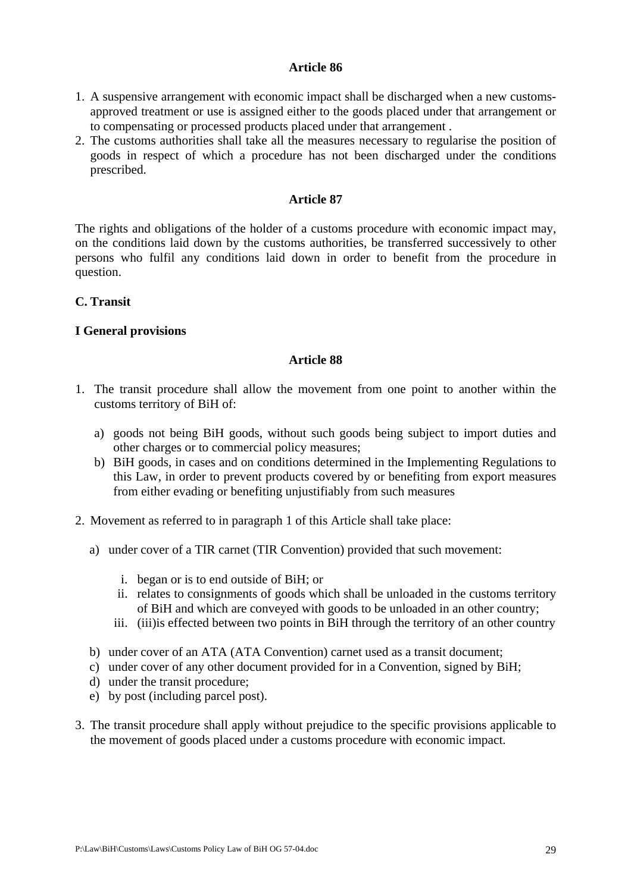- 1. A suspensive arrangement with economic impact shall be discharged when a new customsapproved treatment or use is assigned either to the goods placed under that arrangement or to compensating or processed products placed under that arrangement .
- 2. The customs authorities shall take all the measures necessary to regularise the position of goods in respect of which a procedure has not been discharged under the conditions prescribed.

## **Article 87**

The rights and obligations of the holder of a customs procedure with economic impact may, on the conditions laid down by the customs authorities, be transferred successively to other persons who fulfil any conditions laid down in order to benefit from the procedure in question.

# **C. Transit**

# **I General provisions**

- 1. The transit procedure shall allow the movement from one point to another within the customs territory of BiH of:
	- a) goods not being BiH goods, without such goods being subject to import duties and other charges or to commercial policy measures;
	- b) BiH goods, in cases and on conditions determined in the Implementing Regulations to this Law, in order to prevent products covered by or benefiting from export measures from either evading or benefiting unjustifiably from such measures
- 2. Movement as referred to in paragraph 1 of this Article shall take place:
	- a) under cover of a TIR carnet (TIR Convention) provided that such movement:
		- i. began or is to end outside of BiH; or
		- ii. relates to consignments of goods which shall be unloaded in the customs territory of BiH and which are conveyed with goods to be unloaded in an other country;
		- iii. (iii)is effected between two points in BiH through the territory of an other country
	- b) under cover of an ATA (ATA Convention) carnet used as a transit document;
	- c) under cover of any other document provided for in a Convention, signed by BiH;
	- d) under the transit procedure;
	- e) by post (including parcel post).
- 3. The transit procedure shall apply without prejudice to the specific provisions applicable to the movement of goods placed under a customs procedure with economic impact.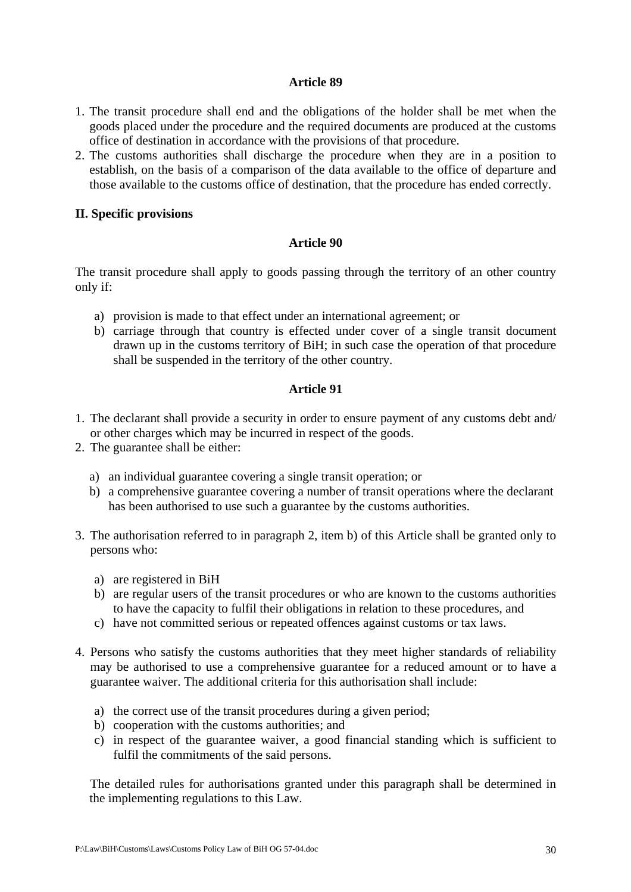- 1. The transit procedure shall end and the obligations of the holder shall be met when the goods placed under the procedure and the required documents are produced at the customs office of destination in accordance with the provisions of that procedure.
- 2. The customs authorities shall discharge the procedure when they are in a position to establish, on the basis of a comparison of the data available to the office of departure and those available to the customs office of destination, that the procedure has ended correctly.

# **II. Specific provisions**

# **Article 90**

The transit procedure shall apply to goods passing through the territory of an other country only if:

- a) provision is made to that effect under an international agreement; or
- b) carriage through that country is effected under cover of a single transit document drawn up in the customs territory of BiH; in such case the operation of that procedure shall be suspended in the territory of the other country.

# **Article 91**

- 1. The declarant shall provide a security in order to ensure payment of any customs debt and/ or other charges which may be incurred in respect of the goods.
- 2. The guarantee shall be either:
	- a) an individual guarantee covering a single transit operation; or
	- b) a comprehensive guarantee covering a number of transit operations where the declarant has been authorised to use such a guarantee by the customs authorities.
- 3. The authorisation referred to in paragraph 2, item b) of this Article shall be granted only to persons who:
	- a) are registered in BiH
	- b) are regular users of the transit procedures or who are known to the customs authorities to have the capacity to fulfil their obligations in relation to these procedures, and
	- c) have not committed serious or repeated offences against customs or tax laws.
- 4. Persons who satisfy the customs authorities that they meet higher standards of reliability may be authorised to use a comprehensive guarantee for a reduced amount or to have a guarantee waiver. The additional criteria for this authorisation shall include:
	- a) the correct use of the transit procedures during a given period;
	- b) cooperation with the customs authorities; and
	- c) in respect of the guarantee waiver, a good financial standing which is sufficient to fulfil the commitments of the said persons.

The detailed rules for authorisations granted under this paragraph shall be determined in the implementing regulations to this Law.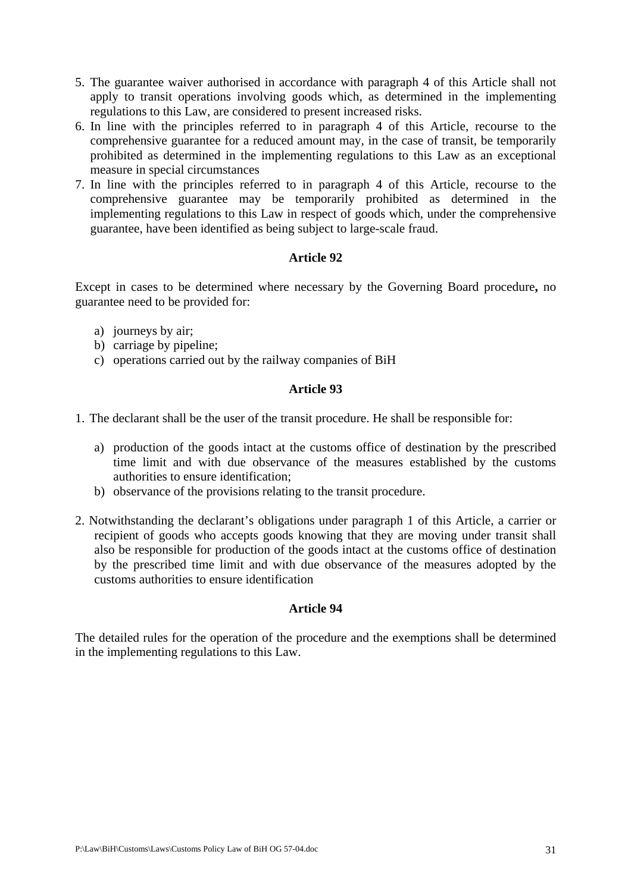- 5. The guarantee waiver authorised in accordance with paragraph 4 of this Article shall not apply to transit operations involving goods which, as determined in the implementing regulations to this Law, are considered to present increased risks.
- 6. In line with the principles referred to in paragraph 4 of this Article, recourse to the comprehensive guarantee for a reduced amount may, in the case of transit, be temporarily prohibited as determined in the implementing regulations to this Law as an exceptional measure in special circumstances
- 7. In line with the principles referred to in paragraph 4 of this Article, recourse to the comprehensive guarantee may be temporarily prohibited as determined in the implementing regulations to this Law in respect of goods which, under the comprehensive guarantee, have been identified as being subject to large-scale fraud.

Except in cases to be determined where necessary by the Governing Board procedure**,** no guarantee need to be provided for:

- a) journeys by air;
- b) carriage by pipeline;
- c) operations carried out by the railway companies of BiH

# **Article 93**

- 1. The declarant shall be the user of the transit procedure. He shall be responsible for:
	- a) production of the goods intact at the customs office of destination by the prescribed time limit and with due observance of the measures established by the customs authorities to ensure identification;
	- b) observance of the provisions relating to the transit procedure.
- 2. Notwithstanding the declarant's obligations under paragraph 1 of this Article, a carrier or recipient of goods who accepts goods knowing that they are moving under transit shall also be responsible for production of the goods intact at the customs office of destination by the prescribed time limit and with due observance of the measures adopted by the customs authorities to ensure identification

## **Article 94**

The detailed rules for the operation of the procedure and the exemptions shall be determined in the implementing regulations to this Law.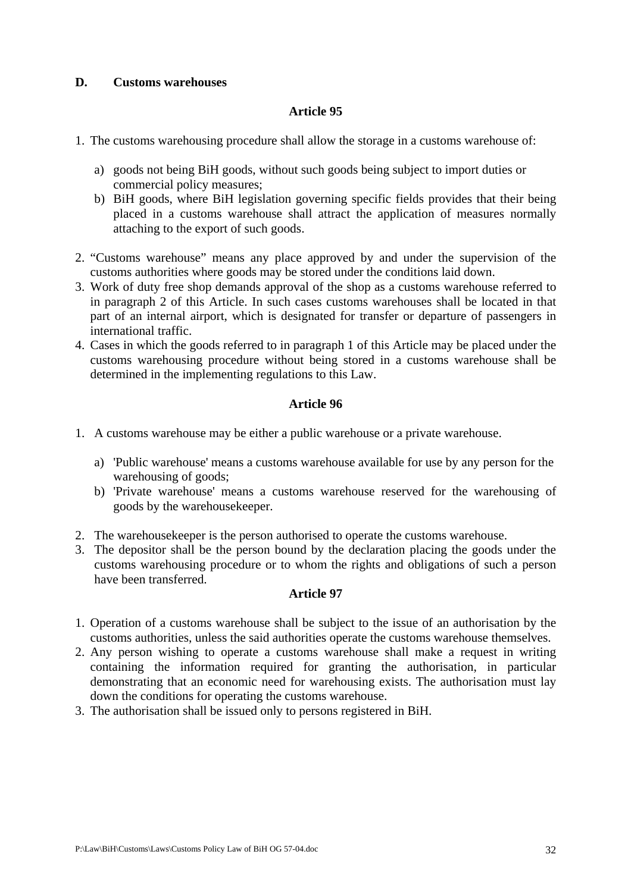# **D. Customs warehouses**

# **Article 95**

- 1. The customs warehousing procedure shall allow the storage in a customs warehouse of:
	- a) goods not being BiH goods, without such goods being subject to import duties or commercial policy measures;
	- b) BiH goods, where BiH legislation governing specific fields provides that their being placed in a customs warehouse shall attract the application of measures normally attaching to the export of such goods.
- 2. "Customs warehouse" means any place approved by and under the supervision of the customs authorities where goods may be stored under the conditions laid down.
- 3. Work of duty free shop demands approval of the shop as a customs warehouse referred to in paragraph 2 of this Article. In such cases customs warehouses shall be located in that part of an internal airport, which is designated for transfer or departure of passengers in international traffic.
- 4. Cases in which the goods referred to in paragraph 1 of this Article may be placed under the customs warehousing procedure without being stored in a customs warehouse shall be determined in the implementing regulations to this Law.

# **Article 96**

- 1. A customs warehouse may be either a public warehouse or a private warehouse.
	- a) 'Public warehouse' means a customs warehouse available for use by any person for the warehousing of goods;
	- b) 'Private warehouse' means a customs warehouse reserved for the warehousing of goods by the warehousekeeper.
- 2. The warehousekeeper is the person authorised to operate the customs warehouse.
- 3. The depositor shall be the person bound by the declaration placing the goods under the customs warehousing procedure or to whom the rights and obligations of such a person have been transferred.

- 1. Operation of a customs warehouse shall be subject to the issue of an authorisation by the customs authorities, unless the said authorities operate the customs warehouse themselves.
- 2. Any person wishing to operate a customs warehouse shall make a request in writing containing the information required for granting the authorisation, in particular demonstrating that an economic need for warehousing exists. The authorisation must lay down the conditions for operating the customs warehouse.
- 3. The authorisation shall be issued only to persons registered in BiH.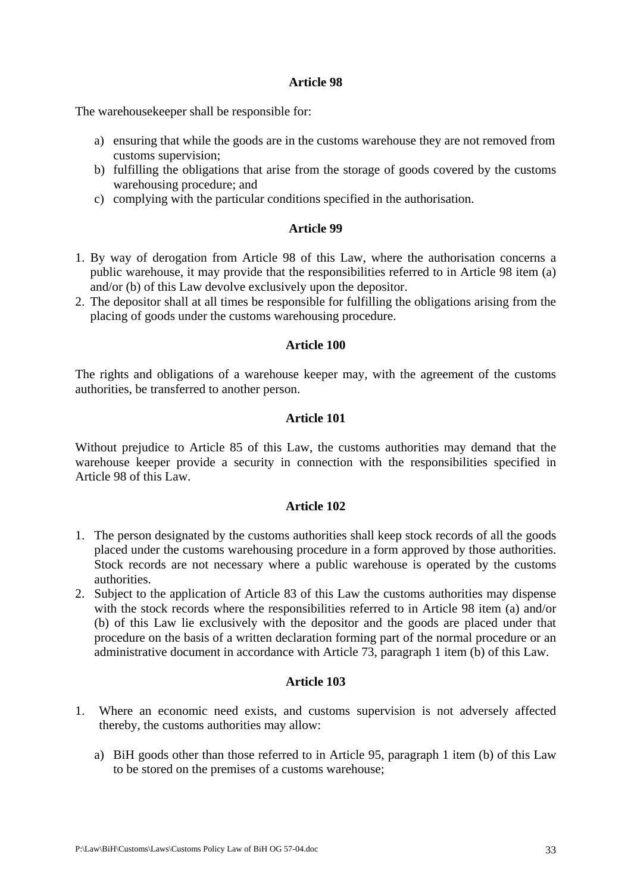The warehousekeeper shall be responsible for:

- a) ensuring that while the goods are in the customs warehouse they are not removed from customs supervision;
- b) fulfilling the obligations that arise from the storage of goods covered by the customs warehousing procedure; and
- c) complying with the particular conditions specified in the authorisation.

## **Article 99**

- 1. By way of derogation from Article 98 of this Law, where the authorisation concerns a public warehouse, it may provide that the responsibilities referred to in Article 98 item (a) and/or (b) of this Law devolve exclusively upon the depositor.
- 2. The depositor shall at all times be responsible for fulfilling the obligations arising from the placing of goods under the customs warehousing procedure.

## **Article 100**

The rights and obligations of a warehouse keeper may, with the agreement of the customs authorities, be transferred to another person.

## **Article 101**

Without prejudice to Article 85 of this Law, the customs authorities may demand that the warehouse keeper provide a security in connection with the responsibilities specified in Article 98 of this Law.

## **Article 102**

- 1. The person designated by the customs authorities shall keep stock records of all the goods placed under the customs warehousing procedure in a form approved by those authorities. Stock records are not necessary where a public warehouse is operated by the customs authorities.
- 2. Subject to the application of Article 83 of this Law the customs authorities may dispense with the stock records where the responsibilities referred to in Article 98 item (a) and/or (b) of this Law lie exclusively with the depositor and the goods are placed under that procedure on the basis of a written declaration forming part of the normal procedure or an administrative document in accordance with Article 73, paragraph 1 item (b) of this Law.

- 1. Where an economic need exists, and customs supervision is not adversely affected thereby, the customs authorities may allow:
	- a) BiH goods other than those referred to in Article 95, paragraph 1 item (b) of this Law to be stored on the premises of a customs warehouse;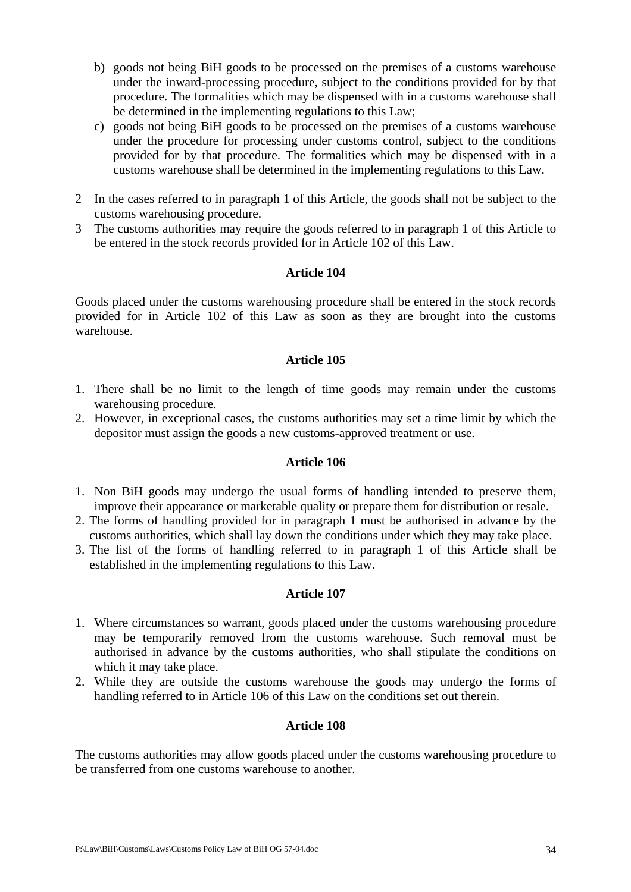- b) goods not being BiH goods to be processed on the premises of a customs warehouse under the inward-processing procedure, subject to the conditions provided for by that procedure. The formalities which may be dispensed with in a customs warehouse shall be determined in the implementing regulations to this Law;
- c) goods not being BiH goods to be processed on the premises of a customs warehouse under the procedure for processing under customs control, subject to the conditions provided for by that procedure. The formalities which may be dispensed with in a customs warehouse shall be determined in the implementing regulations to this Law.
- 2 In the cases referred to in paragraph 1 of this Article, the goods shall not be subject to the customs warehousing procedure.
- 3 The customs authorities may require the goods referred to in paragraph 1 of this Article to be entered in the stock records provided for in Article 102 of this Law.

Goods placed under the customs warehousing procedure shall be entered in the stock records provided for in Article 102 of this Law as soon as they are brought into the customs warehouse.

# **Article 105**

- 1. There shall be no limit to the length of time goods may remain under the customs warehousing procedure.
- 2. However, in exceptional cases, the customs authorities may set a time limit by which the depositor must assign the goods a new customs-approved treatment or use.

## **Article 106**

- 1. Non BiH goods may undergo the usual forms of handling intended to preserve them, improve their appearance or marketable quality or prepare them for distribution or resale.
- 2. The forms of handling provided for in paragraph 1 must be authorised in advance by the customs authorities, which shall lay down the conditions under which they may take place.
- 3. The list of the forms of handling referred to in paragraph 1 of this Article shall be established in the implementing regulations to this Law.

## **Article 107**

- 1. Where circumstances so warrant, goods placed under the customs warehousing procedure may be temporarily removed from the customs warehouse. Such removal must be authorised in advance by the customs authorities, who shall stipulate the conditions on which it may take place.
- 2. While they are outside the customs warehouse the goods may undergo the forms of handling referred to in Article 106 of this Law on the conditions set out therein.

## **Article 108**

The customs authorities may allow goods placed under the customs warehousing procedure to be transferred from one customs warehouse to another.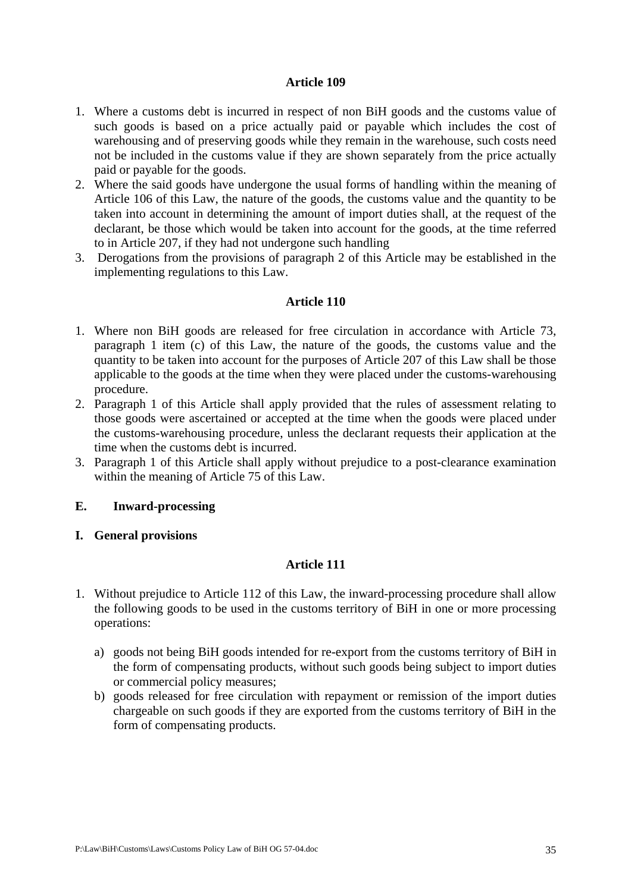- 1. Where a customs debt is incurred in respect of non BiH goods and the customs value of such goods is based on a price actually paid or payable which includes the cost of warehousing and of preserving goods while they remain in the warehouse, such costs need not be included in the customs value if they are shown separately from the price actually paid or payable for the goods.
- 2. Where the said goods have undergone the usual forms of handling within the meaning of Article 106 of this Law, the nature of the goods, the customs value and the quantity to be taken into account in determining the amount of import duties shall, at the request of the declarant, be those which would be taken into account for the goods, at the time referred to in Article 207, if they had not undergone such handling
- 3. Derogations from the provisions of paragraph 2 of this Article may be established in the implementing regulations to this Law.

# **Article 110**

- 1. Where non BiH goods are released for free circulation in accordance with Article 73, paragraph 1 item (c) of this Law, the nature of the goods, the customs value and the quantity to be taken into account for the purposes of Article 207 of this Law shall be those applicable to the goods at the time when they were placed under the customs-warehousing procedure.
- 2. Paragraph 1 of this Article shall apply provided that the rules of assessment relating to those goods were ascertained or accepted at the time when the goods were placed under the customs-warehousing procedure, unless the declarant requests their application at the time when the customs debt is incurred.
- 3. Paragraph 1 of this Article shall apply without prejudice to a post-clearance examination within the meaning of Article 75 of this Law.

## **E. Inward-processing**

## **I. General provisions**

- 1. Without prejudice to Article 112 of this Law, the inward-processing procedure shall allow the following goods to be used in the customs territory of BiH in one or more processing operations:
	- a) goods not being BiH goods intended for re-export from the customs territory of BiH in the form of compensating products, without such goods being subject to import duties or commercial policy measures;
	- b) goods released for free circulation with repayment or remission of the import duties chargeable on such goods if they are exported from the customs territory of BiH in the form of compensating products.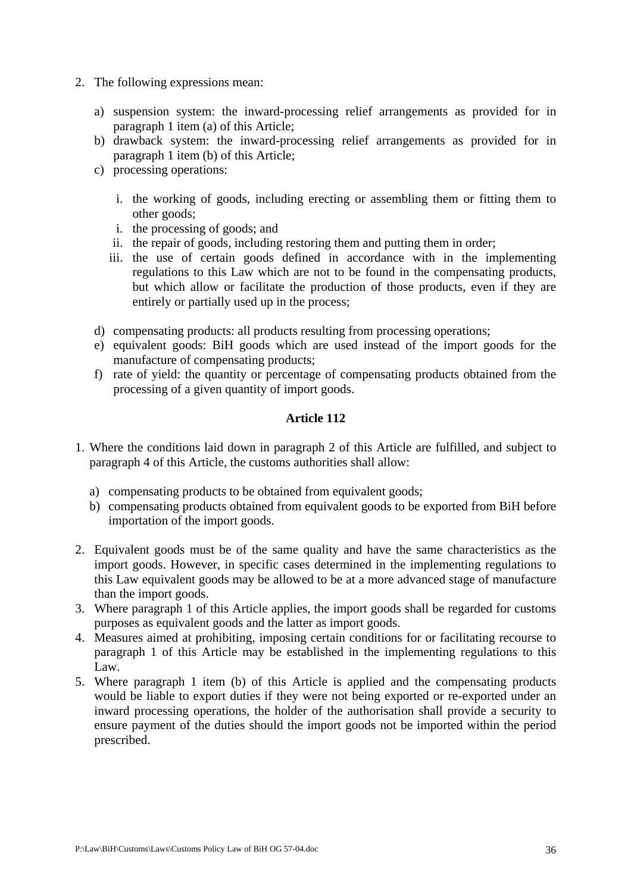- 2. The following expressions mean:
	- a) suspension system: the inward-processing relief arrangements as provided for in paragraph 1 item (a) of this Article;
	- b) drawback system: the inward-processing relief arrangements as provided for in paragraph 1 item (b) of this Article;
	- c) processing operations:
		- i. the working of goods, including erecting or assembling them or fitting them to other goods;
		- i. the processing of goods; and
		- ii. the repair of goods, including restoring them and putting them in order;
		- iii. the use of certain goods defined in accordance with in the implementing regulations to this Law which are not to be found in the compensating products, but which allow or facilitate the production of those products, even if they are entirely or partially used up in the process;
	- d) compensating products: all products resulting from processing operations;
	- e) equivalent goods: BiH goods which are used instead of the import goods for the manufacture of compensating products;
	- f) rate of yield: the quantity or percentage of compensating products obtained from the processing of a given quantity of import goods.

- 1. Where the conditions laid down in paragraph 2 of this Article are fulfilled, and subject to paragraph 4 of this Article, the customs authorities shall allow:
	- a) compensating products to be obtained from equivalent goods;
	- b) compensating products obtained from equivalent goods to be exported from BiH before importation of the import goods.
- 2. Equivalent goods must be of the same quality and have the same characteristics as the import goods. However, in specific cases determined in the implementing regulations to this Law equivalent goods may be allowed to be at a more advanced stage of manufacture than the import goods.
- 3. Where paragraph 1 of this Article applies, the import goods shall be regarded for customs purposes as equivalent goods and the latter as import goods.
- 4. Measures aimed at prohibiting, imposing certain conditions for or facilitating recourse to paragraph 1 of this Article may be established in the implementing regulations to this Law.
- 5. Where paragraph 1 item (b) of this Article is applied and the compensating products would be liable to export duties if they were not being exported or re-exported under an inward processing operations, the holder of the authorisation shall provide a security to ensure payment of the duties should the import goods not be imported within the period prescribed.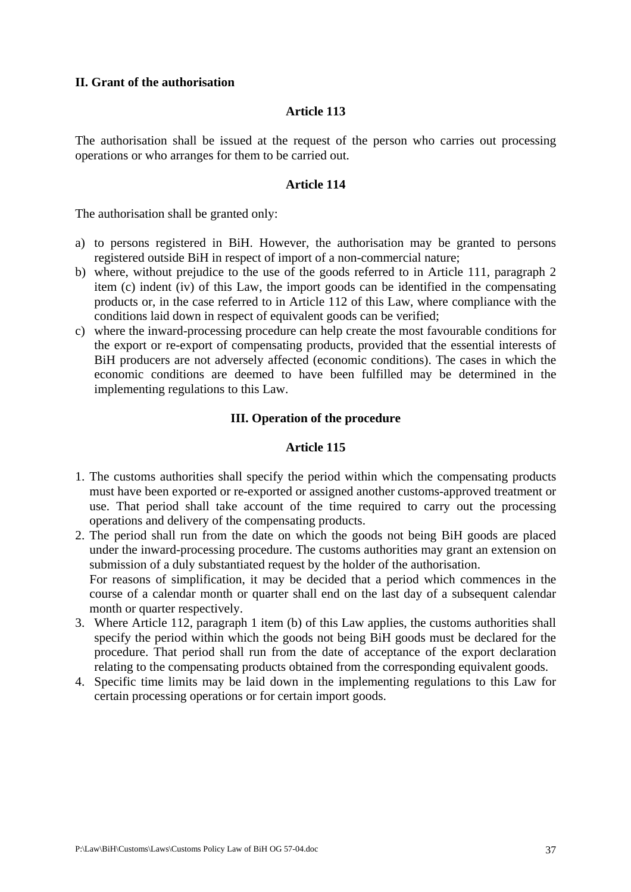### **II. Grant of the authorisation**

#### **Article 113**

The authorisation shall be issued at the request of the person who carries out processing operations or who arranges for them to be carried out.

#### **Article 114**

The authorisation shall be granted only:

- a) to persons registered in BiH. However, the authorisation may be granted to persons registered outside BiH in respect of import of a non-commercial nature;
- b) where, without prejudice to the use of the goods referred to in Article 111, paragraph 2 item (c) indent (iv) of this Law, the import goods can be identified in the compensating products or, in the case referred to in Article 112 of this Law, where compliance with the conditions laid down in respect of equivalent goods can be verified;
- c) where the inward-processing procedure can help create the most favourable conditions for the export or re-export of compensating products, provided that the essential interests of BiH producers are not adversely affected (economic conditions). The cases in which the economic conditions are deemed to have been fulfilled may be determined in the implementing regulations to this Law.

## **III. Operation of the procedure**

- 1. The customs authorities shall specify the period within which the compensating products must have been exported or re-exported or assigned another customs-approved treatment or use. That period shall take account of the time required to carry out the processing operations and delivery of the compensating products.
- 2. The period shall run from the date on which the goods not being BiH goods are placed under the inward-processing procedure. The customs authorities may grant an extension on submission of a duly substantiated request by the holder of the authorisation. For reasons of simplification, it may be decided that a period which commences in the course of a calendar month or quarter shall end on the last day of a subsequent calendar month or quarter respectively.
- 3. Where Article 112, paragraph 1 item (b) of this Law applies, the customs authorities shall specify the period within which the goods not being BiH goods must be declared for the procedure. That period shall run from the date of acceptance of the export declaration relating to the compensating products obtained from the corresponding equivalent goods.
- 4. Specific time limits may be laid down in the implementing regulations to this Law for certain processing operations or for certain import goods.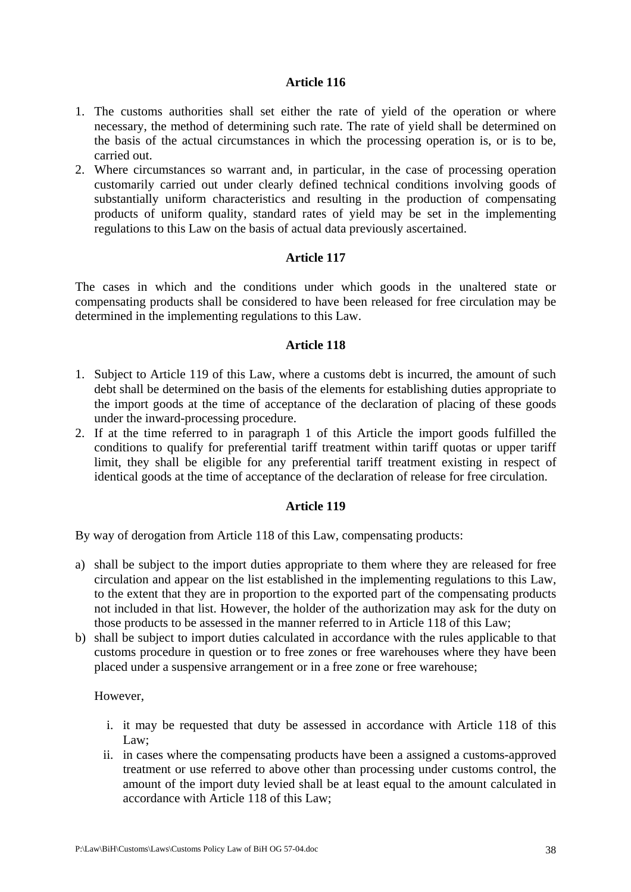- 1. The customs authorities shall set either the rate of yield of the operation or where necessary, the method of determining such rate. The rate of yield shall be determined on the basis of the actual circumstances in which the processing operation is, or is to be, carried out.
- 2. Where circumstances so warrant and, in particular, in the case of processing operation customarily carried out under clearly defined technical conditions involving goods of substantially uniform characteristics and resulting in the production of compensating products of uniform quality, standard rates of yield may be set in the implementing regulations to this Law on the basis of actual data previously ascertained.

## **Article 117**

The cases in which and the conditions under which goods in the unaltered state or compensating products shall be considered to have been released for free circulation may be determined in the implementing regulations to this Law.

## **Article 118**

- 1. Subject to Article 119 of this Law, where a customs debt is incurred, the amount of such debt shall be determined on the basis of the elements for establishing duties appropriate to the import goods at the time of acceptance of the declaration of placing of these goods under the inward-processing procedure.
- 2. If at the time referred to in paragraph 1 of this Article the import goods fulfilled the conditions to qualify for preferential tariff treatment within tariff quotas or upper tariff limit, they shall be eligible for any preferential tariff treatment existing in respect of identical goods at the time of acceptance of the declaration of release for free circulation.

# **Article 119**

By way of derogation from Article 118 of this Law, compensating products:

- a) shall be subject to the import duties appropriate to them where they are released for free circulation and appear on the list established in the implementing regulations to this Law, to the extent that they are in proportion to the exported part of the compensating products not included in that list. However, the holder of the authorization may ask for the duty on those products to be assessed in the manner referred to in Article 118 of this Law;
- b) shall be subject to import duties calculated in accordance with the rules applicable to that customs procedure in question or to free zones or free warehouses where they have been placed under a suspensive arrangement or in a free zone or free warehouse;

However,

- i. it may be requested that duty be assessed in accordance with Article 118 of this Law:
- ii. in cases where the compensating products have been a assigned a customs-approved treatment or use referred to above other than processing under customs control, the amount of the import duty levied shall be at least equal to the amount calculated in accordance with Article 118 of this Law;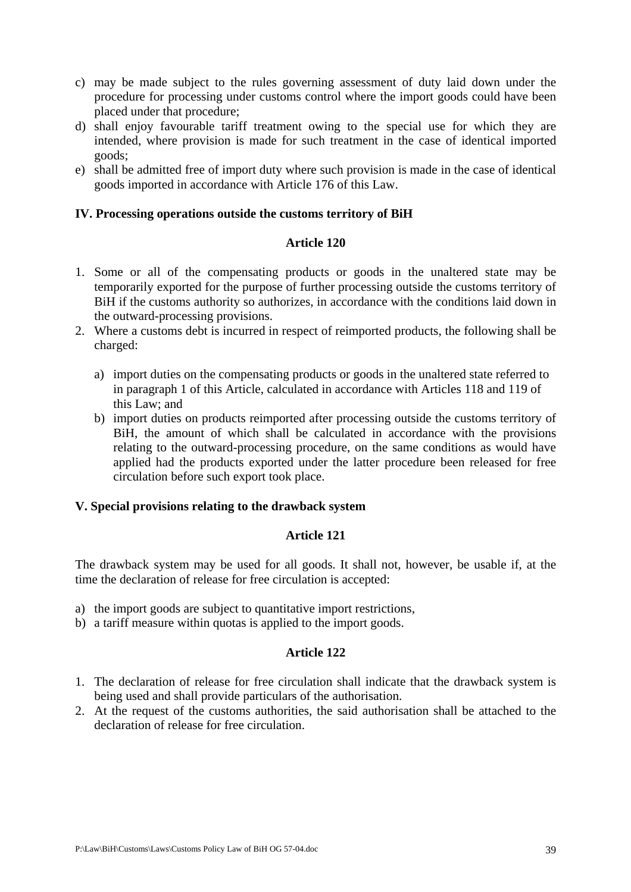- c) may be made subject to the rules governing assessment of duty laid down under the procedure for processing under customs control where the import goods could have been placed under that procedure;
- d) shall enjoy favourable tariff treatment owing to the special use for which they are intended, where provision is made for such treatment in the case of identical imported goods;
- e) shall be admitted free of import duty where such provision is made in the case of identical goods imported in accordance with Article 176 of this Law.

## **IV. Processing operations outside the customs territory of BiH**

### **Article 120**

- 1. Some or all of the compensating products or goods in the unaltered state may be temporarily exported for the purpose of further processing outside the customs territory of BiH if the customs authority so authorizes, in accordance with the conditions laid down in the outward-processing provisions.
- 2. Where a customs debt is incurred in respect of reimported products, the following shall be charged:
	- a) import duties on the compensating products or goods in the unaltered state referred to in paragraph 1 of this Article, calculated in accordance with Articles 118 and 119 of this Law; and
	- b) import duties on products reimported after processing outside the customs territory of BiH, the amount of which shall be calculated in accordance with the provisions relating to the outward-processing procedure, on the same conditions as would have applied had the products exported under the latter procedure been released for free circulation before such export took place.

# **V. Special provisions relating to the drawback system**

### **Article 121**

The drawback system may be used for all goods. It shall not, however, be usable if, at the time the declaration of release for free circulation is accepted:

- a) the import goods are subject to quantitative import restrictions,
- b) a tariff measure within quotas is applied to the import goods.

- 1. The declaration of release for free circulation shall indicate that the drawback system is being used and shall provide particulars of the authorisation.
- 2. At the request of the customs authorities, the said authorisation shall be attached to the declaration of release for free circulation.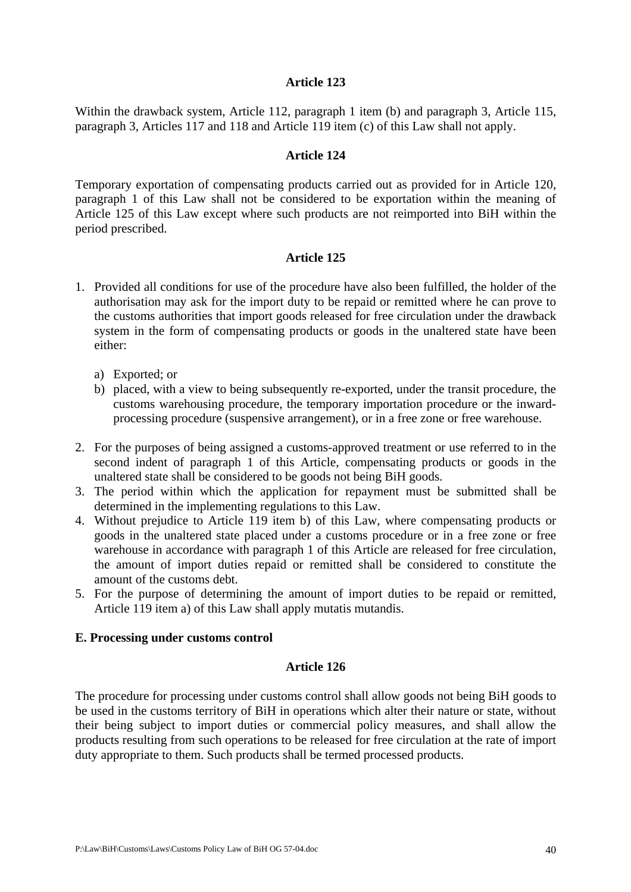Within the drawback system, Article 112, paragraph 1 item (b) and paragraph 3, Article 115, paragraph 3, Articles 117 and 118 and Article 119 item (c) of this Law shall not apply.

### **Article 124**

Temporary exportation of compensating products carried out as provided for in Article 120, paragraph 1 of this Law shall not be considered to be exportation within the meaning of Article 125 of this Law except where such products are not reimported into BiH within the period prescribed.

### **Article 125**

- 1. Provided all conditions for use of the procedure have also been fulfilled, the holder of the authorisation may ask for the import duty to be repaid or remitted where he can prove to the customs authorities that import goods released for free circulation under the drawback system in the form of compensating products or goods in the unaltered state have been either:
	- a) Exported; or
	- b) placed, with a view to being subsequently re-exported, under the transit procedure, the customs warehousing procedure, the temporary importation procedure or the inwardprocessing procedure (suspensive arrangement), or in a free zone or free warehouse.
- 2. For the purposes of being assigned a customs-approved treatment or use referred to in the second indent of paragraph 1 of this Article, compensating products or goods in the unaltered state shall be considered to be goods not being BiH goods.
- 3. The period within which the application for repayment must be submitted shall be determined in the implementing regulations to this Law.
- 4. Without prejudice to Article 119 item b) of this Law, where compensating products or goods in the unaltered state placed under a customs procedure or in a free zone or free warehouse in accordance with paragraph 1 of this Article are released for free circulation, the amount of import duties repaid or remitted shall be considered to constitute the amount of the customs debt.
- 5. For the purpose of determining the amount of import duties to be repaid or remitted, Article 119 item a) of this Law shall apply mutatis mutandis.

#### **E. Processing under customs control**

#### **Article 126**

The procedure for processing under customs control shall allow goods not being BiH goods to be used in the customs territory of BiH in operations which alter their nature or state, without their being subject to import duties or commercial policy measures, and shall allow the products resulting from such operations to be released for free circulation at the rate of import duty appropriate to them. Such products shall be termed processed products.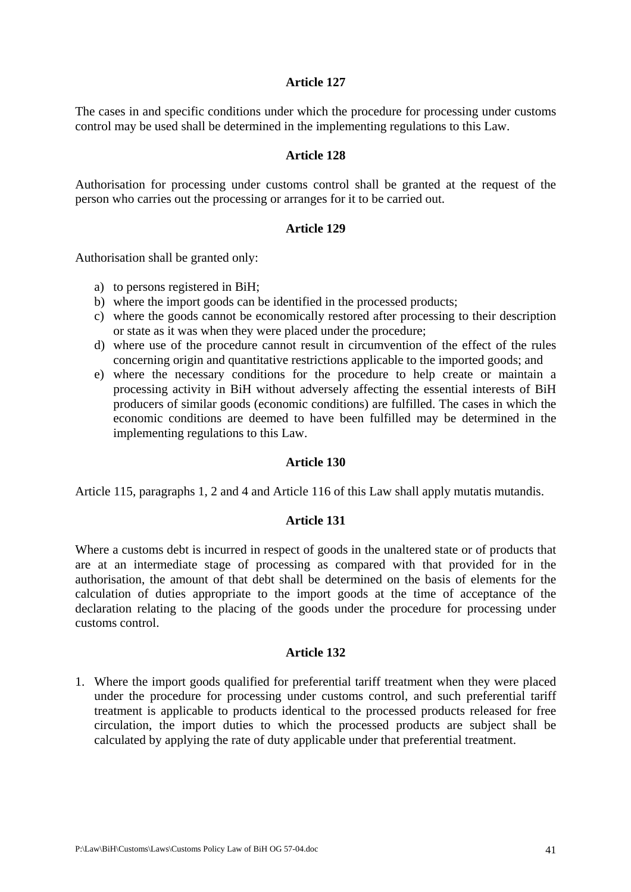The cases in and specific conditions under which the procedure for processing under customs control may be used shall be determined in the implementing regulations to this Law.

#### **Article 128**

Authorisation for processing under customs control shall be granted at the request of the person who carries out the processing or arranges for it to be carried out.

#### **Article 129**

Authorisation shall be granted only:

- a) to persons registered in BiH;
- b) where the import goods can be identified in the processed products;
- c) where the goods cannot be economically restored after processing to their description or state as it was when they were placed under the procedure;
- d) where use of the procedure cannot result in circumvention of the effect of the rules concerning origin and quantitative restrictions applicable to the imported goods; and
- e) where the necessary conditions for the procedure to help create or maintain a processing activity in BiH without adversely affecting the essential interests of BiH producers of similar goods (economic conditions) are fulfilled. The cases in which the economic conditions are deemed to have been fulfilled may be determined in the implementing regulations to this Law.

#### **Article 130**

Article 115, paragraphs 1, 2 and 4 and Article 116 of this Law shall apply mutatis mutandis.

#### **Article 131**

Where a customs debt is incurred in respect of goods in the unaltered state or of products that are at an intermediate stage of processing as compared with that provided for in the authorisation, the amount of that debt shall be determined on the basis of elements for the calculation of duties appropriate to the import goods at the time of acceptance of the declaration relating to the placing of the goods under the procedure for processing under customs control.

#### **Article 132**

1. Where the import goods qualified for preferential tariff treatment when they were placed under the procedure for processing under customs control, and such preferential tariff treatment is applicable to products identical to the processed products released for free circulation, the import duties to which the processed products are subject shall be calculated by applying the rate of duty applicable under that preferential treatment.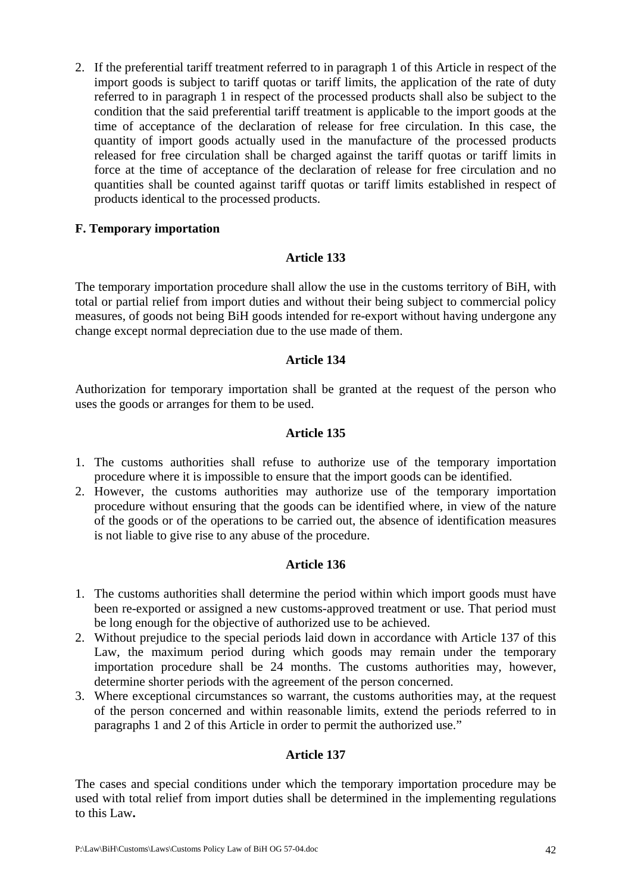2. If the preferential tariff treatment referred to in paragraph 1 of this Article in respect of the import goods is subject to tariff quotas or tariff limits, the application of the rate of duty referred to in paragraph 1 in respect of the processed products shall also be subject to the condition that the said preferential tariff treatment is applicable to the import goods at the time of acceptance of the declaration of release for free circulation. In this case, the quantity of import goods actually used in the manufacture of the processed products released for free circulation shall be charged against the tariff quotas or tariff limits in force at the time of acceptance of the declaration of release for free circulation and no quantities shall be counted against tariff quotas or tariff limits established in respect of products identical to the processed products.

## **F. Temporary importation**

## **Article 133**

The temporary importation procedure shall allow the use in the customs territory of BiH, with total or partial relief from import duties and without their being subject to commercial policy measures, of goods not being BiH goods intended for re-export without having undergone any change except normal depreciation due to the use made of them.

## **Article 134**

Authorization for temporary importation shall be granted at the request of the person who uses the goods or arranges for them to be used.

## **Article 135**

- 1. The customs authorities shall refuse to authorize use of the temporary importation procedure where it is impossible to ensure that the import goods can be identified.
- 2. However, the customs authorities may authorize use of the temporary importation procedure without ensuring that the goods can be identified where, in view of the nature of the goods or of the operations to be carried out, the absence of identification measures is not liable to give rise to any abuse of the procedure.

# **Article 136**

- 1. The customs authorities shall determine the period within which import goods must have been re-exported or assigned a new customs-approved treatment or use. That period must be long enough for the objective of authorized use to be achieved.
- 2. Without prejudice to the special periods laid down in accordance with Article 137 of this Law, the maximum period during which goods may remain under the temporary importation procedure shall be 24 months. The customs authorities may, however, determine shorter periods with the agreement of the person concerned.
- 3. Where exceptional circumstances so warrant, the customs authorities may, at the request of the person concerned and within reasonable limits, extend the periods referred to in paragraphs 1 and 2 of this Article in order to permit the authorized use."

### **Article 137**

The cases and special conditions under which the temporary importation procedure may be used with total relief from import duties shall be determined in the implementing regulations to this Law**.**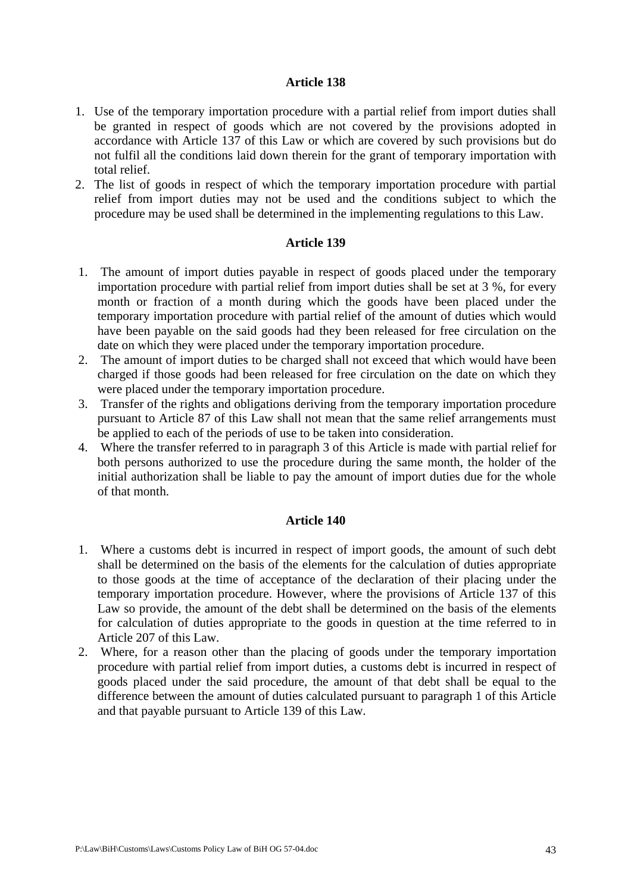- 1. Use of the temporary importation procedure with a partial relief from import duties shall be granted in respect of goods which are not covered by the provisions adopted in accordance with Article 137 of this Law or which are covered by such provisions but do not fulfil all the conditions laid down therein for the grant of temporary importation with total relief.
- 2. The list of goods in respect of which the temporary importation procedure with partial relief from import duties may not be used and the conditions subject to which the procedure may be used shall be determined in the implementing regulations to this Law.

#### **Article 139**

- 1. The amount of import duties payable in respect of goods placed under the temporary importation procedure with partial relief from import duties shall be set at 3 %, for every month or fraction of a month during which the goods have been placed under the temporary importation procedure with partial relief of the amount of duties which would have been payable on the said goods had they been released for free circulation on the date on which they were placed under the temporary importation procedure.
- 2. The amount of import duties to be charged shall not exceed that which would have been charged if those goods had been released for free circulation on the date on which they were placed under the temporary importation procedure.
- 3. Transfer of the rights and obligations deriving from the temporary importation procedure pursuant to Article 87 of this Law shall not mean that the same relief arrangements must be applied to each of the periods of use to be taken into consideration.
- 4. Where the transfer referred to in paragraph 3 of this Article is made with partial relief for both persons authorized to use the procedure during the same month, the holder of the initial authorization shall be liable to pay the amount of import duties due for the whole of that month.

- 1. Where a customs debt is incurred in respect of import goods, the amount of such debt shall be determined on the basis of the elements for the calculation of duties appropriate to those goods at the time of acceptance of the declaration of their placing under the temporary importation procedure. However, where the provisions of Article 137 of this Law so provide, the amount of the debt shall be determined on the basis of the elements for calculation of duties appropriate to the goods in question at the time referred to in Article 207 of this Law.
- 2. Where, for a reason other than the placing of goods under the temporary importation procedure with partial relief from import duties, a customs debt is incurred in respect of goods placed under the said procedure, the amount of that debt shall be equal to the difference between the amount of duties calculated pursuant to paragraph 1 of this Article and that payable pursuant to Article 139 of this Law.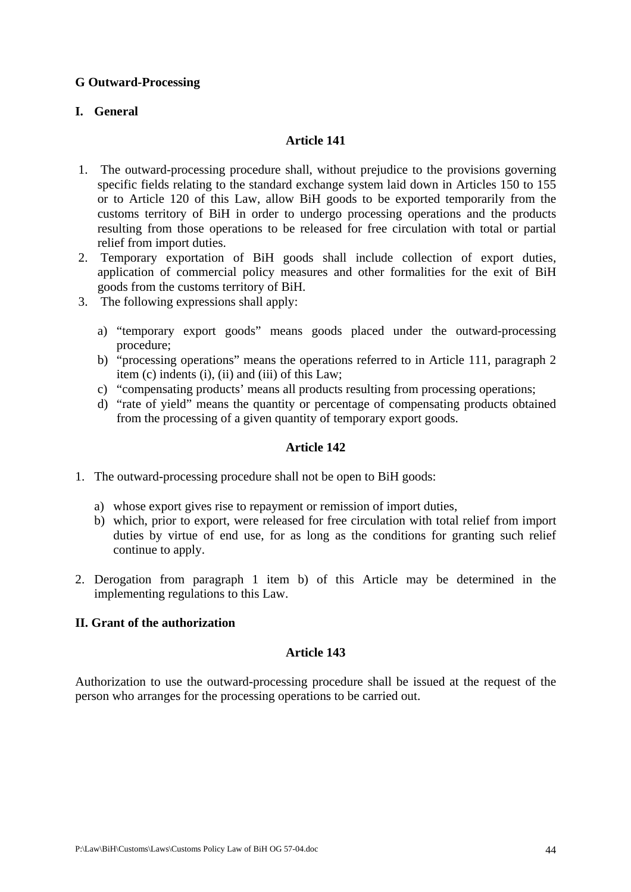## **G Outward-Processing**

# **I. General**

## **Article 141**

- 1. The outward-processing procedure shall, without prejudice to the provisions governing specific fields relating to the standard exchange system laid down in Articles 150 to 155 or to Article 120 of this Law, allow BiH goods to be exported temporarily from the customs territory of BiH in order to undergo processing operations and the products resulting from those operations to be released for free circulation with total or partial relief from import duties.
- 2. Temporary exportation of BiH goods shall include collection of export duties, application of commercial policy measures and other formalities for the exit of BiH goods from the customs territory of BiH.
- 3. The following expressions shall apply:
	- a) "temporary export goods" means goods placed under the outward-processing procedure;
	- b) "processing operations" means the operations referred to in Article 111, paragraph 2 item (c) indents (i), (ii) and (iii) of this Law;
	- c) "compensating products' means all products resulting from processing operations;
	- d) "rate of yield" means the quantity or percentage of compensating products obtained from the processing of a given quantity of temporary export goods.

### **Article 142**

- 1. The outward-processing procedure shall not be open to BiH goods:
	- a) whose export gives rise to repayment or remission of import duties,
	- b) which, prior to export, were released for free circulation with total relief from import duties by virtue of end use, for as long as the conditions for granting such relief continue to apply.
- 2. Derogation from paragraph 1 item b) of this Article may be determined in the implementing regulations to this Law.

## **II. Grant of the authorization**

### **Article 143**

Authorization to use the outward-processing procedure shall be issued at the request of the person who arranges for the processing operations to be carried out.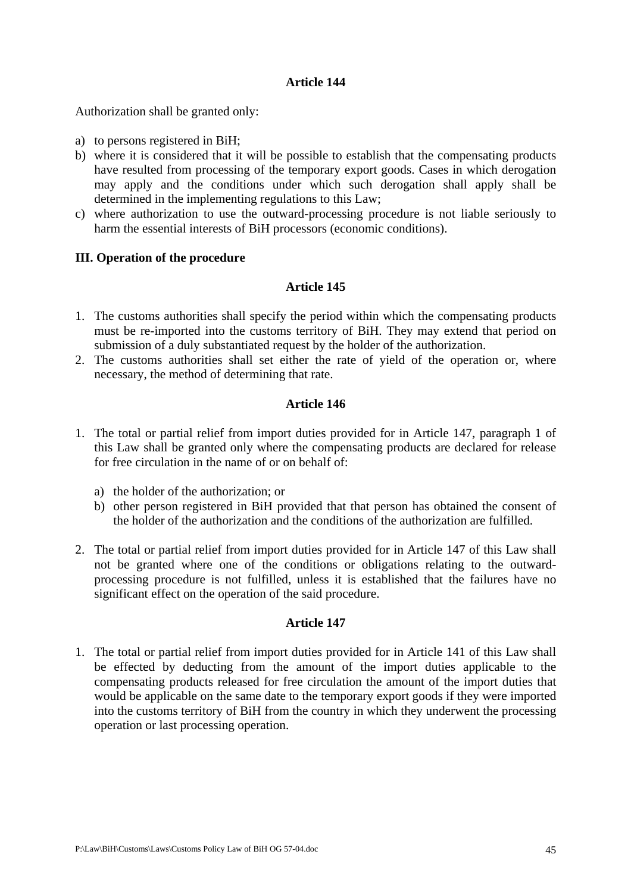Authorization shall be granted only:

- a) to persons registered in BiH;
- b) where it is considered that it will be possible to establish that the compensating products have resulted from processing of the temporary export goods. Cases in which derogation may apply and the conditions under which such derogation shall apply shall be determined in the implementing regulations to this Law;
- c) where authorization to use the outward-processing procedure is not liable seriously to harm the essential interests of BiH processors (economic conditions).

### **III. Operation of the procedure**

#### **Article 145**

- 1. The customs authorities shall specify the period within which the compensating products must be re-imported into the customs territory of BiH. They may extend that period on submission of a duly substantiated request by the holder of the authorization.
- 2. The customs authorities shall set either the rate of yield of the operation or, where necessary, the method of determining that rate.

### **Article 146**

- 1. The total or partial relief from import duties provided for in Article 147, paragraph 1 of this Law shall be granted only where the compensating products are declared for release for free circulation in the name of or on behalf of:
	- a) the holder of the authorization; or
	- b) other person registered in BiH provided that that person has obtained the consent of the holder of the authorization and the conditions of the authorization are fulfilled.
- 2. The total or partial relief from import duties provided for in Article 147 of this Law shall not be granted where one of the conditions or obligations relating to the outwardprocessing procedure is not fulfilled, unless it is established that the failures have no significant effect on the operation of the said procedure.

#### **Article 147**

1. The total or partial relief from import duties provided for in Article 141 of this Law shall be effected by deducting from the amount of the import duties applicable to the compensating products released for free circulation the amount of the import duties that would be applicable on the same date to the temporary export goods if they were imported into the customs territory of BiH from the country in which they underwent the processing operation or last processing operation.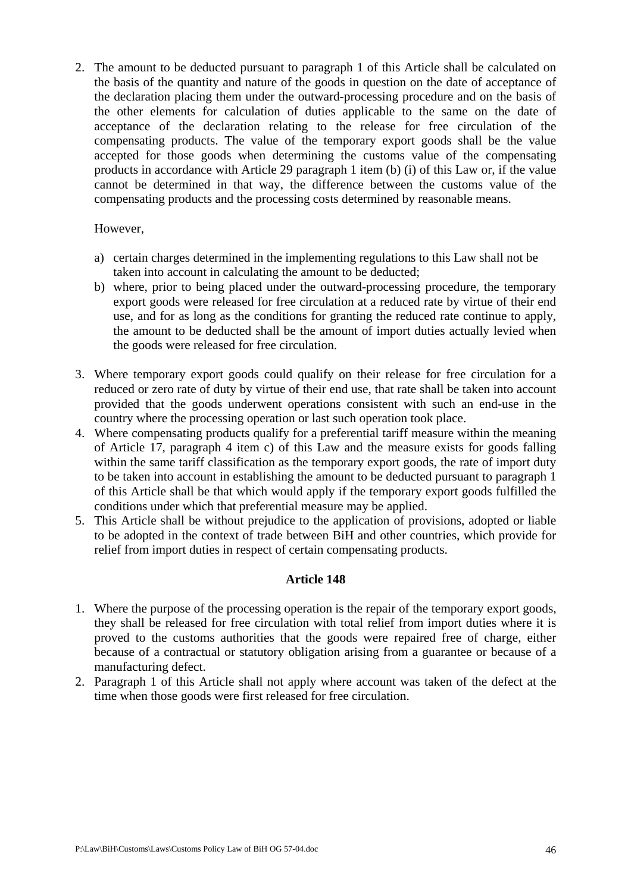2. The amount to be deducted pursuant to paragraph 1 of this Article shall be calculated on the basis of the quantity and nature of the goods in question on the date of acceptance of the declaration placing them under the outward-processing procedure and on the basis of the other elements for calculation of duties applicable to the same on the date of acceptance of the declaration relating to the release for free circulation of the compensating products. The value of the temporary export goods shall be the value accepted for those goods when determining the customs value of the compensating products in accordance with Article 29 paragraph 1 item (b) (i) of this Law or, if the value cannot be determined in that way, the difference between the customs value of the compensating products and the processing costs determined by reasonable means.

### However,

- a) certain charges determined in the implementing regulations to this Law shall not be taken into account in calculating the amount to be deducted;
- b) where, prior to being placed under the outward-processing procedure, the temporary export goods were released for free circulation at a reduced rate by virtue of their end use, and for as long as the conditions for granting the reduced rate continue to apply, the amount to be deducted shall be the amount of import duties actually levied when the goods were released for free circulation.
- 3. Where temporary export goods could qualify on their release for free circulation for a reduced or zero rate of duty by virtue of their end use, that rate shall be taken into account provided that the goods underwent operations consistent with such an end-use in the country where the processing operation or last such operation took place.
- 4. Where compensating products qualify for a preferential tariff measure within the meaning of Article 17, paragraph 4 item c) of this Law and the measure exists for goods falling within the same tariff classification as the temporary export goods, the rate of import duty to be taken into account in establishing the amount to be deducted pursuant to paragraph 1 of this Article shall be that which would apply if the temporary export goods fulfilled the conditions under which that preferential measure may be applied.
- 5. This Article shall be without prejudice to the application of provisions, adopted or liable to be adopted in the context of trade between BiH and other countries, which provide for relief from import duties in respect of certain compensating products.

- 1. Where the purpose of the processing operation is the repair of the temporary export goods, they shall be released for free circulation with total relief from import duties where it is proved to the customs authorities that the goods were repaired free of charge, either because of a contractual or statutory obligation arising from a guarantee or because of a manufacturing defect.
- 2. Paragraph 1 of this Article shall not apply where account was taken of the defect at the time when those goods were first released for free circulation.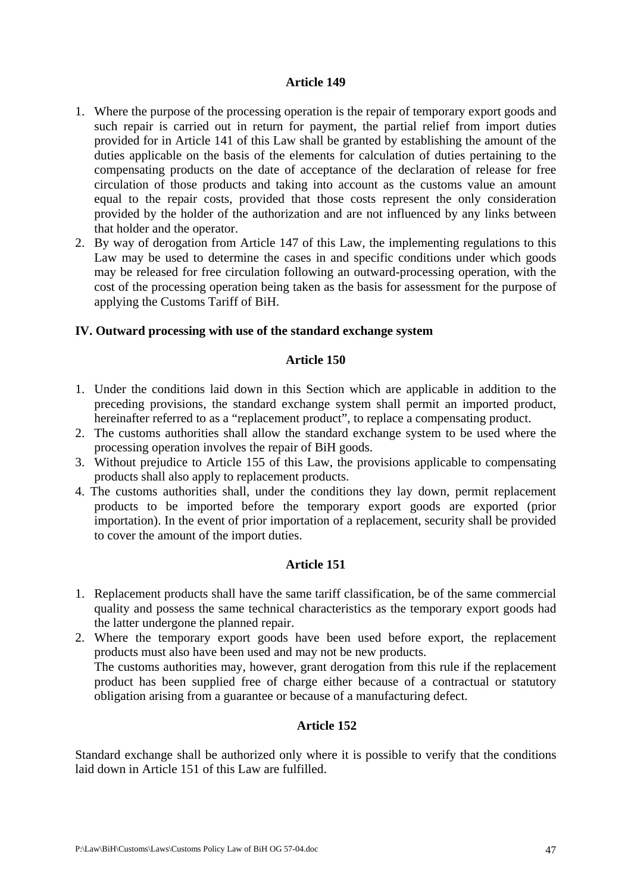- 1. Where the purpose of the processing operation is the repair of temporary export goods and such repair is carried out in return for payment, the partial relief from import duties provided for in Article 141 of this Law shall be granted by establishing the amount of the duties applicable on the basis of the elements for calculation of duties pertaining to the compensating products on the date of acceptance of the declaration of release for free circulation of those products and taking into account as the customs value an amount equal to the repair costs, provided that those costs represent the only consideration provided by the holder of the authorization and are not influenced by any links between that holder and the operator.
- 2. By way of derogation from Article 147 of this Law, the implementing regulations to this Law may be used to determine the cases in and specific conditions under which goods may be released for free circulation following an outward-processing operation, with the cost of the processing operation being taken as the basis for assessment for the purpose of applying the Customs Tariff of BiH.

## **IV. Outward processing with use of the standard exchange system**

### **Article 150**

- 1. Under the conditions laid down in this Section which are applicable in addition to the preceding provisions, the standard exchange system shall permit an imported product, hereinafter referred to as a "replacement product", to replace a compensating product.
- 2. The customs authorities shall allow the standard exchange system to be used where the processing operation involves the repair of BiH goods.
- 3. Without prejudice to Article 155 of this Law, the provisions applicable to compensating products shall also apply to replacement products.
- 4. The customs authorities shall, under the conditions they lay down, permit replacement products to be imported before the temporary export goods are exported (prior importation). In the event of prior importation of a replacement, security shall be provided to cover the amount of the import duties.

# **Article 151**

- 1. Replacement products shall have the same tariff classification, be of the same commercial quality and possess the same technical characteristics as the temporary export goods had the latter undergone the planned repair.
- 2. Where the temporary export goods have been used before export, the replacement products must also have been used and may not be new products. The customs authorities may, however, grant derogation from this rule if the replacement product has been supplied free of charge either because of a contractual or statutory obligation arising from a guarantee or because of a manufacturing defect.

# **Article 152**

Standard exchange shall be authorized only where it is possible to verify that the conditions laid down in Article 151 of this Law are fulfilled.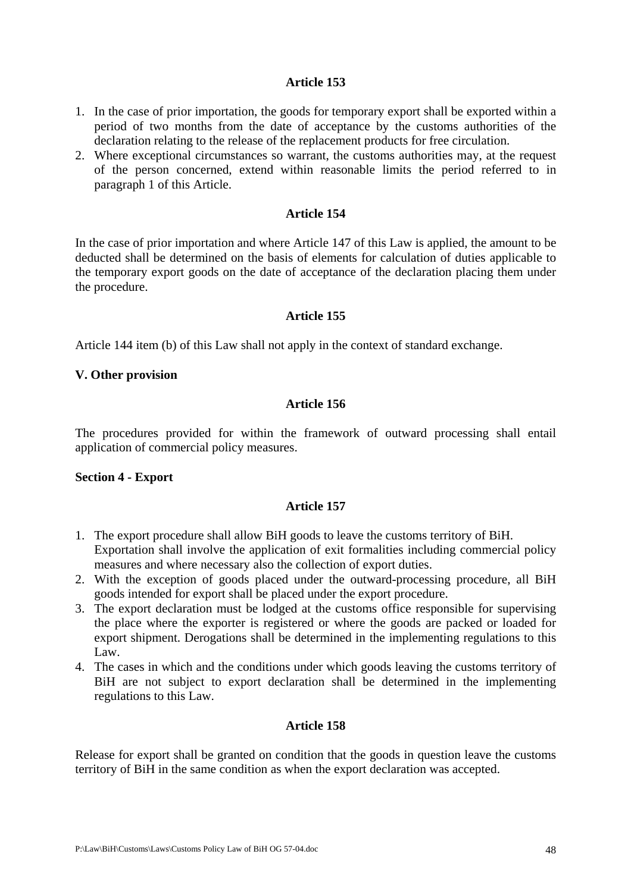- 1. In the case of prior importation, the goods for temporary export shall be exported within a period of two months from the date of acceptance by the customs authorities of the declaration relating to the release of the replacement products for free circulation.
- 2. Where exceptional circumstances so warrant, the customs authorities may, at the request of the person concerned, extend within reasonable limits the period referred to in paragraph 1 of this Article.

#### **Article 154**

In the case of prior importation and where Article 147 of this Law is applied, the amount to be deducted shall be determined on the basis of elements for calculation of duties applicable to the temporary export goods on the date of acceptance of the declaration placing them under the procedure.

### **Article 155**

Article 144 item (b) of this Law shall not apply in the context of standard exchange.

#### **V. Other provision**

### **Article 156**

The procedures provided for within the framework of outward processing shall entail application of commercial policy measures.

### **Section 4 - Export**

## **Article 157**

- 1. The export procedure shall allow BiH goods to leave the customs territory of BiH. Exportation shall involve the application of exit formalities including commercial policy measures and where necessary also the collection of export duties.
- 2. With the exception of goods placed under the outward-processing procedure, all BiH goods intended for export shall be placed under the export procedure.
- 3. The export declaration must be lodged at the customs office responsible for supervising the place where the exporter is registered or where the goods are packed or loaded for export shipment. Derogations shall be determined in the implementing regulations to this Law.
- 4. The cases in which and the conditions under which goods leaving the customs territory of BiH are not subject to export declaration shall be determined in the implementing regulations to this Law.

### **Article 158**

Release for export shall be granted on condition that the goods in question leave the customs territory of BiH in the same condition as when the export declaration was accepted.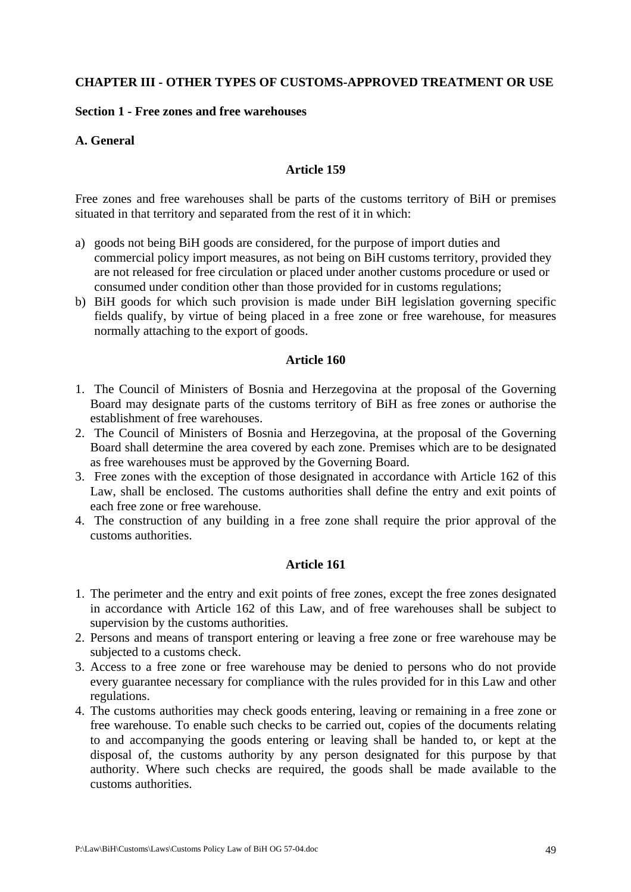## **CHAPTER III - OTHER TYPES OF CUSTOMS-APPROVED TREATMENT OR USE**

#### **Section 1 - Free zones and free warehouses**

### **A. General**

### **Article 159**

Free zones and free warehouses shall be parts of the customs territory of BiH or premises situated in that territory and separated from the rest of it in which:

- a) goods not being BiH goods are considered, for the purpose of import duties and commercial policy import measures, as not being on BiH customs territory, provided they are not released for free circulation or placed under another customs procedure or used or consumed under condition other than those provided for in customs regulations;
- b) BiH goods for which such provision is made under BiH legislation governing specific fields qualify, by virtue of being placed in a free zone or free warehouse, for measures normally attaching to the export of goods.

#### **Article 160**

- 1. The Council of Ministers of Bosnia and Herzegovina at the proposal of the Governing Board may designate parts of the customs territory of BiH as free zones or authorise the establishment of free warehouses.
- 2. The Council of Ministers of Bosnia and Herzegovina, at the proposal of the Governing Board shall determine the area covered by each zone. Premises which are to be designated as free warehouses must be approved by the Governing Board.
- 3. Free zones with the exception of those designated in accordance with Article 162 of this Law, shall be enclosed. The customs authorities shall define the entry and exit points of each free zone or free warehouse.
- 4. The construction of any building in a free zone shall require the prior approval of the customs authorities.

- 1. The perimeter and the entry and exit points of free zones, except the free zones designated in accordance with Article 162 of this Law, and of free warehouses shall be subject to supervision by the customs authorities.
- 2. Persons and means of transport entering or leaving a free zone or free warehouse may be subjected to a customs check.
- 3. Access to a free zone or free warehouse may be denied to persons who do not provide every guarantee necessary for compliance with the rules provided for in this Law and other regulations.
- 4. The customs authorities may check goods entering, leaving or remaining in a free zone or free warehouse. To enable such checks to be carried out, copies of the documents relating to and accompanying the goods entering or leaving shall be handed to, or kept at the disposal of, the customs authority by any person designated for this purpose by that authority. Where such checks are required, the goods shall be made available to the customs authorities.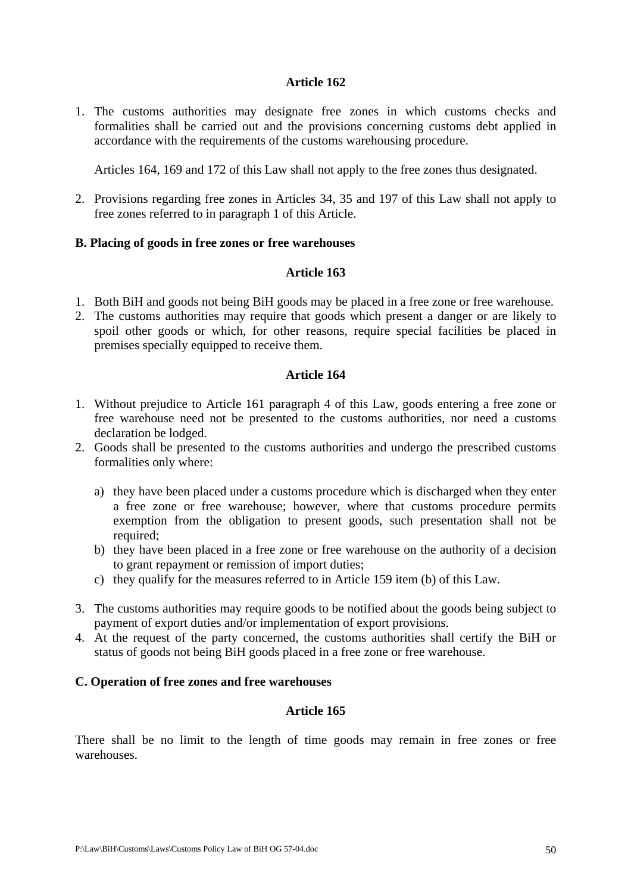1. The customs authorities may designate free zones in which customs checks and formalities shall be carried out and the provisions concerning customs debt applied in accordance with the requirements of the customs warehousing procedure.

Articles 164, 169 and 172 of this Law shall not apply to the free zones thus designated.

2. Provisions regarding free zones in Articles 34, 35 and 197 of this Law shall not apply to free zones referred to in paragraph 1 of this Article.

## **B. Placing of goods in free zones or free warehouses**

## **Article 163**

- 1. Both BiH and goods not being BiH goods may be placed in a free zone or free warehouse.
- 2. The customs authorities may require that goods which present a danger or are likely to spoil other goods or which, for other reasons, require special facilities be placed in premises specially equipped to receive them.

### **Article 164**

- 1. Without prejudice to Article 161 paragraph 4 of this Law, goods entering a free zone or free warehouse need not be presented to the customs authorities, nor need a customs declaration be lodged.
- 2. Goods shall be presented to the customs authorities and undergo the prescribed customs formalities only where:
	- a) they have been placed under a customs procedure which is discharged when they enter a free zone or free warehouse; however, where that customs procedure permits exemption from the obligation to present goods, such presentation shall not be required;
	- b) they have been placed in a free zone or free warehouse on the authority of a decision to grant repayment or remission of import duties;
	- c) they qualify for the measures referred to in Article 159 item (b) of this Law.
- 3. The customs authorities may require goods to be notified about the goods being subject to payment of export duties and/or implementation of export provisions.
- 4. At the request of the party concerned, the customs authorities shall certify the BiH or status of goods not being BiH goods placed in a free zone or free warehouse.

### **C. Operation of free zones and free warehouses**

### **Article 165**

There shall be no limit to the length of time goods may remain in free zones or free warehouses.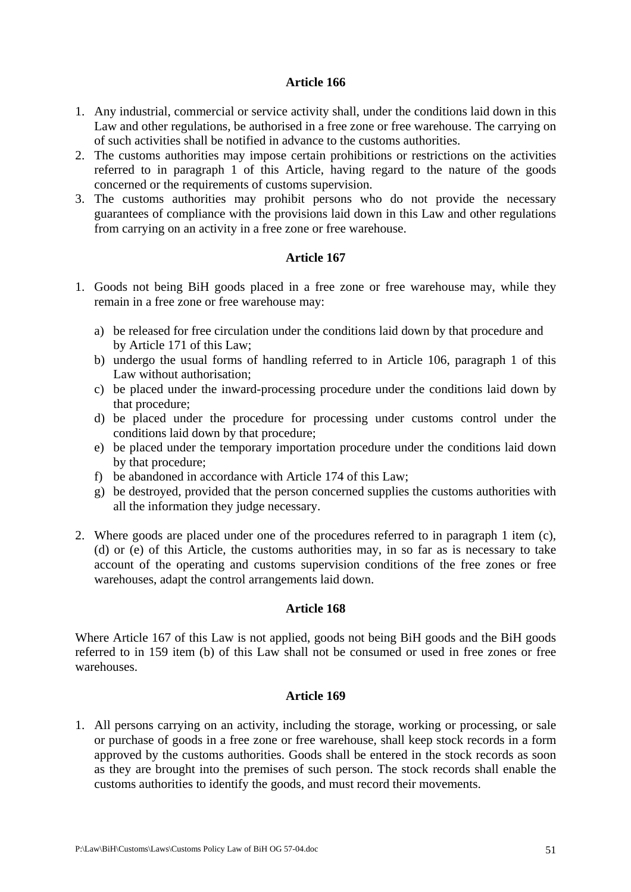- 1. Any industrial, commercial or service activity shall, under the conditions laid down in this Law and other regulations, be authorised in a free zone or free warehouse. The carrying on of such activities shall be notified in advance to the customs authorities.
- 2. The customs authorities may impose certain prohibitions or restrictions on the activities referred to in paragraph 1 of this Article, having regard to the nature of the goods concerned or the requirements of customs supervision.
- 3. The customs authorities may prohibit persons who do not provide the necessary guarantees of compliance with the provisions laid down in this Law and other regulations from carrying on an activity in a free zone or free warehouse.

# **Article 167**

- 1. Goods not being BiH goods placed in a free zone or free warehouse may, while they remain in a free zone or free warehouse may:
	- a) be released for free circulation under the conditions laid down by that procedure and by Article 171 of this Law;
	- b) undergo the usual forms of handling referred to in Article 106, paragraph 1 of this Law without authorisation;
	- c) be placed under the inward-processing procedure under the conditions laid down by that procedure;
	- d) be placed under the procedure for processing under customs control under the conditions laid down by that procedure;
	- e) be placed under the temporary importation procedure under the conditions laid down by that procedure;
	- f) be abandoned in accordance with Article 174 of this Law;
	- g) be destroyed, provided that the person concerned supplies the customs authorities with all the information they judge necessary.
- 2. Where goods are placed under one of the procedures referred to in paragraph 1 item (c), (d) or (e) of this Article, the customs authorities may, in so far as is necessary to take account of the operating and customs supervision conditions of the free zones or free warehouses, adapt the control arrangements laid down.

### **Article 168**

Where Article 167 of this Law is not applied, goods not being BiH goods and the BiH goods referred to in 159 item (b) of this Law shall not be consumed or used in free zones or free warehouses.

### **Article 169**

1. All persons carrying on an activity, including the storage, working or processing, or sale or purchase of goods in a free zone or free warehouse, shall keep stock records in a form approved by the customs authorities. Goods shall be entered in the stock records as soon as they are brought into the premises of such person. The stock records shall enable the customs authorities to identify the goods, and must record their movements.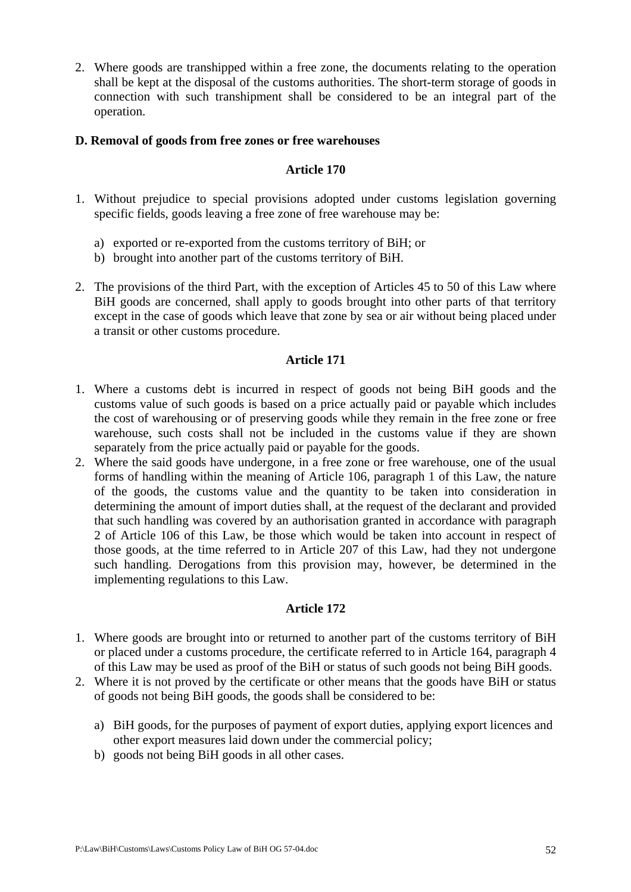2. Where goods are transhipped within a free zone, the documents relating to the operation shall be kept at the disposal of the customs authorities. The short-term storage of goods in connection with such transhipment shall be considered to be an integral part of the operation.

## **D. Removal of goods from free zones or free warehouses**

## **Article 170**

- 1. Without prejudice to special provisions adopted under customs legislation governing specific fields, goods leaving a free zone of free warehouse may be:
	- a) exported or re-exported from the customs territory of BiH; or
	- b) brought into another part of the customs territory of BiH.
- 2. The provisions of the third Part, with the exception of Articles 45 to 50 of this Law where BiH goods are concerned, shall apply to goods brought into other parts of that territory except in the case of goods which leave that zone by sea or air without being placed under a transit or other customs procedure.

## **Article 171**

- 1. Where a customs debt is incurred in respect of goods not being BiH goods and the customs value of such goods is based on a price actually paid or payable which includes the cost of warehousing or of preserving goods while they remain in the free zone or free warehouse, such costs shall not be included in the customs value if they are shown separately from the price actually paid or payable for the goods.
- 2. Where the said goods have undergone, in a free zone or free warehouse, one of the usual forms of handling within the meaning of Article 106, paragraph 1 of this Law, the nature of the goods, the customs value and the quantity to be taken into consideration in determining the amount of import duties shall, at the request of the declarant and provided that such handling was covered by an authorisation granted in accordance with paragraph 2 of Article 106 of this Law, be those which would be taken into account in respect of those goods, at the time referred to in Article 207 of this Law, had they not undergone such handling. Derogations from this provision may, however, be determined in the implementing regulations to this Law.

- 1. Where goods are brought into or returned to another part of the customs territory of BiH or placed under a customs procedure, the certificate referred to in Article 164, paragraph 4 of this Law may be used as proof of the BiH or status of such goods not being BiH goods.
- 2. Where it is not proved by the certificate or other means that the goods have BiH or status of goods not being BiH goods, the goods shall be considered to be:
	- a) BiH goods, for the purposes of payment of export duties, applying export licences and other export measures laid down under the commercial policy;
	- b) goods not being BiH goods in all other cases.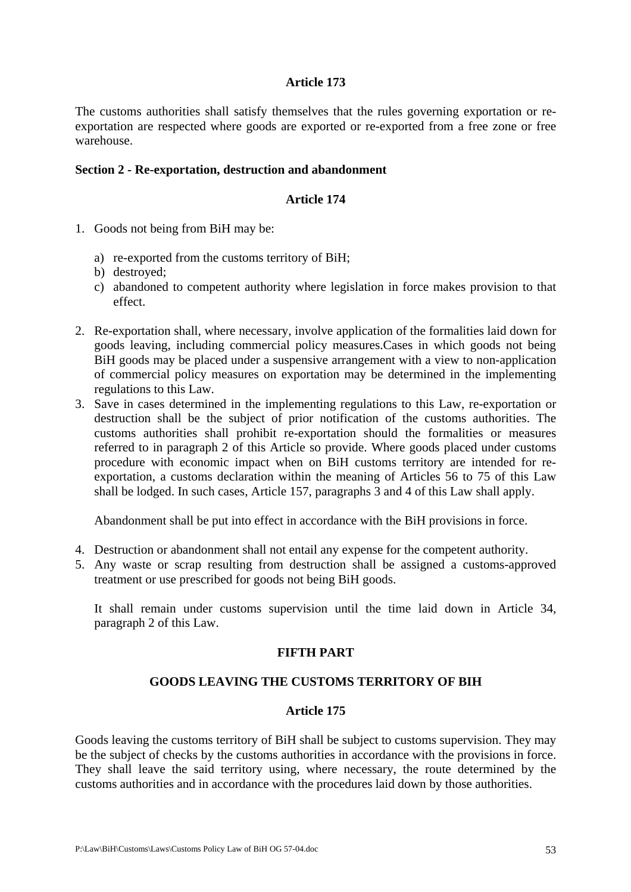The customs authorities shall satisfy themselves that the rules governing exportation or reexportation are respected where goods are exported or re-exported from a free zone or free warehouse.

## **Section 2 - Re-exportation, destruction and abandonment**

## **Article 174**

- 1. Goods not being from BiH may be:
	- a) re-exported from the customs territory of BiH;
	- b) destroyed;
	- c) abandoned to competent authority where legislation in force makes provision to that effect.
- 2. Re-exportation shall, where necessary, involve application of the formalities laid down for goods leaving, including commercial policy measures.Cases in which goods not being BiH goods may be placed under a suspensive arrangement with a view to non-application of commercial policy measures on exportation may be determined in the implementing regulations to this Law.
- 3. Save in cases determined in the implementing regulations to this Law, re-exportation or destruction shall be the subject of prior notification of the customs authorities. The customs authorities shall prohibit re-exportation should the formalities or measures referred to in paragraph 2 of this Article so provide. Where goods placed under customs procedure with economic impact when on BiH customs territory are intended for reexportation, a customs declaration within the meaning of Articles 56 to 75 of this Law shall be lodged. In such cases, Article 157, paragraphs 3 and 4 of this Law shall apply.

Abandonment shall be put into effect in accordance with the BiH provisions in force.

- 4. Destruction or abandonment shall not entail any expense for the competent authority.
- 5. Any waste or scrap resulting from destruction shall be assigned a customs-approved treatment or use prescribed for goods not being BiH goods.

It shall remain under customs supervision until the time laid down in Article 34, paragraph 2 of this Law.

# **FIFTH PART**

# **GOODS LEAVING THE CUSTOMS TERRITORY OF BIH**

### **Article 175**

Goods leaving the customs territory of BiH shall be subject to customs supervision. They may be the subject of checks by the customs authorities in accordance with the provisions in force. They shall leave the said territory using, where necessary, the route determined by the customs authorities and in accordance with the procedures laid down by those authorities.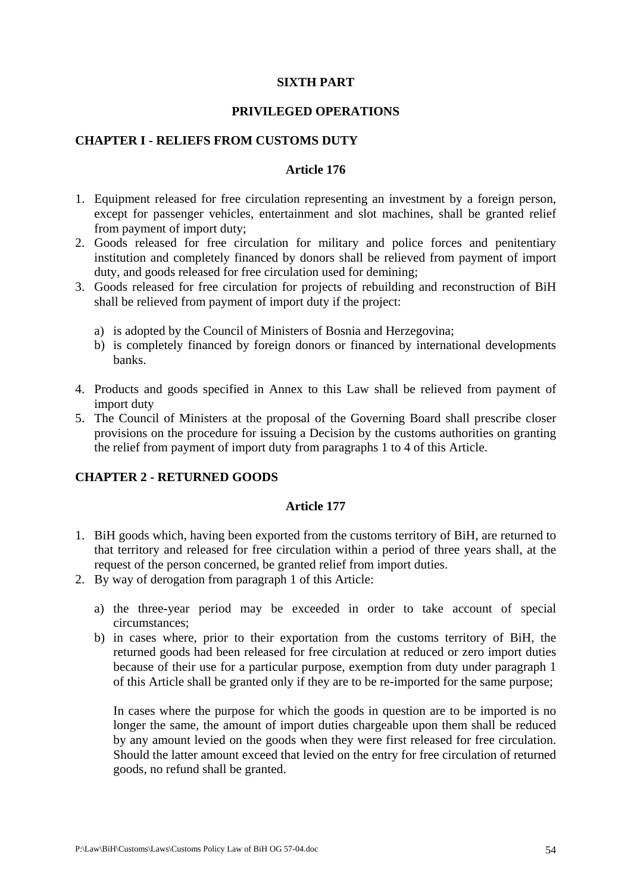### **SIXTH PART**

## **PRIVILEGED OPERATIONS**

### **CHAPTER I - RELIEFS FROM CUSTOMS DUTY**

## **Article 176**

- 1. Equipment released for free circulation representing an investment by a foreign person, except for passenger vehicles, entertainment and slot machines, shall be granted relief from payment of import duty;
- 2. Goods released for free circulation for military and police forces and penitentiary institution and completely financed by donors shall be relieved from payment of import duty, and goods released for free circulation used for demining;
- 3. Goods released for free circulation for projects of rebuilding and reconstruction of BiH shall be relieved from payment of import duty if the project:
	- a) is adopted by the Council of Ministers of Bosnia and Herzegovina;
	- b) is completely financed by foreign donors or financed by international developments banks.
- 4. Products and goods specified in Annex to this Law shall be relieved from payment of import duty
- 5. The Council of Ministers at the proposal of the Governing Board shall prescribe closer provisions on the procedure for issuing a Decision by the customs authorities on granting the relief from payment of import duty from paragraphs 1 to 4 of this Article.

# **CHAPTER 2 - RETURNED GOODS**

### **Article 177**

- 1. BiH goods which, having been exported from the customs territory of BiH, are returned to that territory and released for free circulation within a period of three years shall, at the request of the person concerned, be granted relief from import duties.
- 2. By way of derogation from paragraph 1 of this Article:
	- a) the three-year period may be exceeded in order to take account of special circumstances;
	- b) in cases where, prior to their exportation from the customs territory of BiH, the returned goods had been released for free circulation at reduced or zero import duties because of their use for a particular purpose, exemption from duty under paragraph 1 of this Article shall be granted only if they are to be re-imported for the same purpose;

In cases where the purpose for which the goods in question are to be imported is no longer the same, the amount of import duties chargeable upon them shall be reduced by any amount levied on the goods when they were first released for free circulation. Should the latter amount exceed that levied on the entry for free circulation of returned goods, no refund shall be granted.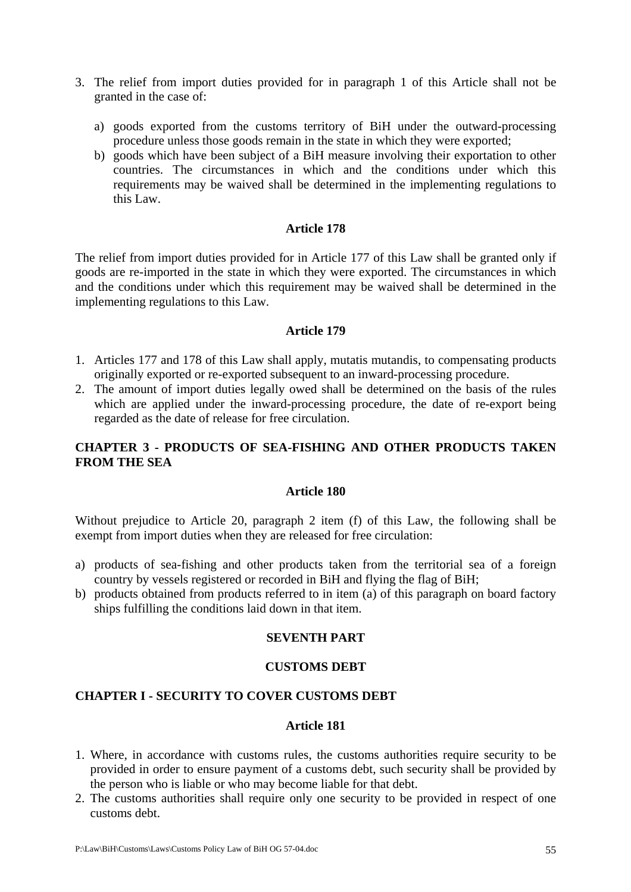- 3. The relief from import duties provided for in paragraph 1 of this Article shall not be granted in the case of:
	- a) goods exported from the customs territory of BiH under the outward-processing procedure unless those goods remain in the state in which they were exported;
	- b) goods which have been subject of a BiH measure involving their exportation to other countries. The circumstances in which and the conditions under which this requirements may be waived shall be determined in the implementing regulations to this Law.

The relief from import duties provided for in Article 177 of this Law shall be granted only if goods are re-imported in the state in which they were exported. The circumstances in which and the conditions under which this requirement may be waived shall be determined in the implementing regulations to this Law.

## **Article 179**

- 1. Articles 177 and 178 of this Law shall apply, mutatis mutandis, to compensating products originally exported or re-exported subsequent to an inward-processing procedure.
- 2. The amount of import duties legally owed shall be determined on the basis of the rules which are applied under the inward-processing procedure, the date of re-export being regarded as the date of release for free circulation.

# **CHAPTER 3 - PRODUCTS OF SEA-FISHING AND OTHER PRODUCTS TAKEN FROM THE SEA**

### **Article 180**

Without prejudice to Article 20, paragraph 2 item (f) of this Law, the following shall be exempt from import duties when they are released for free circulation:

- a) products of sea-fishing and other products taken from the territorial sea of a foreign country by vessels registered or recorded in BiH and flying the flag of BiH;
- b) products obtained from products referred to in item (a) of this paragraph on board factory ships fulfilling the conditions laid down in that item.

# **SEVENTH PART**

### **CUSTOMS DEBT**

### **CHAPTER I - SECURITY TO COVER CUSTOMS DEBT**

- 1. Where, in accordance with customs rules, the customs authorities require security to be provided in order to ensure payment of a customs debt, such security shall be provided by the person who is liable or who may become liable for that debt.
- 2. The customs authorities shall require only one security to be provided in respect of one customs debt.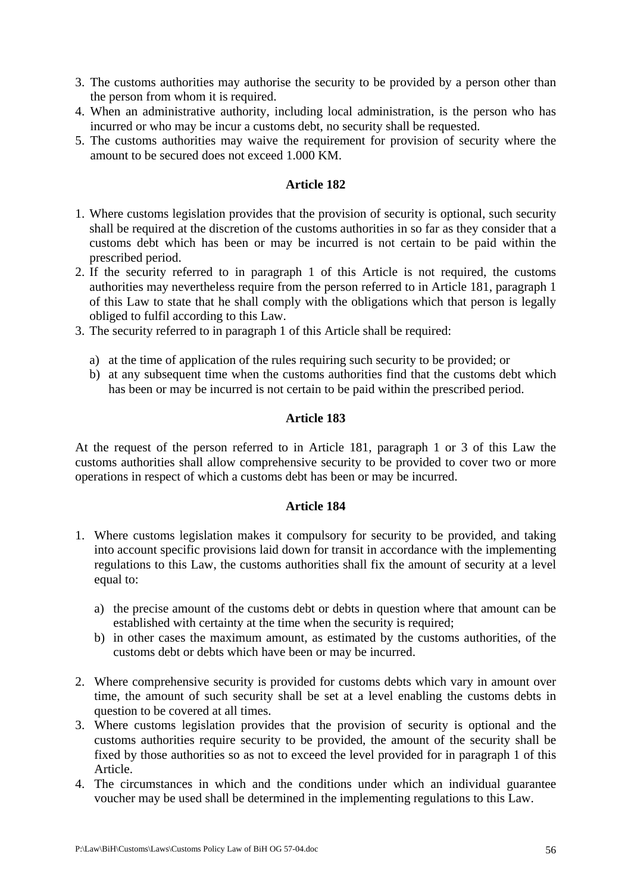- 3. The customs authorities may authorise the security to be provided by a person other than the person from whom it is required.
- 4. When an administrative authority, including local administration, is the person who has incurred or who may be incur a customs debt, no security shall be requested.
- 5. The customs authorities may waive the requirement for provision of security where the amount to be secured does not exceed 1.000 KM.

- 1. Where customs legislation provides that the provision of security is optional, such security shall be required at the discretion of the customs authorities in so far as they consider that a customs debt which has been or may be incurred is not certain to be paid within the prescribed period.
- 2. If the security referred to in paragraph 1 of this Article is not required, the customs authorities may nevertheless require from the person referred to in Article 181, paragraph 1 of this Law to state that he shall comply with the obligations which that person is legally obliged to fulfil according to this Law.
- 3. The security referred to in paragraph 1 of this Article shall be required:
	- a) at the time of application of the rules requiring such security to be provided; or
	- b) at any subsequent time when the customs authorities find that the customs debt which has been or may be incurred is not certain to be paid within the prescribed period.

## **Article 183**

At the request of the person referred to in Article 181, paragraph 1 or 3 of this Law the customs authorities shall allow comprehensive security to be provided to cover two or more operations in respect of which a customs debt has been or may be incurred.

- 1. Where customs legislation makes it compulsory for security to be provided, and taking into account specific provisions laid down for transit in accordance with the implementing regulations to this Law, the customs authorities shall fix the amount of security at a level equal to:
	- a) the precise amount of the customs debt or debts in question where that amount can be established with certainty at the time when the security is required;
	- b) in other cases the maximum amount, as estimated by the customs authorities, of the customs debt or debts which have been or may be incurred.
- 2. Where comprehensive security is provided for customs debts which vary in amount over time, the amount of such security shall be set at a level enabling the customs debts in question to be covered at all times.
- 3. Where customs legislation provides that the provision of security is optional and the customs authorities require security to be provided, the amount of the security shall be fixed by those authorities so as not to exceed the level provided for in paragraph 1 of this Article.
- 4. The circumstances in which and the conditions under which an individual guarantee voucher may be used shall be determined in the implementing regulations to this Law.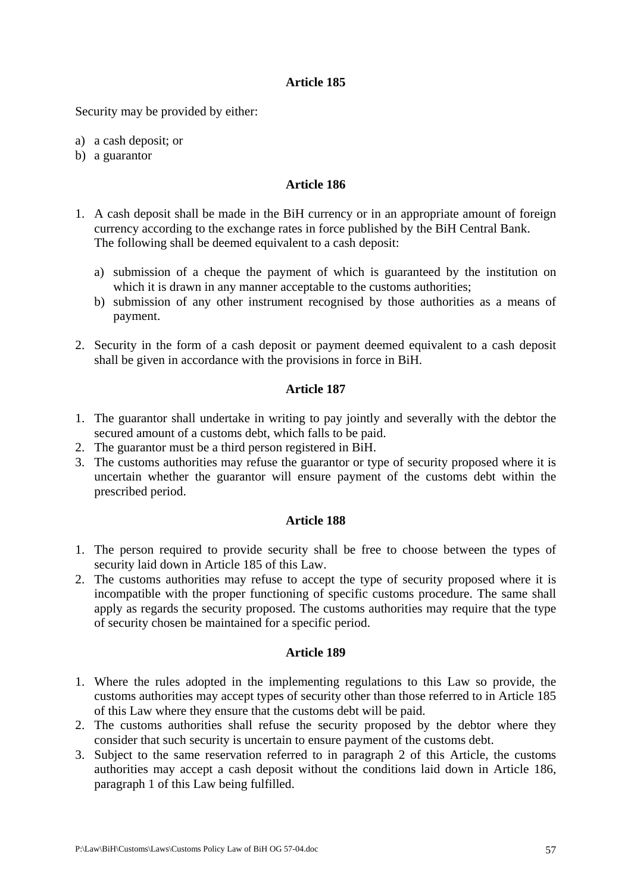Security may be provided by either:

- a) a cash deposit; or
- b) a guarantor

### **Article 186**

- 1. A cash deposit shall be made in the BiH currency or in an appropriate amount of foreign currency according to the exchange rates in force published by the BiH Central Bank. The following shall be deemed equivalent to a cash deposit:
	- a) submission of a cheque the payment of which is guaranteed by the institution on which it is drawn in any manner acceptable to the customs authorities;
	- b) submission of any other instrument recognised by those authorities as a means of payment.
- 2. Security in the form of a cash deposit or payment deemed equivalent to a cash deposit shall be given in accordance with the provisions in force in BiH.

### **Article 187**

- 1. The guarantor shall undertake in writing to pay jointly and severally with the debtor the secured amount of a customs debt, which falls to be paid.
- 2. The guarantor must be a third person registered in BiH.
- 3. The customs authorities may refuse the guarantor or type of security proposed where it is uncertain whether the guarantor will ensure payment of the customs debt within the prescribed period.

#### **Article 188**

- 1. The person required to provide security shall be free to choose between the types of security laid down in Article 185 of this Law.
- 2. The customs authorities may refuse to accept the type of security proposed where it is incompatible with the proper functioning of specific customs procedure. The same shall apply as regards the security proposed. The customs authorities may require that the type of security chosen be maintained for a specific period.

- 1. Where the rules adopted in the implementing regulations to this Law so provide, the customs authorities may accept types of security other than those referred to in Article 185 of this Law where they ensure that the customs debt will be paid.
- 2. The customs authorities shall refuse the security proposed by the debtor where they consider that such security is uncertain to ensure payment of the customs debt.
- 3. Subject to the same reservation referred to in paragraph 2 of this Article, the customs authorities may accept a cash deposit without the conditions laid down in Article 186, paragraph 1 of this Law being fulfilled.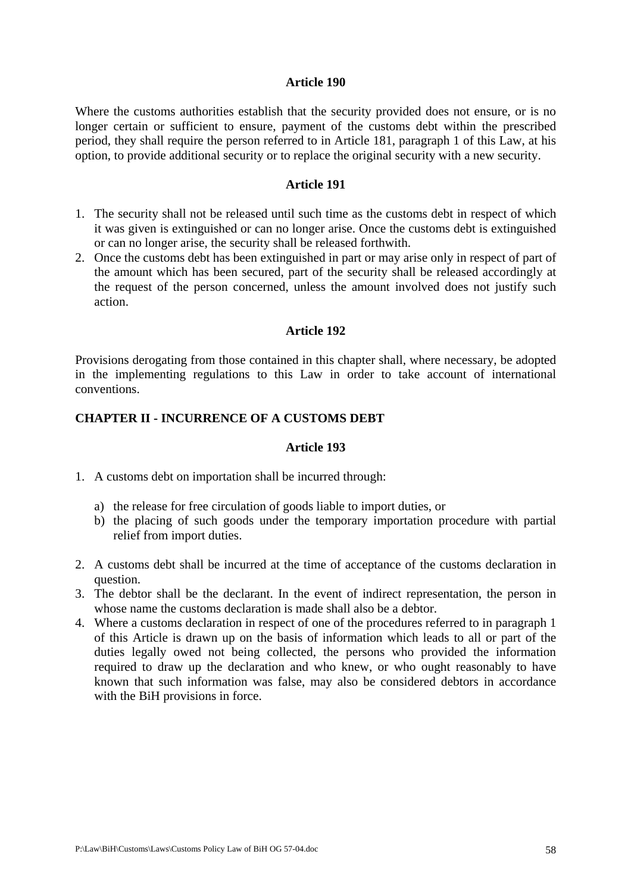Where the customs authorities establish that the security provided does not ensure, or is no longer certain or sufficient to ensure, payment of the customs debt within the prescribed period, they shall require the person referred to in Article 181, paragraph 1 of this Law, at his option, to provide additional security or to replace the original security with a new security.

#### **Article 191**

- 1. The security shall not be released until such time as the customs debt in respect of which it was given is extinguished or can no longer arise. Once the customs debt is extinguished or can no longer arise, the security shall be released forthwith.
- 2. Once the customs debt has been extinguished in part or may arise only in respect of part of the amount which has been secured, part of the security shall be released accordingly at the request of the person concerned, unless the amount involved does not justify such action.

### **Article 192**

Provisions derogating from those contained in this chapter shall, where necessary, be adopted in the implementing regulations to this Law in order to take account of international conventions.

## **CHAPTER II - INCURRENCE OF A CUSTOMS DEBT**

- 1. A customs debt on importation shall be incurred through:
	- a) the release for free circulation of goods liable to import duties, or
	- b) the placing of such goods under the temporary importation procedure with partial relief from import duties.
- 2. A customs debt shall be incurred at the time of acceptance of the customs declaration in question.
- 3. The debtor shall be the declarant. In the event of indirect representation, the person in whose name the customs declaration is made shall also be a debtor.
- 4. Where a customs declaration in respect of one of the procedures referred to in paragraph 1 of this Article is drawn up on the basis of information which leads to all or part of the duties legally owed not being collected, the persons who provided the information required to draw up the declaration and who knew, or who ought reasonably to have known that such information was false, may also be considered debtors in accordance with the BiH provisions in force.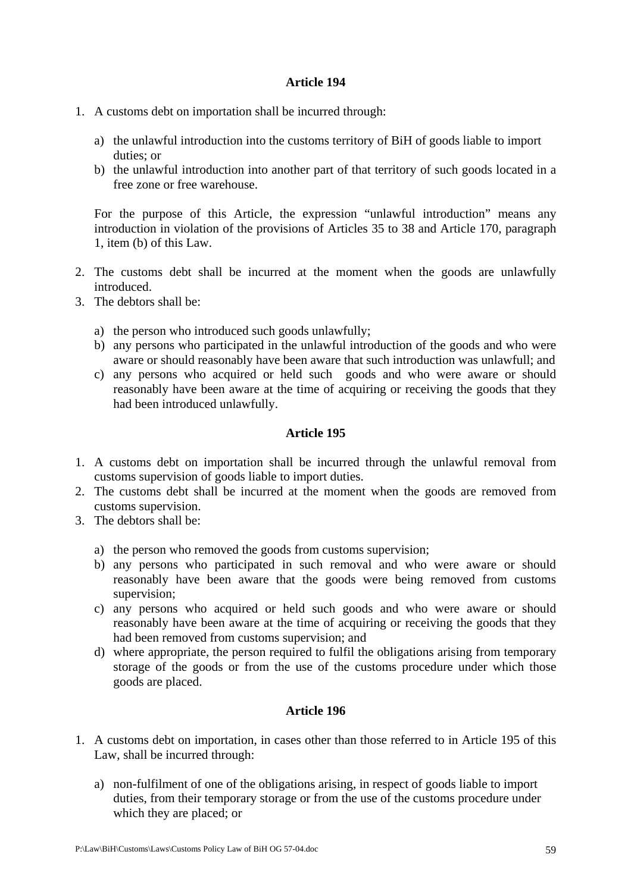- 1. A customs debt on importation shall be incurred through:
	- a) the unlawful introduction into the customs territory of BiH of goods liable to import duties; or
	- b) the unlawful introduction into another part of that territory of such goods located in a free zone or free warehouse.

For the purpose of this Article, the expression "unlawful introduction" means any introduction in violation of the provisions of Articles 35 to 38 and Article 170, paragraph 1, item (b) of this Law.

- 2. The customs debt shall be incurred at the moment when the goods are unlawfully introduced.
- 3. The debtors shall be:
	- a) the person who introduced such goods unlawfully;
	- b) any persons who participated in the unlawful introduction of the goods and who were aware or should reasonably have been aware that such introduction was unlawfull; and
	- c) any persons who acquired or held such goods and who were aware or should reasonably have been aware at the time of acquiring or receiving the goods that they had been introduced unlawfully.

# **Article 195**

- 1. A customs debt on importation shall be incurred through the unlawful removal from customs supervision of goods liable to import duties.
- 2. The customs debt shall be incurred at the moment when the goods are removed from customs supervision.
- 3. The debtors shall be:
	- a) the person who removed the goods from customs supervision;
	- b) any persons who participated in such removal and who were aware or should reasonably have been aware that the goods were being removed from customs supervision;
	- c) any persons who acquired or held such goods and who were aware or should reasonably have been aware at the time of acquiring or receiving the goods that they had been removed from customs supervision; and
	- d) where appropriate, the person required to fulfil the obligations arising from temporary storage of the goods or from the use of the customs procedure under which those goods are placed.

- 1. A customs debt on importation, in cases other than those referred to in Article 195 of this Law, shall be incurred through:
	- a) non-fulfilment of one of the obligations arising, in respect of goods liable to import duties, from their temporary storage or from the use of the customs procedure under which they are placed; or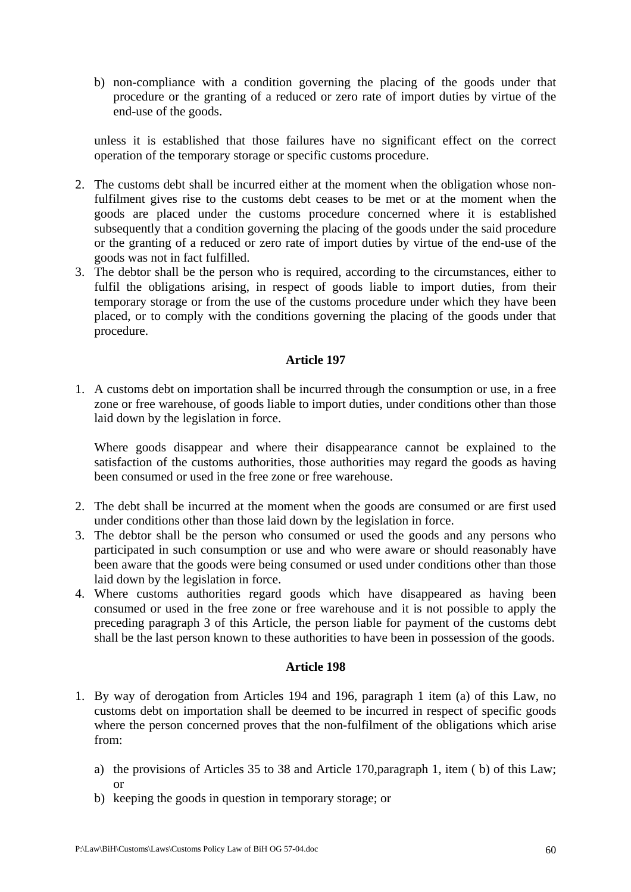b) non-compliance with a condition governing the placing of the goods under that procedure or the granting of a reduced or zero rate of import duties by virtue of the end-use of the goods.

unless it is established that those failures have no significant effect on the correct operation of the temporary storage or specific customs procedure.

- 2. The customs debt shall be incurred either at the moment when the obligation whose nonfulfilment gives rise to the customs debt ceases to be met or at the moment when the goods are placed under the customs procedure concerned where it is established subsequently that a condition governing the placing of the goods under the said procedure or the granting of a reduced or zero rate of import duties by virtue of the end-use of the goods was not in fact fulfilled.
- 3. The debtor shall be the person who is required, according to the circumstances, either to fulfil the obligations arising, in respect of goods liable to import duties, from their temporary storage or from the use of the customs procedure under which they have been placed, or to comply with the conditions governing the placing of the goods under that procedure.

# **Article 197**

1. A customs debt on importation shall be incurred through the consumption or use, in a free zone or free warehouse, of goods liable to import duties, under conditions other than those laid down by the legislation in force.

Where goods disappear and where their disappearance cannot be explained to the satisfaction of the customs authorities, those authorities may regard the goods as having been consumed or used in the free zone or free warehouse.

- 2. The debt shall be incurred at the moment when the goods are consumed or are first used under conditions other than those laid down by the legislation in force.
- 3. The debtor shall be the person who consumed or used the goods and any persons who participated in such consumption or use and who were aware or should reasonably have been aware that the goods were being consumed or used under conditions other than those laid down by the legislation in force.
- 4. Where customs authorities regard goods which have disappeared as having been consumed or used in the free zone or free warehouse and it is not possible to apply the preceding paragraph 3 of this Article, the person liable for payment of the customs debt shall be the last person known to these authorities to have been in possession of the goods.

- 1. By way of derogation from Articles 194 and 196, paragraph 1 item (a) of this Law, no customs debt on importation shall be deemed to be incurred in respect of specific goods where the person concerned proves that the non-fulfilment of the obligations which arise from:
	- a) the provisions of Articles 35 to 38 and Article 170,paragraph 1, item ( b) of this Law; or
	- b) keeping the goods in question in temporary storage; or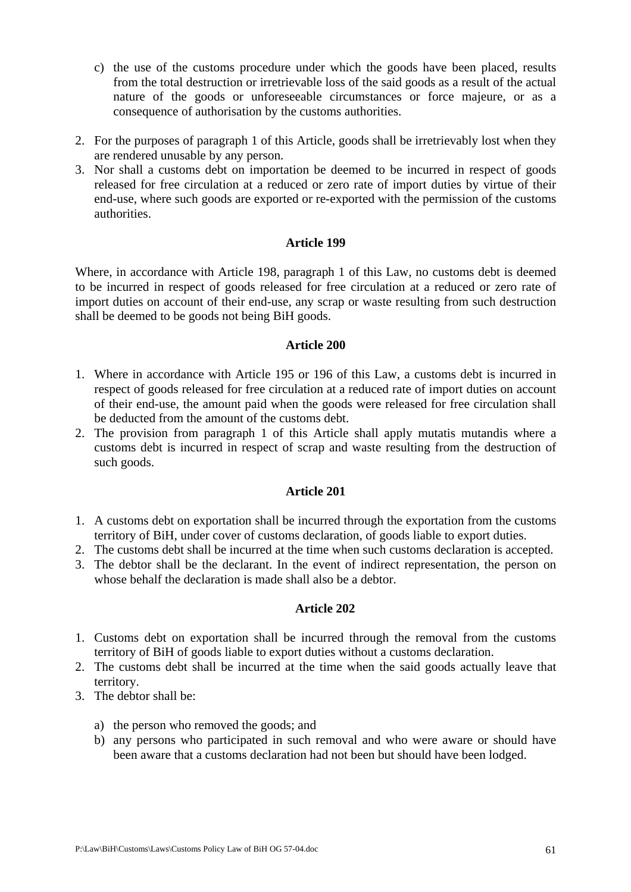- c) the use of the customs procedure under which the goods have been placed, results from the total destruction or irretrievable loss of the said goods as a result of the actual nature of the goods or unforeseeable circumstances or force majeure, or as a consequence of authorisation by the customs authorities.
- 2. For the purposes of paragraph 1 of this Article, goods shall be irretrievably lost when they are rendered unusable by any person.
- 3. Nor shall a customs debt on importation be deemed to be incurred in respect of goods released for free circulation at a reduced or zero rate of import duties by virtue of their end-use, where such goods are exported or re-exported with the permission of the customs authorities.

Where, in accordance with Article 198, paragraph 1 of this Law, no customs debt is deemed to be incurred in respect of goods released for free circulation at a reduced or zero rate of import duties on account of their end-use, any scrap or waste resulting from such destruction shall be deemed to be goods not being BiH goods.

## **Article 200**

- 1. Where in accordance with Article 195 or 196 of this Law, a customs debt is incurred in respect of goods released for free circulation at a reduced rate of import duties on account of their end-use, the amount paid when the goods were released for free circulation shall be deducted from the amount of the customs debt.
- 2. The provision from paragraph 1 of this Article shall apply mutatis mutandis where a customs debt is incurred in respect of scrap and waste resulting from the destruction of such goods.

# **Article 201**

- 1. A customs debt on exportation shall be incurred through the exportation from the customs territory of BiH, under cover of customs declaration, of goods liable to export duties.
- 2. The customs debt shall be incurred at the time when such customs declaration is accepted.
- 3. The debtor shall be the declarant. In the event of indirect representation, the person on whose behalf the declaration is made shall also be a debtor.

- 1. Customs debt on exportation shall be incurred through the removal from the customs territory of BiH of goods liable to export duties without a customs declaration.
- 2. The customs debt shall be incurred at the time when the said goods actually leave that territory.
- 3. The debtor shall be:
	- a) the person who removed the goods; and
	- b) any persons who participated in such removal and who were aware or should have been aware that a customs declaration had not been but should have been lodged.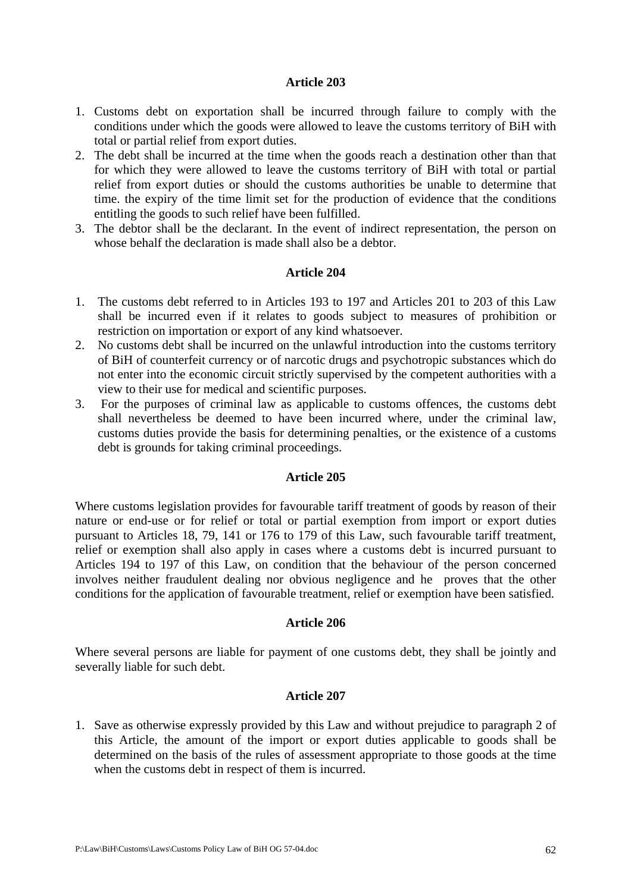- 1. Customs debt on exportation shall be incurred through failure to comply with the conditions under which the goods were allowed to leave the customs territory of BiH with total or partial relief from export duties.
- 2. The debt shall be incurred at the time when the goods reach a destination other than that for which they were allowed to leave the customs territory of BiH with total or partial relief from export duties or should the customs authorities be unable to determine that time. the expiry of the time limit set for the production of evidence that the conditions entitling the goods to such relief have been fulfilled.
- 3. The debtor shall be the declarant. In the event of indirect representation, the person on whose behalf the declaration is made shall also be a debtor.

## **Article 204**

- 1. The customs debt referred to in Articles 193 to 197 and Articles 201 to 203 of this Law shall be incurred even if it relates to goods subject to measures of prohibition or restriction on importation or export of any kind whatsoever.
- 2. No customs debt shall be incurred on the unlawful introduction into the customs territory of BiH of counterfeit currency or of narcotic drugs and psychotropic substances which do not enter into the economic circuit strictly supervised by the competent authorities with a view to their use for medical and scientific purposes.
- 3. For the purposes of criminal law as applicable to customs offences, the customs debt shall nevertheless be deemed to have been incurred where, under the criminal law, customs duties provide the basis for determining penalties, or the existence of a customs debt is grounds for taking criminal proceedings.

### **Article 205**

Where customs legislation provides for favourable tariff treatment of goods by reason of their nature or end-use or for relief or total or partial exemption from import or export duties pursuant to Articles 18, 79, 141 or 176 to 179 of this Law, such favourable tariff treatment, relief or exemption shall also apply in cases where a customs debt is incurred pursuant to Articles 194 to 197 of this Law, on condition that the behaviour of the person concerned involves neither fraudulent dealing nor obvious negligence and he proves that the other conditions for the application of favourable treatment, relief or exemption have been satisfied.

### **Article 206**

Where several persons are liable for payment of one customs debt, they shall be jointly and severally liable for such debt.

### **Article 207**

1. Save as otherwise expressly provided by this Law and without prejudice to paragraph 2 of this Article, the amount of the import or export duties applicable to goods shall be determined on the basis of the rules of assessment appropriate to those goods at the time when the customs debt in respect of them is incurred.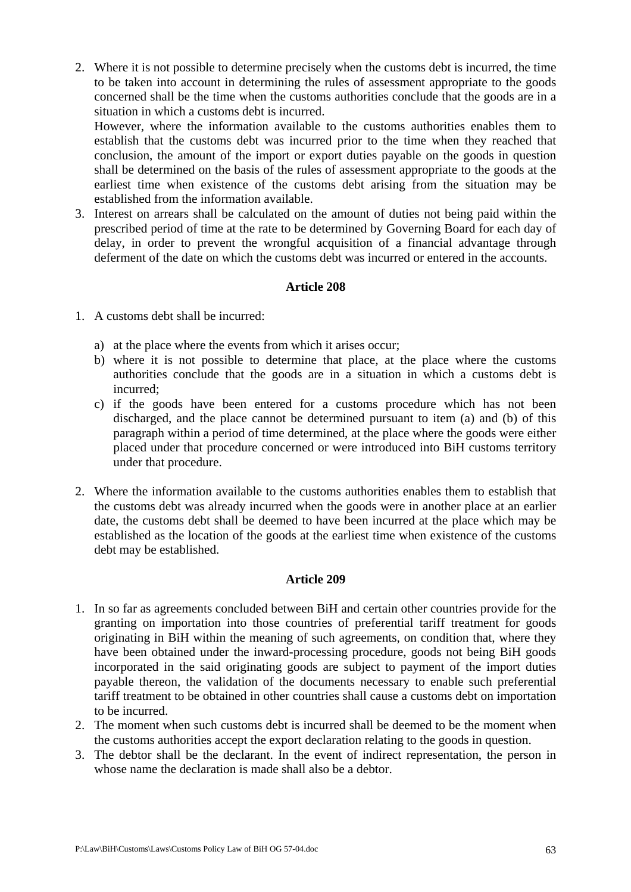2. Where it is not possible to determine precisely when the customs debt is incurred, the time to be taken into account in determining the rules of assessment appropriate to the goods concerned shall be the time when the customs authorities conclude that the goods are in a situation in which a customs debt is incurred.

However, where the information available to the customs authorities enables them to establish that the customs debt was incurred prior to the time when they reached that conclusion, the amount of the import or export duties payable on the goods in question shall be determined on the basis of the rules of assessment appropriate to the goods at the earliest time when existence of the customs debt arising from the situation may be established from the information available.

3. Interest on arrears shall be calculated on the amount of duties not being paid within the prescribed period of time at the rate to be determined by Governing Board for each day of delay, in order to prevent the wrongful acquisition of a financial advantage through deferment of the date on which the customs debt was incurred or entered in the accounts.

## **Article 208**

- 1. A customs debt shall be incurred:
	- a) at the place where the events from which it arises occur;
	- b) where it is not possible to determine that place, at the place where the customs authorities conclude that the goods are in a situation in which a customs debt is incurred;
	- c) if the goods have been entered for a customs procedure which has not been discharged, and the place cannot be determined pursuant to item (a) and (b) of this paragraph within a period of time determined, at the place where the goods were either placed under that procedure concerned or were introduced into BiH customs territory under that procedure.
- 2. Where the information available to the customs authorities enables them to establish that the customs debt was already incurred when the goods were in another place at an earlier date, the customs debt shall be deemed to have been incurred at the place which may be established as the location of the goods at the earliest time when existence of the customs debt may be established.

- 1. In so far as agreements concluded between BiH and certain other countries provide for the granting on importation into those countries of preferential tariff treatment for goods originating in BiH within the meaning of such agreements, on condition that, where they have been obtained under the inward-processing procedure, goods not being BiH goods incorporated in the said originating goods are subject to payment of the import duties payable thereon, the validation of the documents necessary to enable such preferential tariff treatment to be obtained in other countries shall cause a customs debt on importation to be incurred.
- 2. The moment when such customs debt is incurred shall be deemed to be the moment when the customs authorities accept the export declaration relating to the goods in question.
- 3. The debtor shall be the declarant. In the event of indirect representation, the person in whose name the declaration is made shall also be a debtor.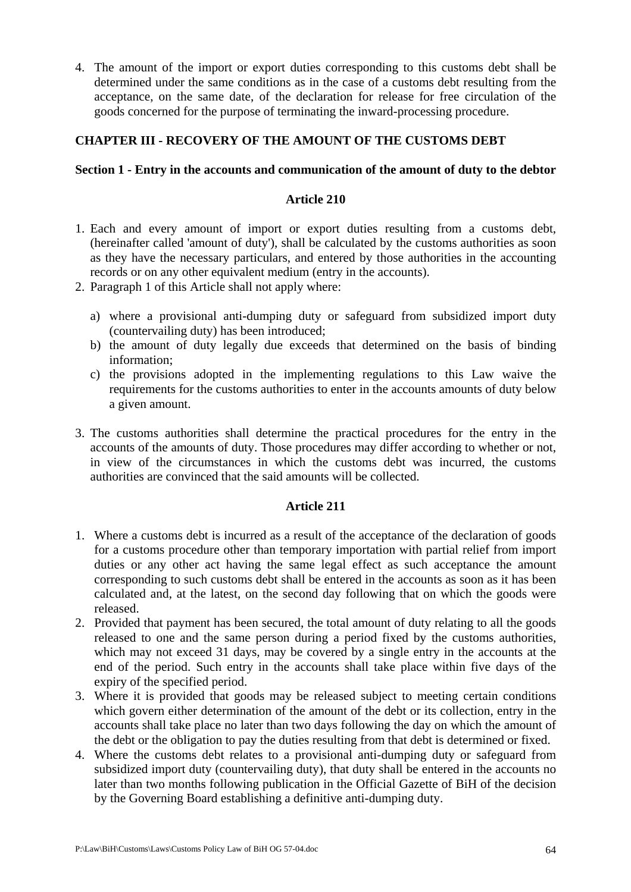4. The amount of the import or export duties corresponding to this customs debt shall be determined under the same conditions as in the case of a customs debt resulting from the acceptance, on the same date, of the declaration for release for free circulation of the goods concerned for the purpose of terminating the inward-processing procedure.

# **CHAPTER III - RECOVERY OF THE AMOUNT OF THE CUSTOMS DEBT**

## **Section 1 - Entry in the accounts and communication of the amount of duty to the debtor**

## **Article 210**

- 1. Each and every amount of import or export duties resulting from a customs debt, (hereinafter called 'amount of duty'), shall be calculated by the customs authorities as soon as they have the necessary particulars, and entered by those authorities in the accounting records or on any other equivalent medium (entry in the accounts).
- 2. Paragraph 1 of this Article shall not apply where:
	- a) where a provisional anti-dumping duty or safeguard from subsidized import duty (countervailing duty) has been introduced;
	- b) the amount of duty legally due exceeds that determined on the basis of binding information;
	- c) the provisions adopted in the implementing regulations to this Law waive the requirements for the customs authorities to enter in the accounts amounts of duty below a given amount.
- 3. The customs authorities shall determine the practical procedures for the entry in the accounts of the amounts of duty. Those procedures may differ according to whether or not, in view of the circumstances in which the customs debt was incurred, the customs authorities are convinced that the said amounts will be collected.

- 1. Where a customs debt is incurred as a result of the acceptance of the declaration of goods for a customs procedure other than temporary importation with partial relief from import duties or any other act having the same legal effect as such acceptance the amount corresponding to such customs debt shall be entered in the accounts as soon as it has been calculated and, at the latest, on the second day following that on which the goods were released.
- 2. Provided that payment has been secured, the total amount of duty relating to all the goods released to one and the same person during a period fixed by the customs authorities, which may not exceed 31 days, may be covered by a single entry in the accounts at the end of the period. Such entry in the accounts shall take place within five days of the expiry of the specified period.
- 3. Where it is provided that goods may be released subject to meeting certain conditions which govern either determination of the amount of the debt or its collection, entry in the accounts shall take place no later than two days following the day on which the amount of the debt or the obligation to pay the duties resulting from that debt is determined or fixed.
- 4. Where the customs debt relates to a provisional anti-dumping duty or safeguard from subsidized import duty (countervailing duty), that duty shall be entered in the accounts no later than two months following publication in the Official Gazette of BiH of the decision by the Governing Board establishing a definitive anti-dumping duty.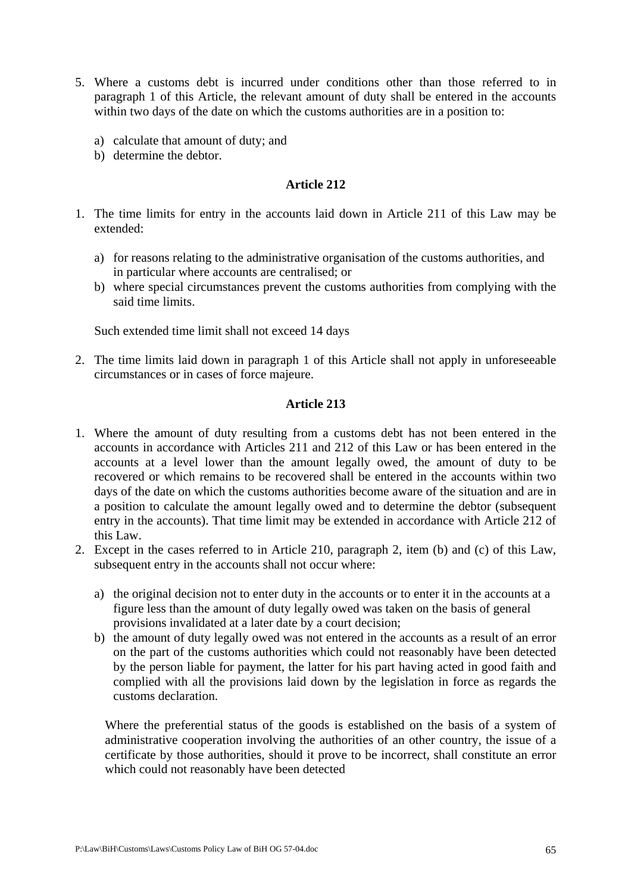- 5. Where a customs debt is incurred under conditions other than those referred to in paragraph 1 of this Article, the relevant amount of duty shall be entered in the accounts within two days of the date on which the customs authorities are in a position to:
	- a) calculate that amount of duty; and
	- b) determine the debtor.

- 1. The time limits for entry in the accounts laid down in Article 211 of this Law may be extended:
	- a) for reasons relating to the administrative organisation of the customs authorities, and in particular where accounts are centralised; or
	- b) where special circumstances prevent the customs authorities from complying with the said time limits.

Such extended time limit shall not exceed 14 days

2. The time limits laid down in paragraph 1 of this Article shall not apply in unforeseeable circumstances or in cases of force majeure.

#### **Article 213**

- 1. Where the amount of duty resulting from a customs debt has not been entered in the accounts in accordance with Articles 211 and 212 of this Law or has been entered in the accounts at a level lower than the amount legally owed, the amount of duty to be recovered or which remains to be recovered shall be entered in the accounts within two days of the date on which the customs authorities become aware of the situation and are in a position to calculate the amount legally owed and to determine the debtor (subsequent entry in the accounts). That time limit may be extended in accordance with Article 212 of this Law.
- 2. Except in the cases referred to in Article 210, paragraph 2, item (b) and (c) of this Law, subsequent entry in the accounts shall not occur where:
	- a) the original decision not to enter duty in the accounts or to enter it in the accounts at a figure less than the amount of duty legally owed was taken on the basis of general provisions invalidated at a later date by a court decision;
	- b) the amount of duty legally owed was not entered in the accounts as a result of an error on the part of the customs authorities which could not reasonably have been detected by the person liable for payment, the latter for his part having acted in good faith and complied with all the provisions laid down by the legislation in force as regards the customs declaration.

Where the preferential status of the goods is established on the basis of a system of administrative cooperation involving the authorities of an other country, the issue of a certificate by those authorities, should it prove to be incorrect, shall constitute an error which could not reasonably have been detected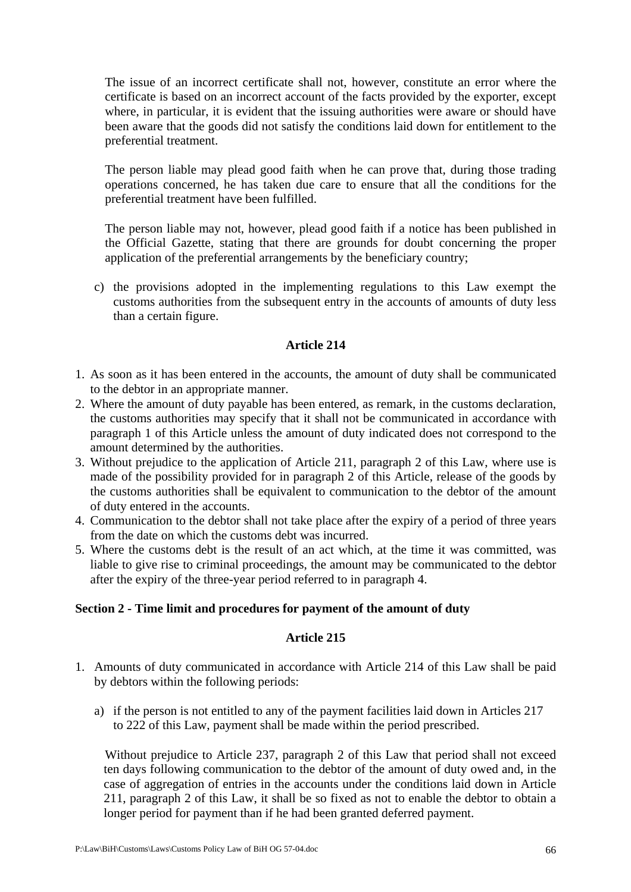The issue of an incorrect certificate shall not, however, constitute an error where the certificate is based on an incorrect account of the facts provided by the exporter, except where, in particular, it is evident that the issuing authorities were aware or should have been aware that the goods did not satisfy the conditions laid down for entitlement to the preferential treatment.

The person liable may plead good faith when he can prove that, during those trading operations concerned, he has taken due care to ensure that all the conditions for the preferential treatment have been fulfilled.

The person liable may not, however, plead good faith if a notice has been published in the Official Gazette, stating that there are grounds for doubt concerning the proper application of the preferential arrangements by the beneficiary country;

c) the provisions adopted in the implementing regulations to this Law exempt the customs authorities from the subsequent entry in the accounts of amounts of duty less than a certain figure.

## **Article 214**

- 1. As soon as it has been entered in the accounts, the amount of duty shall be communicated to the debtor in an appropriate manner.
- 2. Where the amount of duty payable has been entered, as remark, in the customs declaration, the customs authorities may specify that it shall not be communicated in accordance with paragraph 1 of this Article unless the amount of duty indicated does not correspond to the amount determined by the authorities.
- 3. Without prejudice to the application of Article 211, paragraph 2 of this Law, where use is made of the possibility provided for in paragraph 2 of this Article, release of the goods by the customs authorities shall be equivalent to communication to the debtor of the amount of duty entered in the accounts.
- 4. Communication to the debtor shall not take place after the expiry of a period of three years from the date on which the customs debt was incurred.
- 5. Where the customs debt is the result of an act which, at the time it was committed, was liable to give rise to criminal proceedings, the amount may be communicated to the debtor after the expiry of the three-year period referred to in paragraph 4.

### **Section 2 - Time limit and procedures for payment of the amount of duty**

# **Article 215**

- 1. Amounts of duty communicated in accordance with Article 214 of this Law shall be paid by debtors within the following periods:
	- a) if the person is not entitled to any of the payment facilities laid down in Articles 217 to 222 of this Law, payment shall be made within the period prescribed.

Without prejudice to Article 237, paragraph 2 of this Law that period shall not exceed ten days following communication to the debtor of the amount of duty owed and, in the case of aggregation of entries in the accounts under the conditions laid down in Article 211, paragraph 2 of this Law, it shall be so fixed as not to enable the debtor to obtain a longer period for payment than if he had been granted deferred payment.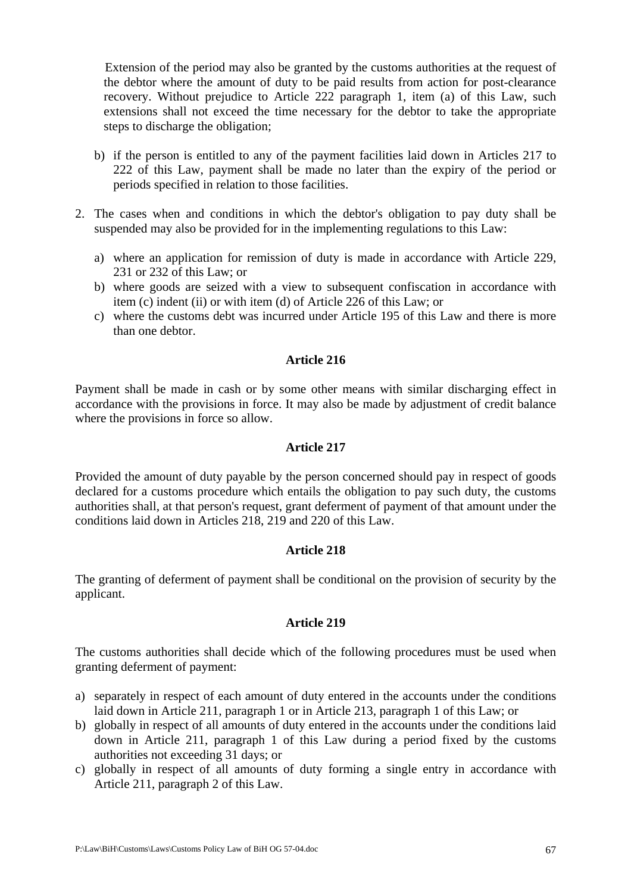Extension of the period may also be granted by the customs authorities at the request of the debtor where the amount of duty to be paid results from action for post-clearance recovery. Without prejudice to Article 222 paragraph 1, item (a) of this Law, such extensions shall not exceed the time necessary for the debtor to take the appropriate steps to discharge the obligation;

- b) if the person is entitled to any of the payment facilities laid down in Articles 217 to 222 of this Law, payment shall be made no later than the expiry of the period or periods specified in relation to those facilities.
- 2. The cases when and conditions in which the debtor's obligation to pay duty shall be suspended may also be provided for in the implementing regulations to this Law:
	- a) where an application for remission of duty is made in accordance with Article 229, 231 or 232 of this Law; or
	- b) where goods are seized with a view to subsequent confiscation in accordance with item (c) indent (ii) or with item (d) of Article 226 of this Law; or
	- c) where the customs debt was incurred under Article 195 of this Law and there is more than one debtor.

# **Article 216**

Payment shall be made in cash or by some other means with similar discharging effect in accordance with the provisions in force. It may also be made by adjustment of credit balance where the provisions in force so allow.

### **Article 217**

Provided the amount of duty payable by the person concerned should pay in respect of goods declared for a customs procedure which entails the obligation to pay such duty, the customs authorities shall, at that person's request, grant deferment of payment of that amount under the conditions laid down in Articles 218, 219 and 220 of this Law.

### **Article 218**

The granting of deferment of payment shall be conditional on the provision of security by the applicant.

### **Article 219**

The customs authorities shall decide which of the following procedures must be used when granting deferment of payment:

- a) separately in respect of each amount of duty entered in the accounts under the conditions laid down in Article 211, paragraph 1 or in Article 213, paragraph 1 of this Law; or
- b) globally in respect of all amounts of duty entered in the accounts under the conditions laid down in Article 211, paragraph 1 of this Law during a period fixed by the customs authorities not exceeding 31 days; or
- c) globally in respect of all amounts of duty forming a single entry in accordance with Article 211, paragraph 2 of this Law.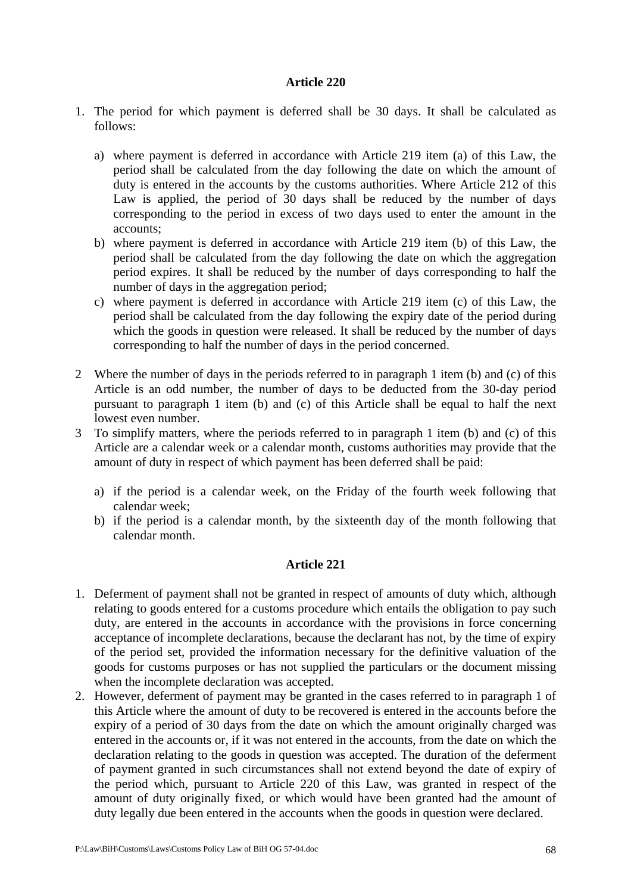- 1. The period for which payment is deferred shall be 30 days. It shall be calculated as follows:
	- a) where payment is deferred in accordance with Article 219 item (a) of this Law, the period shall be calculated from the day following the date on which the amount of duty is entered in the accounts by the customs authorities. Where Article 212 of this Law is applied, the period of 30 days shall be reduced by the number of days corresponding to the period in excess of two days used to enter the amount in the accounts;
	- b) where payment is deferred in accordance with Article 219 item (b) of this Law, the period shall be calculated from the day following the date on which the aggregation period expires. It shall be reduced by the number of days corresponding to half the number of days in the aggregation period;
	- c) where payment is deferred in accordance with Article 219 item (c) of this Law, the period shall be calculated from the day following the expiry date of the period during which the goods in question were released. It shall be reduced by the number of days corresponding to half the number of days in the period concerned.
- 2 Where the number of days in the periods referred to in paragraph 1 item (b) and (c) of this Article is an odd number, the number of days to be deducted from the 30-day period pursuant to paragraph 1 item (b) and (c) of this Article shall be equal to half the next lowest even number.
- 3 To simplify matters, where the periods referred to in paragraph 1 item (b) and (c) of this Article are a calendar week or a calendar month, customs authorities may provide that the amount of duty in respect of which payment has been deferred shall be paid:
	- a) if the period is a calendar week, on the Friday of the fourth week following that calendar week;
	- b) if the period is a calendar month, by the sixteenth day of the month following that calendar month.

- 1. Deferment of payment shall not be granted in respect of amounts of duty which, although relating to goods entered for a customs procedure which entails the obligation to pay such duty, are entered in the accounts in accordance with the provisions in force concerning acceptance of incomplete declarations, because the declarant has not, by the time of expiry of the period set, provided the information necessary for the definitive valuation of the goods for customs purposes or has not supplied the particulars or the document missing when the incomplete declaration was accepted.
- 2. However, deferment of payment may be granted in the cases referred to in paragraph 1 of this Article where the amount of duty to be recovered is entered in the accounts before the expiry of a period of 30 days from the date on which the amount originally charged was entered in the accounts or, if it was not entered in the accounts, from the date on which the declaration relating to the goods in question was accepted. The duration of the deferment of payment granted in such circumstances shall not extend beyond the date of expiry of the period which, pursuant to Article 220 of this Law, was granted in respect of the amount of duty originally fixed, or which would have been granted had the amount of duty legally due been entered in the accounts when the goods in question were declared.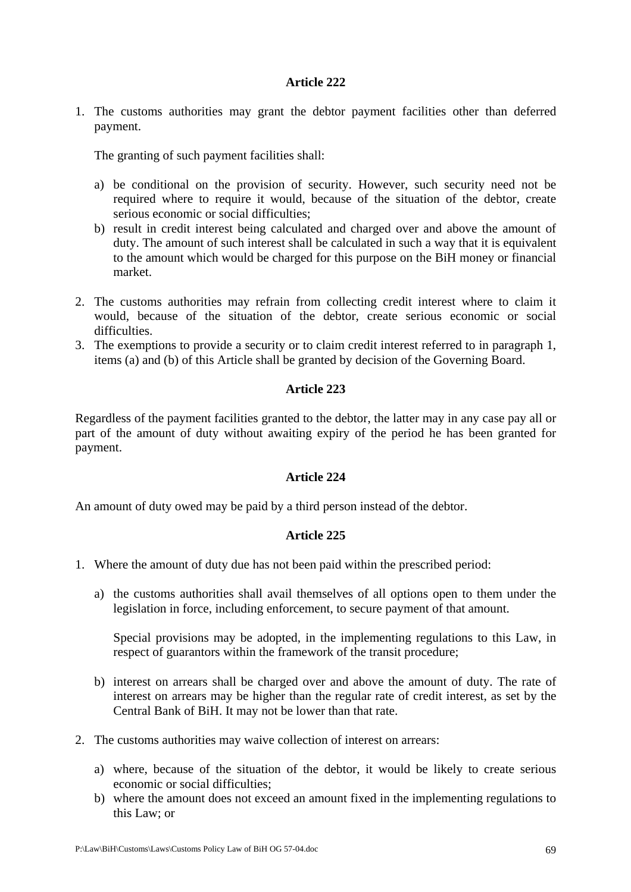1. The customs authorities may grant the debtor payment facilities other than deferred payment.

The granting of such payment facilities shall:

- a) be conditional on the provision of security. However, such security need not be required where to require it would, because of the situation of the debtor, create serious economic or social difficulties;
- b) result in credit interest being calculated and charged over and above the amount of duty. The amount of such interest shall be calculated in such a way that it is equivalent to the amount which would be charged for this purpose on the BiH money or financial market.
- 2. The customs authorities may refrain from collecting credit interest where to claim it would, because of the situation of the debtor, create serious economic or social difficulties.
- 3. The exemptions to provide a security or to claim credit interest referred to in paragraph 1, items (a) and (b) of this Article shall be granted by decision of the Governing Board.

## **Article 223**

Regardless of the payment facilities granted to the debtor, the latter may in any case pay all or part of the amount of duty without awaiting expiry of the period he has been granted for payment.

### **Article 224**

An amount of duty owed may be paid by a third person instead of the debtor.

# **Article 225**

- 1. Where the amount of duty due has not been paid within the prescribed period:
	- a) the customs authorities shall avail themselves of all options open to them under the legislation in force, including enforcement, to secure payment of that amount.

Special provisions may be adopted, in the implementing regulations to this Law, in respect of guarantors within the framework of the transit procedure;

- b) interest on arrears shall be charged over and above the amount of duty. The rate of interest on arrears may be higher than the regular rate of credit interest, as set by the Central Bank of BiH. It may not be lower than that rate.
- 2. The customs authorities may waive collection of interest on arrears:
	- a) where, because of the situation of the debtor, it would be likely to create serious economic or social difficulties;
	- b) where the amount does not exceed an amount fixed in the implementing regulations to this Law; or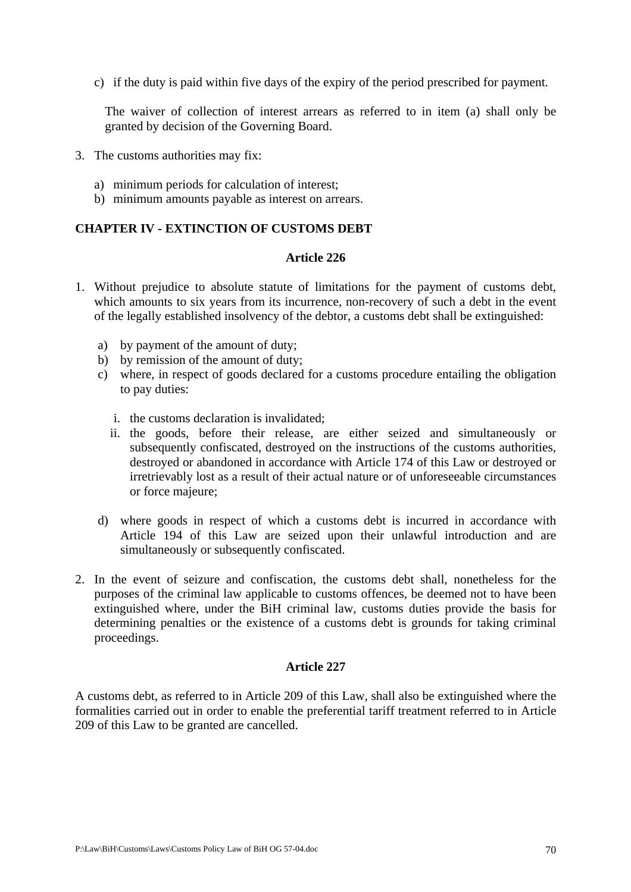c) if the duty is paid within five days of the expiry of the period prescribed for payment.

The waiver of collection of interest arrears as referred to in item (a) shall only be granted by decision of the Governing Board.

- 3. The customs authorities may fix:
	- a) minimum periods for calculation of interest;
	- b) minimum amounts payable as interest on arrears.

### **CHAPTER IV - EXTINCTION OF CUSTOMS DEBT**

#### **Article 226**

- 1. Without prejudice to absolute statute of limitations for the payment of customs debt, which amounts to six years from its incurrence, non-recovery of such a debt in the event of the legally established insolvency of the debtor, a customs debt shall be extinguished:
	- a) by payment of the amount of duty;
	- b) by remission of the amount of duty;
	- c) where, in respect of goods declared for a customs procedure entailing the obligation to pay duties:
		- i. the customs declaration is invalidated;
		- ii. the goods, before their release, are either seized and simultaneously or subsequently confiscated, destroyed on the instructions of the customs authorities, destroyed or abandoned in accordance with Article 174 of this Law or destroyed or irretrievably lost as a result of their actual nature or of unforeseeable circumstances or force majeure;
	- d) where goods in respect of which a customs debt is incurred in accordance with Article 194 of this Law are seized upon their unlawful introduction and are simultaneously or subsequently confiscated.
- 2. In the event of seizure and confiscation, the customs debt shall, nonetheless for the purposes of the criminal law applicable to customs offences, be deemed not to have been extinguished where, under the BiH criminal law, customs duties provide the basis for determining penalties or the existence of a customs debt is grounds for taking criminal proceedings.

## **Article 227**

A customs debt, as referred to in Article 209 of this Law, shall also be extinguished where the formalities carried out in order to enable the preferential tariff treatment referred to in Article 209 of this Law to be granted are cancelled.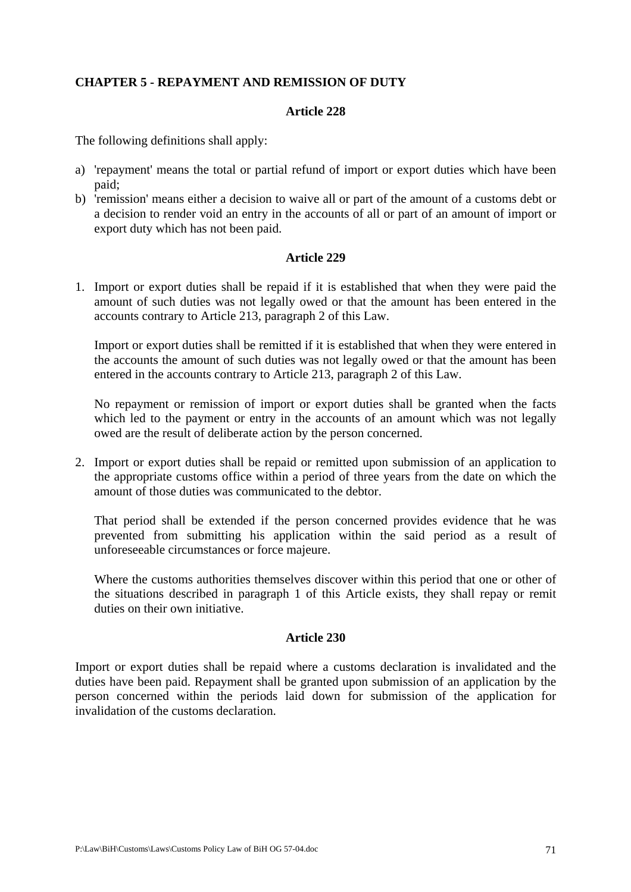## **CHAPTER 5 - REPAYMENT AND REMISSION OF DUTY**

### **Article 228**

The following definitions shall apply:

- a) 'repayment' means the total or partial refund of import or export duties which have been paid;
- b) 'remission' means either a decision to waive all or part of the amount of a customs debt or a decision to render void an entry in the accounts of all or part of an amount of import or export duty which has not been paid.

### **Article 229**

1. Import or export duties shall be repaid if it is established that when they were paid the amount of such duties was not legally owed or that the amount has been entered in the accounts contrary to Article 213, paragraph 2 of this Law.

Import or export duties shall be remitted if it is established that when they were entered in the accounts the amount of such duties was not legally owed or that the amount has been entered in the accounts contrary to Article 213, paragraph 2 of this Law.

No repayment or remission of import or export duties shall be granted when the facts which led to the payment or entry in the accounts of an amount which was not legally owed are the result of deliberate action by the person concerned.

2. Import or export duties shall be repaid or remitted upon submission of an application to the appropriate customs office within a period of three years from the date on which the amount of those duties was communicated to the debtor.

That period shall be extended if the person concerned provides evidence that he was prevented from submitting his application within the said period as a result of unforeseeable circumstances or force majeure.

Where the customs authorities themselves discover within this period that one or other of the situations described in paragraph 1 of this Article exists, they shall repay or remit duties on their own initiative.

### **Article 230**

Import or export duties shall be repaid where a customs declaration is invalidated and the duties have been paid. Repayment shall be granted upon submission of an application by the person concerned within the periods laid down for submission of the application for invalidation of the customs declaration.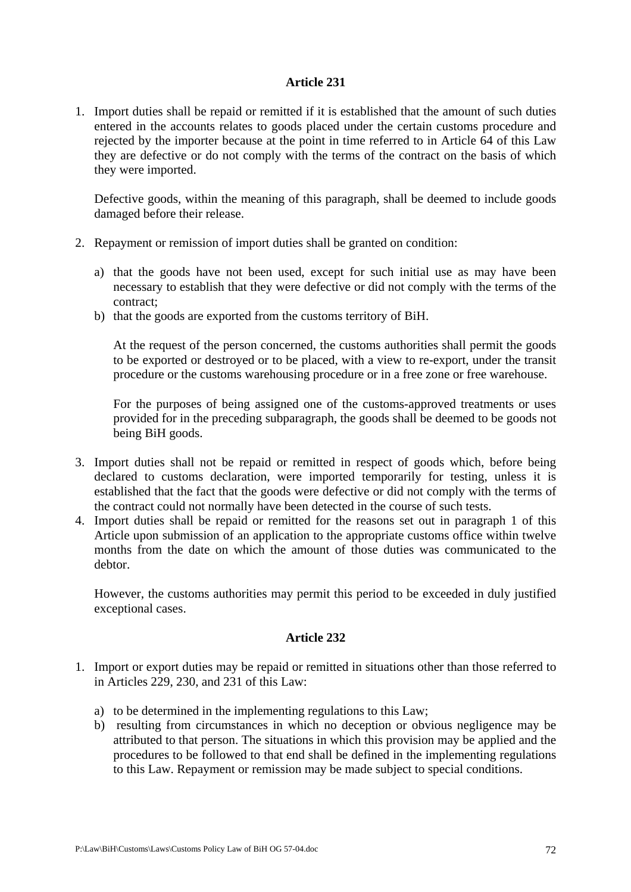1. Import duties shall be repaid or remitted if it is established that the amount of such duties entered in the accounts relates to goods placed under the certain customs procedure and rejected by the importer because at the point in time referred to in Article 64 of this Law they are defective or do not comply with the terms of the contract on the basis of which they were imported.

Defective goods, within the meaning of this paragraph, shall be deemed to include goods damaged before their release.

- 2. Repayment or remission of import duties shall be granted on condition:
	- a) that the goods have not been used, except for such initial use as may have been necessary to establish that they were defective or did not comply with the terms of the contract;
	- b) that the goods are exported from the customs territory of BiH.

At the request of the person concerned, the customs authorities shall permit the goods to be exported or destroyed or to be placed, with a view to re-export, under the transit procedure or the customs warehousing procedure or in a free zone or free warehouse.

For the purposes of being assigned one of the customs-approved treatments or uses provided for in the preceding subparagraph, the goods shall be deemed to be goods not being BiH goods.

- 3. Import duties shall not be repaid or remitted in respect of goods which, before being declared to customs declaration, were imported temporarily for testing, unless it is established that the fact that the goods were defective or did not comply with the terms of the contract could not normally have been detected in the course of such tests.
- 4. Import duties shall be repaid or remitted for the reasons set out in paragraph 1 of this Article upon submission of an application to the appropriate customs office within twelve months from the date on which the amount of those duties was communicated to the debtor.

However, the customs authorities may permit this period to be exceeded in duly justified exceptional cases.

- 1. Import or export duties may be repaid or remitted in situations other than those referred to in Articles 229, 230, and 231 of this Law:
	- a) to be determined in the implementing regulations to this Law;
	- b) resulting from circumstances in which no deception or obvious negligence may be attributed to that person. The situations in which this provision may be applied and the procedures to be followed to that end shall be defined in the implementing regulations to this Law. Repayment or remission may be made subject to special conditions.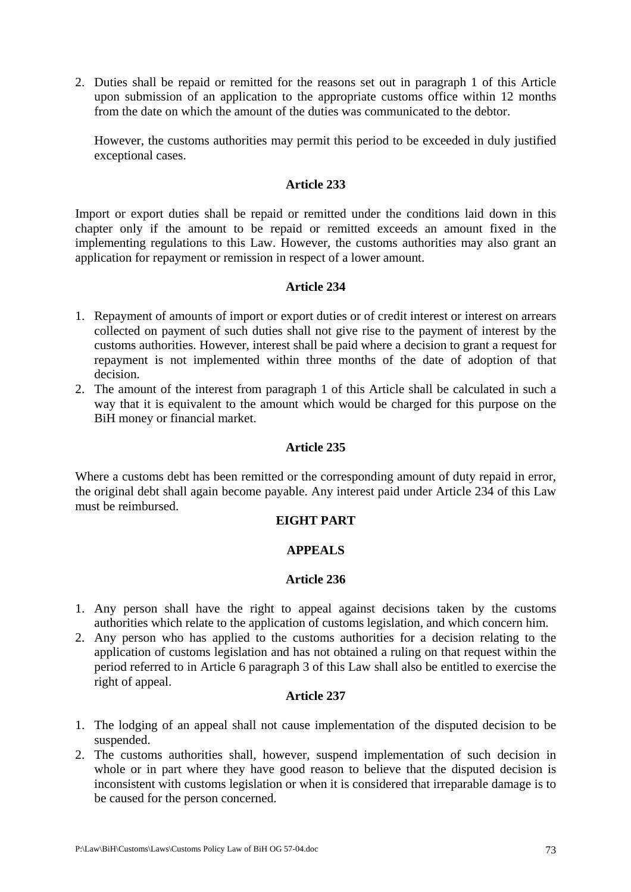2. Duties shall be repaid or remitted for the reasons set out in paragraph 1 of this Article upon submission of an application to the appropriate customs office within 12 months from the date on which the amount of the duties was communicated to the debtor.

However, the customs authorities may permit this period to be exceeded in duly justified exceptional cases.

### **Article 233**

Import or export duties shall be repaid or remitted under the conditions laid down in this chapter only if the amount to be repaid or remitted exceeds an amount fixed in the implementing regulations to this Law. However, the customs authorities may also grant an application for repayment or remission in respect of a lower amount.

### **Article 234**

- 1. Repayment of amounts of import or export duties or of credit interest or interest on arrears collected on payment of such duties shall not give rise to the payment of interest by the customs authorities. However, interest shall be paid where a decision to grant a request for repayment is not implemented within three months of the date of adoption of that decision.
- 2. The amount of the interest from paragraph 1 of this Article shall be calculated in such a way that it is equivalent to the amount which would be charged for this purpose on the BiH money or financial market.

#### **Article 235**

Where a customs debt has been remitted or the corresponding amount of duty repaid in error, the original debt shall again become payable. Any interest paid under Article 234 of this Law must be reimbursed.

#### **EIGHT PART**

#### **APPEALS**

#### **Article 236**

- 1. Any person shall have the right to appeal against decisions taken by the customs authorities which relate to the application of customs legislation, and which concern him.
- 2. Any person who has applied to the customs authorities for a decision relating to the application of customs legislation and has not obtained a ruling on that request within the period referred to in Article 6 paragraph 3 of this Law shall also be entitled to exercise the right of appeal.

#### **Article 237**

- 1. The lodging of an appeal shall not cause implementation of the disputed decision to be suspended.
- 2. The customs authorities shall, however, suspend implementation of such decision in whole or in part where they have good reason to believe that the disputed decision is inconsistent with customs legislation or when it is considered that irreparable damage is to be caused for the person concerned.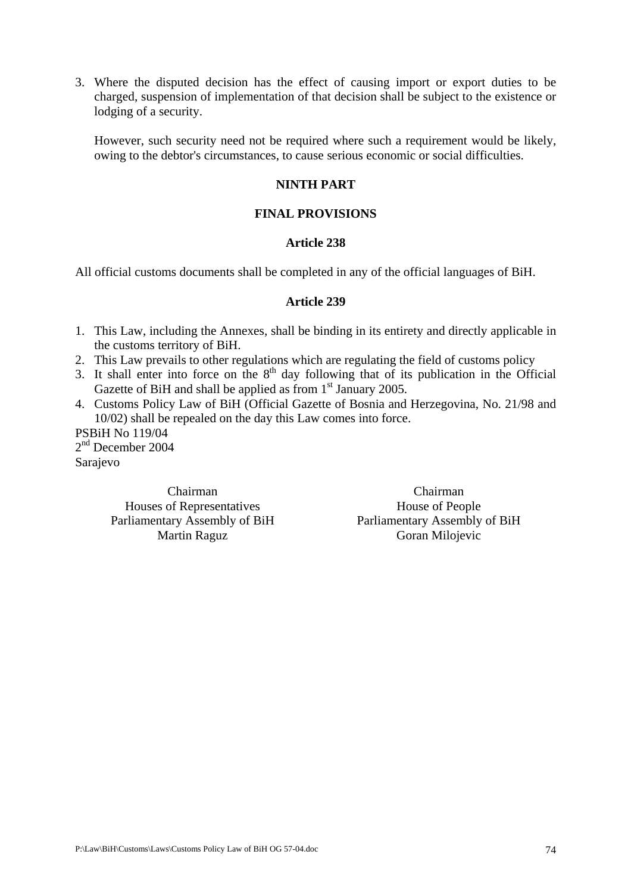3. Where the disputed decision has the effect of causing import or export duties to be charged, suspension of implementation of that decision shall be subject to the existence or lodging of a security.

However, such security need not be required where such a requirement would be likely, owing to the debtor's circumstances, to cause serious economic or social difficulties.

## **NINTH PART**

### **FINAL PROVISIONS**

### **Article 238**

All official customs documents shall be completed in any of the official languages of BiH.

#### **Article 239**

- 1. This Law, including the Annexes, shall be binding in its entirety and directly applicable in the customs territory of BiH.
- 2. This Law prevails to other regulations which are regulating the field of customs policy
- 3. It shall enter into force on the  $8<sup>th</sup>$  day following that of its publication in the Official Gazette of BiH and shall be applied as from  $1<sup>st</sup>$  January 2005.
- 4. Customs Policy Law of BiH (Official Gazette of Bosnia and Herzegovina, No. 21/98 and 10/02) shall be repealed on the day this Law comes into force.

PSBiH No 119/04 2<sup>nd</sup> December 2004 Sarajevo

> Chairman Houses of Representatives Parliamentary Assembly of BiH Martin Raguz

Chairman House of People Parliamentary Assembly of BiH Goran Milojevic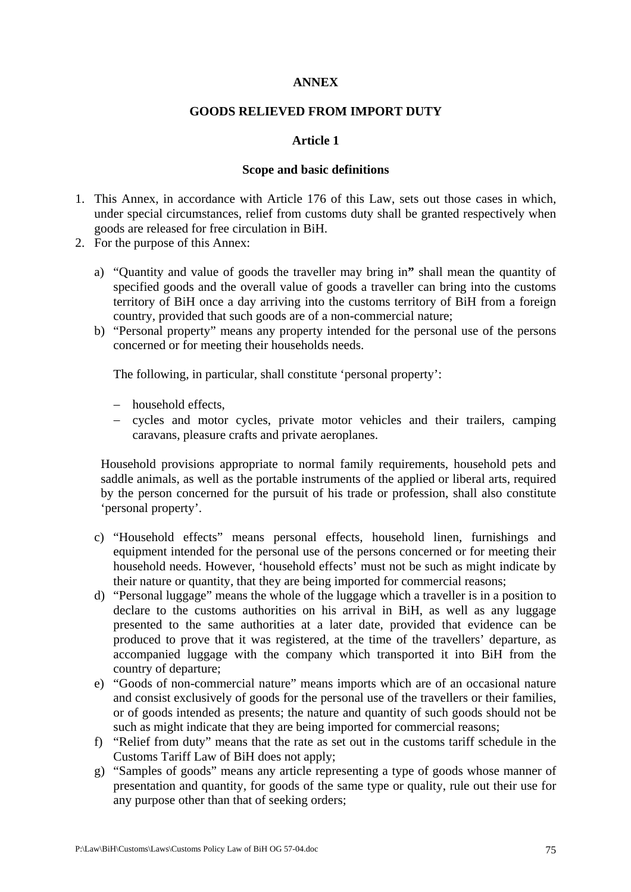### **ANNEX**

### **GOODS RELIEVED FROM IMPORT DUTY**

### **Article 1**

#### **Scope and basic definitions**

- 1. This Annex, in accordance with Article 176 of this Law, sets out those cases in which, under special circumstances, relief from customs duty shall be granted respectively when goods are released for free circulation in BiH.
- 2. For the purpose of this Annex:
	- a) "Quantity and value of goods the traveller may bring in**"** shall mean the quantity of specified goods and the overall value of goods a traveller can bring into the customs territory of BiH once a day arriving into the customs territory of BiH from a foreign country, provided that such goods are of a non-commercial nature;
	- b) "Personal property" means any property intended for the personal use of the persons concerned or for meeting their households needs.

The following, in particular, shall constitute 'personal property':

- − household effects,
- − cycles and motor cycles, private motor vehicles and their trailers, camping caravans, pleasure crafts and private aeroplanes.

Household provisions appropriate to normal family requirements, household pets and saddle animals, as well as the portable instruments of the applied or liberal arts, required by the person concerned for the pursuit of his trade or profession, shall also constitute 'personal property'.

- c) "Household effects" means personal effects, household linen, furnishings and equipment intended for the personal use of the persons concerned or for meeting their household needs. However, 'household effects' must not be such as might indicate by their nature or quantity, that they are being imported for commercial reasons;
- d) "Personal luggage" means the whole of the luggage which a traveller is in a position to declare to the customs authorities on his arrival in BiH, as well as any luggage presented to the same authorities at a later date, provided that evidence can be produced to prove that it was registered, at the time of the travellers' departure, as accompanied luggage with the company which transported it into BiH from the country of departure;
- e) "Goods of non-commercial nature" means imports which are of an occasional nature and consist exclusively of goods for the personal use of the travellers or their families, or of goods intended as presents; the nature and quantity of such goods should not be such as might indicate that they are being imported for commercial reasons;
- f) "Relief from duty" means that the rate as set out in the customs tariff schedule in the Customs Tariff Law of BiH does not apply;
- g) "Samples of goods" means any article representing a type of goods whose manner of presentation and quantity, for goods of the same type or quality, rule out their use for any purpose other than that of seeking orders;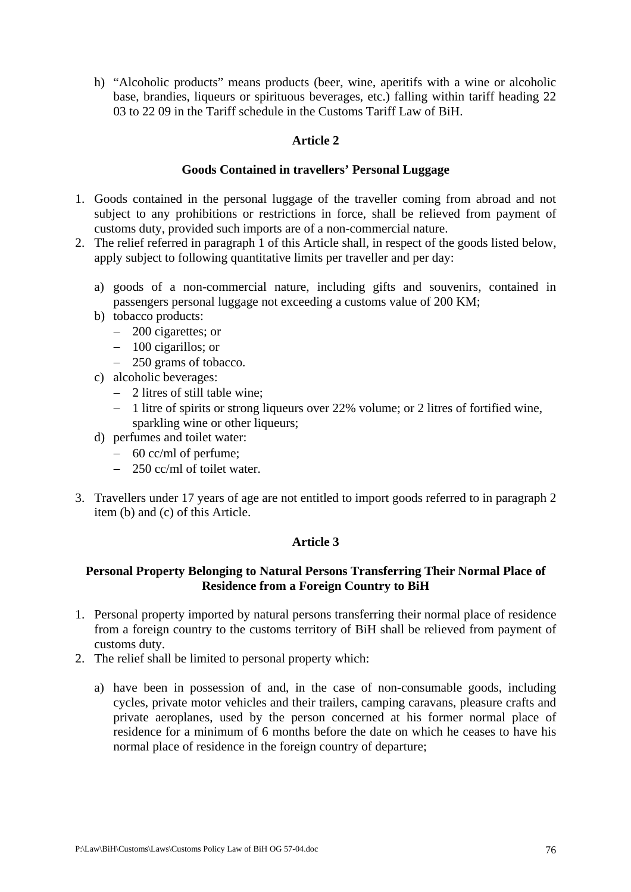h) "Alcoholic products" means products (beer, wine, aperitifs with a wine or alcoholic base, brandies, liqueurs or spirituous beverages, etc.) falling within tariff heading 22 03 to 22 09 in the Tariff schedule in the Customs Tariff Law of BiH.

### **Article 2**

### **Goods Contained in travellers' Personal Luggage**

- 1. Goods contained in the personal luggage of the traveller coming from abroad and not subject to any prohibitions or restrictions in force, shall be relieved from payment of customs duty, provided such imports are of a non-commercial nature.
- 2. The relief referred in paragraph 1 of this Article shall, in respect of the goods listed below, apply subject to following quantitative limits per traveller and per day:
	- a) goods of a non-commercial nature, including gifts and souvenirs, contained in passengers personal luggage not exceeding a customs value of 200 KM;
	- b) tobacco products:
		- − 200 cigarettes; or
		- − 100 cigarillos; or
		- − 250 grams of tobacco.
	- c) alcoholic beverages:
		- − 2 litres of still table wine;
		- − 1 litre of spirits or strong liqueurs over 22% volume; or 2 litres of fortified wine, sparkling wine or other liqueurs;
	- d) perfumes and toilet water:
		- − 60 cc/ml of perfume;
		- − 250 cc/ml of toilet water.
- 3. Travellers under 17 years of age are not entitled to import goods referred to in paragraph 2 item (b) and (c) of this Article.

# **Article 3**

### **Personal Property Belonging to Natural Persons Transferring Their Normal Place of Residence from a Foreign Country to BiH**

- 1. Personal property imported by natural persons transferring their normal place of residence from a foreign country to the customs territory of BiH shall be relieved from payment of customs duty.
- 2. The relief shall be limited to personal property which:
	- a) have been in possession of and, in the case of non-consumable goods, including cycles, private motor vehicles and their trailers, camping caravans, pleasure crafts and private aeroplanes, used by the person concerned at his former normal place of residence for a minimum of 6 months before the date on which he ceases to have his normal place of residence in the foreign country of departure;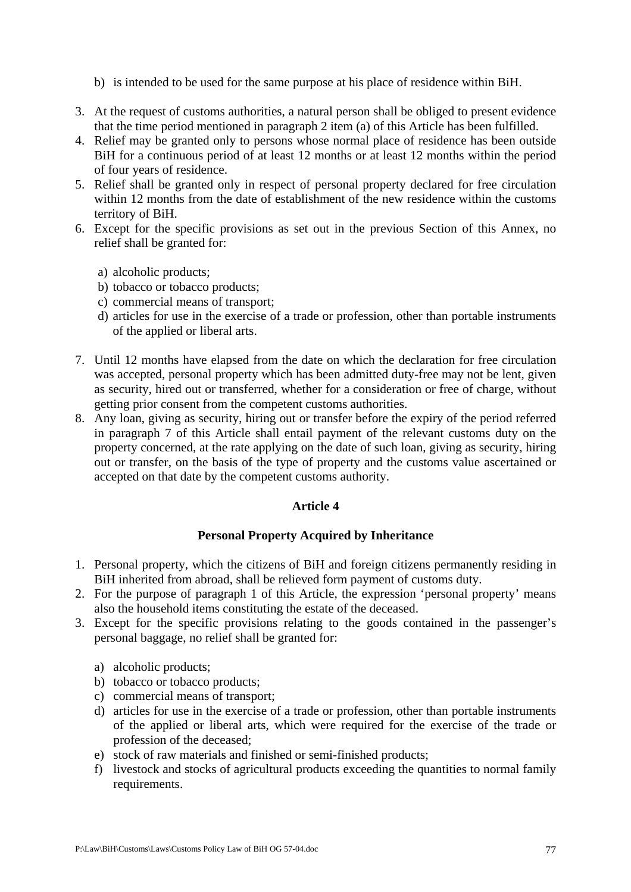- b) is intended to be used for the same purpose at his place of residence within BiH.
- 3. At the request of customs authorities, a natural person shall be obliged to present evidence that the time period mentioned in paragraph 2 item (a) of this Article has been fulfilled.
- 4. Relief may be granted only to persons whose normal place of residence has been outside BiH for a continuous period of at least 12 months or at least 12 months within the period of four years of residence.
- 5. Relief shall be granted only in respect of personal property declared for free circulation within 12 months from the date of establishment of the new residence within the customs territory of BiH.
- 6. Except for the specific provisions as set out in the previous Section of this Annex, no relief shall be granted for:
	- a) alcoholic products;
	- b) tobacco or tobacco products;
	- c) commercial means of transport;
	- d) articles for use in the exercise of a trade or profession, other than portable instruments of the applied or liberal arts.
- 7. Until 12 months have elapsed from the date on which the declaration for free circulation was accepted, personal property which has been admitted duty-free may not be lent, given as security, hired out or transferred, whether for a consideration or free of charge, without getting prior consent from the competent customs authorities.
- 8. Any loan, giving as security, hiring out or transfer before the expiry of the period referred in paragraph 7 of this Article shall entail payment of the relevant customs duty on the property concerned, at the rate applying on the date of such loan, giving as security, hiring out or transfer, on the basis of the type of property and the customs value ascertained or accepted on that date by the competent customs authority.

## **Personal Property Acquired by Inheritance**

- 1. Personal property, which the citizens of BiH and foreign citizens permanently residing in BiH inherited from abroad, shall be relieved form payment of customs duty.
- 2. For the purpose of paragraph 1 of this Article, the expression 'personal property' means also the household items constituting the estate of the deceased.
- 3. Except for the specific provisions relating to the goods contained in the passenger's personal baggage, no relief shall be granted for:
	- a) alcoholic products;
	- b) tobacco or tobacco products;
	- c) commercial means of transport;
	- d) articles for use in the exercise of a trade or profession, other than portable instruments of the applied or liberal arts, which were required for the exercise of the trade or profession of the deceased;
	- e) stock of raw materials and finished or semi-finished products;
	- f) livestock and stocks of agricultural products exceeding the quantities to normal family requirements.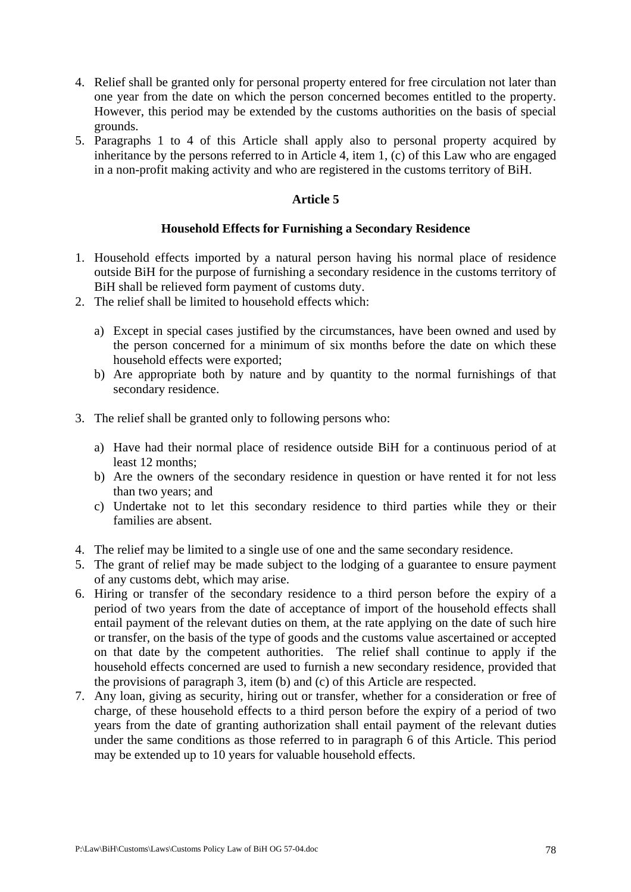- 4. Relief shall be granted only for personal property entered for free circulation not later than one year from the date on which the person concerned becomes entitled to the property. However, this period may be extended by the customs authorities on the basis of special grounds.
- 5. Paragraphs 1 to 4 of this Article shall apply also to personal property acquired by inheritance by the persons referred to in Article 4, item 1, (c) of this Law who are engaged in a non-profit making activity and who are registered in the customs territory of BiH.

#### **Household Effects for Furnishing a Secondary Residence**

- 1. Household effects imported by a natural person having his normal place of residence outside BiH for the purpose of furnishing a secondary residence in the customs territory of BiH shall be relieved form payment of customs duty.
- 2. The relief shall be limited to household effects which:
	- a) Except in special cases justified by the circumstances, have been owned and used by the person concerned for a minimum of six months before the date on which these household effects were exported;
	- b) Are appropriate both by nature and by quantity to the normal furnishings of that secondary residence.
- 3. The relief shall be granted only to following persons who:
	- a) Have had their normal place of residence outside BiH for a continuous period of at least 12 months;
	- b) Are the owners of the secondary residence in question or have rented it for not less than two years; and
	- c) Undertake not to let this secondary residence to third parties while they or their families are absent.
- 4. The relief may be limited to a single use of one and the same secondary residence.
- 5. The grant of relief may be made subject to the lodging of a guarantee to ensure payment of any customs debt, which may arise.
- 6. Hiring or transfer of the secondary residence to a third person before the expiry of a period of two years from the date of acceptance of import of the household effects shall entail payment of the relevant duties on them, at the rate applying on the date of such hire or transfer, on the basis of the type of goods and the customs value ascertained or accepted on that date by the competent authorities. The relief shall continue to apply if the household effects concerned are used to furnish a new secondary residence, provided that the provisions of paragraph 3, item (b) and (c) of this Article are respected.
- 7. Any loan, giving as security, hiring out or transfer, whether for a consideration or free of charge, of these household effects to a third person before the expiry of a period of two years from the date of granting authorization shall entail payment of the relevant duties under the same conditions as those referred to in paragraph 6 of this Article. This period may be extended up to 10 years for valuable household effects.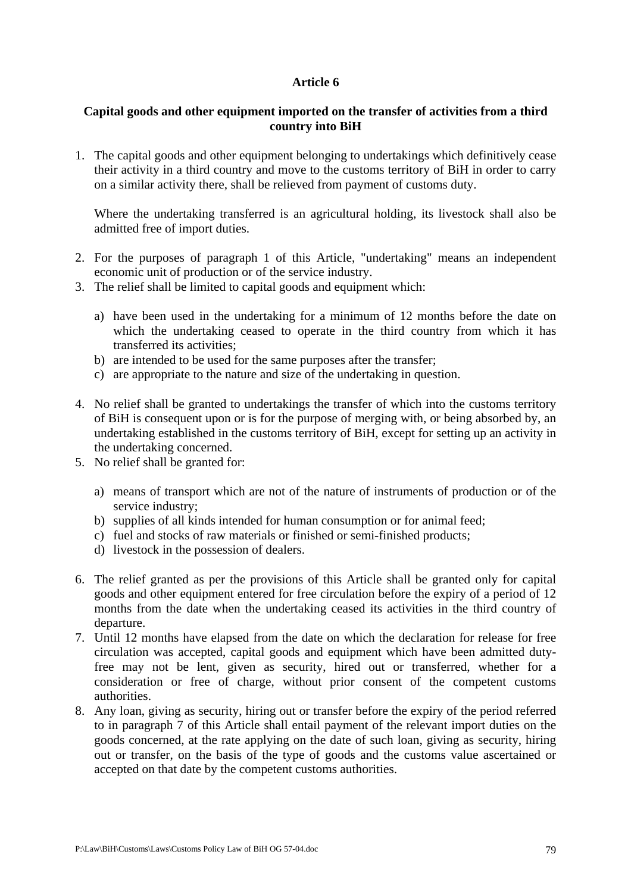### **Capital goods and other equipment imported on the transfer of activities from a third country into BiH**

1. The capital goods and other equipment belonging to undertakings which definitively cease their activity in a third country and move to the customs territory of BiH in order to carry on a similar activity there, shall be relieved from payment of customs duty.

Where the undertaking transferred is an agricultural holding, its livestock shall also be admitted free of import duties.

- 2. For the purposes of paragraph 1 of this Article, "undertaking" means an independent economic unit of production or of the service industry.
- 3. The relief shall be limited to capital goods and equipment which:
	- a) have been used in the undertaking for a minimum of 12 months before the date on which the undertaking ceased to operate in the third country from which it has transferred its activities;
	- b) are intended to be used for the same purposes after the transfer;
	- c) are appropriate to the nature and size of the undertaking in question.
- 4. No relief shall be granted to undertakings the transfer of which into the customs territory of BiH is consequent upon or is for the purpose of merging with, or being absorbed by, an undertaking established in the customs territory of BiH, except for setting up an activity in the undertaking concerned.
- 5. No relief shall be granted for:
	- a) means of transport which are not of the nature of instruments of production or of the service industry;
	- b) supplies of all kinds intended for human consumption or for animal feed;
	- c) fuel and stocks of raw materials or finished or semi-finished products;
	- d) livestock in the possession of dealers.
- 6. The relief granted as per the provisions of this Article shall be granted only for capital goods and other equipment entered for free circulation before the expiry of a period of 12 months from the date when the undertaking ceased its activities in the third country of departure.
- 7. Until 12 months have elapsed from the date on which the declaration for release for free circulation was accepted, capital goods and equipment which have been admitted dutyfree may not be lent, given as security, hired out or transferred, whether for a consideration or free of charge, without prior consent of the competent customs authorities.
- 8. Any loan, giving as security, hiring out or transfer before the expiry of the period referred to in paragraph 7 of this Article shall entail payment of the relevant import duties on the goods concerned, at the rate applying on the date of such loan, giving as security, hiring out or transfer, on the basis of the type of goods and the customs value ascertained or accepted on that date by the competent customs authorities.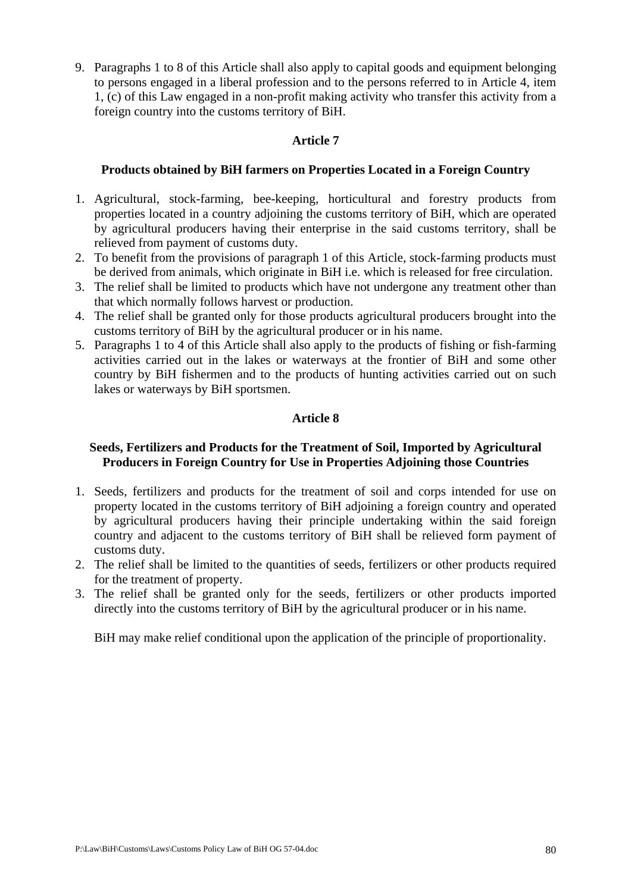9. Paragraphs 1 to 8 of this Article shall also apply to capital goods and equipment belonging to persons engaged in a liberal profession and to the persons referred to in Article 4, item 1, (c) of this Law engaged in a non-profit making activity who transfer this activity from a foreign country into the customs territory of BiH.

## **Article 7**

# **Products obtained by BiH farmers on Properties Located in a Foreign Country**

- 1. Agricultural, stock-farming, bee-keeping, horticultural and forestry products from properties located in a country adjoining the customs territory of BiH, which are operated by agricultural producers having their enterprise in the said customs territory, shall be relieved from payment of customs duty.
- 2. To benefit from the provisions of paragraph 1 of this Article, stock-farming products must be derived from animals, which originate in BiH i.e. which is released for free circulation.
- 3. The relief shall be limited to products which have not undergone any treatment other than that which normally follows harvest or production.
- 4. The relief shall be granted only for those products agricultural producers brought into the customs territory of BiH by the agricultural producer or in his name.
- 5. Paragraphs 1 to 4 of this Article shall also apply to the products of fishing or fish-farming activities carried out in the lakes or waterways at the frontier of BiH and some other country by BiH fishermen and to the products of hunting activities carried out on such lakes or waterways by BiH sportsmen.

# **Article 8**

### **Seeds, Fertilizers and Products for the Treatment of Soil, Imported by Agricultural Producers in Foreign Country for Use in Properties Adjoining those Countries**

- 1. Seeds, fertilizers and products for the treatment of soil and corps intended for use on property located in the customs territory of BiH adjoining a foreign country and operated by agricultural producers having their principle undertaking within the said foreign country and adjacent to the customs territory of BiH shall be relieved form payment of customs duty.
- 2. The relief shall be limited to the quantities of seeds, fertilizers or other products required for the treatment of property.
- 3. The relief shall be granted only for the seeds, fertilizers or other products imported directly into the customs territory of BiH by the agricultural producer or in his name.

BiH may make relief conditional upon the application of the principle of proportionality.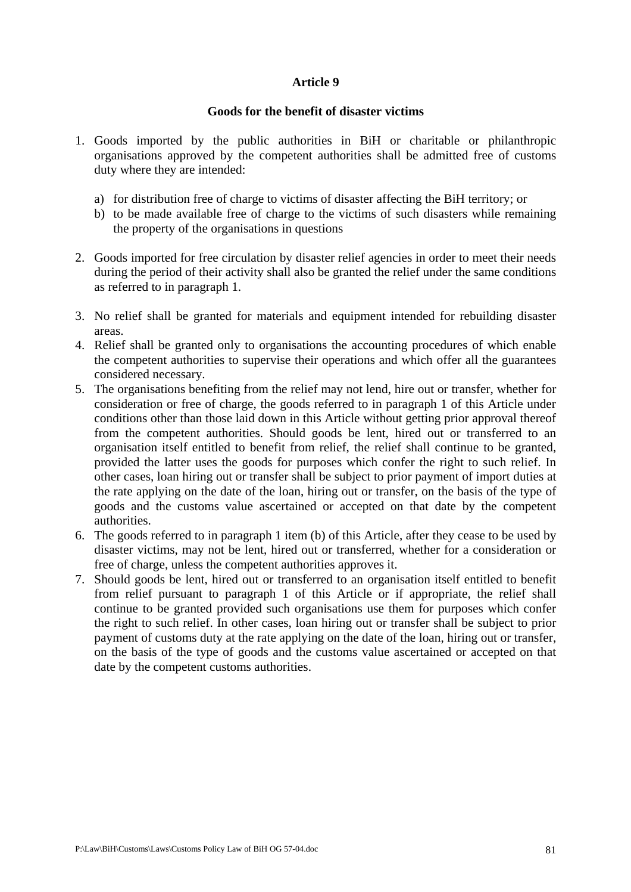#### **Goods for the benefit of disaster victims**

- 1. Goods imported by the public authorities in BiH or charitable or philanthropic organisations approved by the competent authorities shall be admitted free of customs duty where they are intended:
	- a) for distribution free of charge to victims of disaster affecting the BiH territory; or
	- b) to be made available free of charge to the victims of such disasters while remaining the property of the organisations in questions
- 2. Goods imported for free circulation by disaster relief agencies in order to meet their needs during the period of their activity shall also be granted the relief under the same conditions as referred to in paragraph 1.
- 3. No relief shall be granted for materials and equipment intended for rebuilding disaster areas.
- 4. Relief shall be granted only to organisations the accounting procedures of which enable the competent authorities to supervise their operations and which offer all the guarantees considered necessary.
- 5. The organisations benefiting from the relief may not lend, hire out or transfer, whether for consideration or free of charge, the goods referred to in paragraph 1 of this Article under conditions other than those laid down in this Article without getting prior approval thereof from the competent authorities. Should goods be lent, hired out or transferred to an organisation itself entitled to benefit from relief, the relief shall continue to be granted, provided the latter uses the goods for purposes which confer the right to such relief. In other cases, loan hiring out or transfer shall be subject to prior payment of import duties at the rate applying on the date of the loan, hiring out or transfer, on the basis of the type of goods and the customs value ascertained or accepted on that date by the competent authorities.
- 6. The goods referred to in paragraph 1 item (b) of this Article, after they cease to be used by disaster victims, may not be lent, hired out or transferred, whether for a consideration or free of charge, unless the competent authorities approves it.
- 7. Should goods be lent, hired out or transferred to an organisation itself entitled to benefit from relief pursuant to paragraph 1 of this Article or if appropriate, the relief shall continue to be granted provided such organisations use them for purposes which confer the right to such relief. In other cases, loan hiring out or transfer shall be subject to prior payment of customs duty at the rate applying on the date of the loan, hiring out or transfer, on the basis of the type of goods and the customs value ascertained or accepted on that date by the competent customs authorities.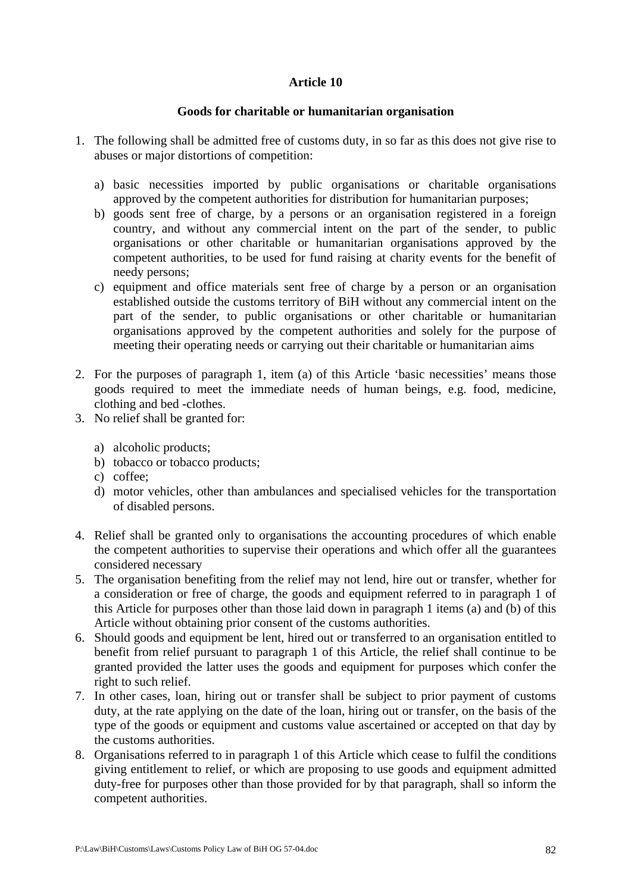### **Goods for charitable or humanitarian organisation**

- 1. The following shall be admitted free of customs duty, in so far as this does not give rise to abuses or major distortions of competition:
	- a) basic necessities imported by public organisations or charitable organisations approved by the competent authorities for distribution for humanitarian purposes;
	- b) goods sent free of charge, by a persons or an organisation registered in a foreign country, and without any commercial intent on the part of the sender, to public organisations or other charitable or humanitarian organisations approved by the competent authorities, to be used for fund raising at charity events for the benefit of needy persons;
	- c) equipment and office materials sent free of charge by a person or an organisation established outside the customs territory of BiH without any commercial intent on the part of the sender, to public organisations or other charitable or humanitarian organisations approved by the competent authorities and solely for the purpose of meeting their operating needs or carrying out their charitable or humanitarian aims
- 2. For the purposes of paragraph 1, item (a) of this Article 'basic necessities' means those goods required to meet the immediate needs of human beings, e.g. food, medicine, clothing and bed -clothes.
- 3. No relief shall be granted for:
	- a) alcoholic products;
	- b) tobacco or tobacco products;
	- c) coffee;
	- d) motor vehicles, other than ambulances and specialised vehicles for the transportation of disabled persons.
- 4. Relief shall be granted only to organisations the accounting procedures of which enable the competent authorities to supervise their operations and which offer all the guarantees considered necessary
- 5. The organisation benefiting from the relief may not lend, hire out or transfer, whether for a consideration or free of charge, the goods and equipment referred to in paragraph 1 of this Article for purposes other than those laid down in paragraph 1 items (a) and (b) of this Article without obtaining prior consent of the customs authorities.
- 6. Should goods and equipment be lent, hired out or transferred to an organisation entitled to benefit from relief pursuant to paragraph 1 of this Article, the relief shall continue to be granted provided the latter uses the goods and equipment for purposes which confer the right to such relief.
- 7. In other cases, loan, hiring out or transfer shall be subject to prior payment of customs duty, at the rate applying on the date of the loan, hiring out or transfer, on the basis of the type of the goods or equipment and customs value ascertained or accepted on that day by the customs authorities.
- 8. Organisations referred to in paragraph 1 of this Article which cease to fulfil the conditions giving entitlement to relief, or which are proposing to use goods and equipment admitted duty-free for purposes other than those provided for by that paragraph, shall so inform the competent authorities.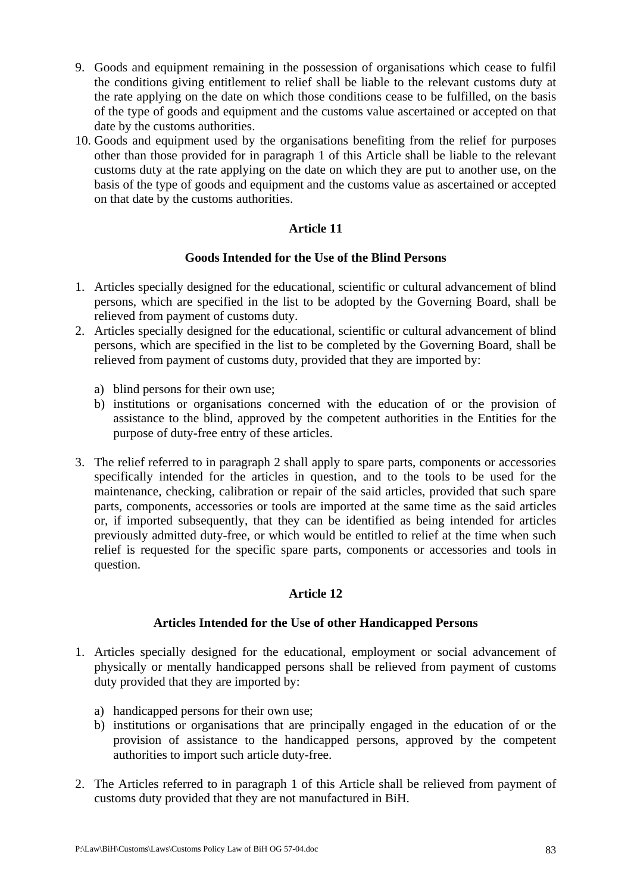- 9. Goods and equipment remaining in the possession of organisations which cease to fulfil the conditions giving entitlement to relief shall be liable to the relevant customs duty at the rate applying on the date on which those conditions cease to be fulfilled, on the basis of the type of goods and equipment and the customs value ascertained or accepted on that date by the customs authorities.
- 10. Goods and equipment used by the organisations benefiting from the relief for purposes other than those provided for in paragraph 1 of this Article shall be liable to the relevant customs duty at the rate applying on the date on which they are put to another use, on the basis of the type of goods and equipment and the customs value as ascertained or accepted on that date by the customs authorities.

# **Goods Intended for the Use of the Blind Persons**

- 1. Articles specially designed for the educational, scientific or cultural advancement of blind persons, which are specified in the list to be adopted by the Governing Board, shall be relieved from payment of customs duty.
- 2. Articles specially designed for the educational, scientific or cultural advancement of blind persons, which are specified in the list to be completed by the Governing Board, shall be relieved from payment of customs duty, provided that they are imported by:
	- a) blind persons for their own use;
	- b) institutions or organisations concerned with the education of or the provision of assistance to the blind, approved by the competent authorities in the Entities for the purpose of duty-free entry of these articles.
- 3. The relief referred to in paragraph 2 shall apply to spare parts, components or accessories specifically intended for the articles in question, and to the tools to be used for the maintenance, checking, calibration or repair of the said articles, provided that such spare parts, components, accessories or tools are imported at the same time as the said articles or, if imported subsequently, that they can be identified as being intended for articles previously admitted duty-free, or which would be entitled to relief at the time when such relief is requested for the specific spare parts, components or accessories and tools in question.

# **Article 12**

#### **Articles Intended for the Use of other Handicapped Persons**

- 1. Articles specially designed for the educational, employment or social advancement of physically or mentally handicapped persons shall be relieved from payment of customs duty provided that they are imported by:
	- a) handicapped persons for their own use;
	- b) institutions or organisations that are principally engaged in the education of or the provision of assistance to the handicapped persons, approved by the competent authorities to import such article duty-free.
- 2. The Articles referred to in paragraph 1 of this Article shall be relieved from payment of customs duty provided that they are not manufactured in BiH.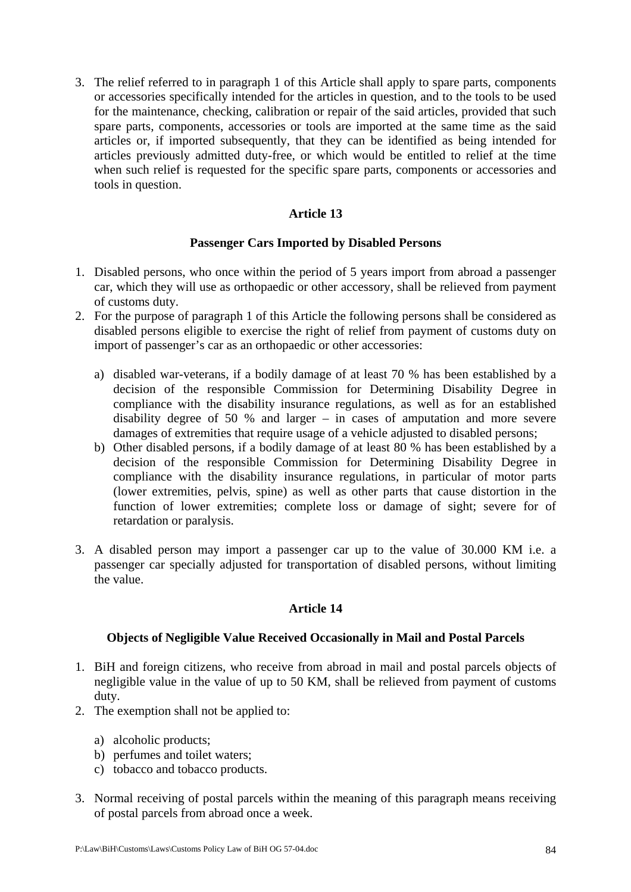3. The relief referred to in paragraph 1 of this Article shall apply to spare parts, components or accessories specifically intended for the articles in question, and to the tools to be used for the maintenance, checking, calibration or repair of the said articles, provided that such spare parts, components, accessories or tools are imported at the same time as the said articles or, if imported subsequently, that they can be identified as being intended for articles previously admitted duty-free, or which would be entitled to relief at the time when such relief is requested for the specific spare parts, components or accessories and tools in question.

# **Article 13**

#### **Passenger Cars Imported by Disabled Persons**

- 1. Disabled persons, who once within the period of 5 years import from abroad a passenger car, which they will use as orthopaedic or other accessory, shall be relieved from payment of customs duty.
- 2. For the purpose of paragraph 1 of this Article the following persons shall be considered as disabled persons eligible to exercise the right of relief from payment of customs duty on import of passenger's car as an orthopaedic or other accessories:
	- a) disabled war-veterans, if a bodily damage of at least 70 % has been established by a decision of the responsible Commission for Determining Disability Degree in compliance with the disability insurance regulations, as well as for an established disability degree of 50 % and larger – in cases of amputation and more severe damages of extremities that require usage of a vehicle adjusted to disabled persons;
	- b) Other disabled persons, if a bodily damage of at least 80 % has been established by a decision of the responsible Commission for Determining Disability Degree in compliance with the disability insurance regulations, in particular of motor parts (lower extremities, pelvis, spine) as well as other parts that cause distortion in the function of lower extremities; complete loss or damage of sight; severe for of retardation or paralysis.
- 3. A disabled person may import a passenger car up to the value of 30.000 KM i.e. a passenger car specially adjusted for transportation of disabled persons, without limiting the value.

#### **Article 14**

#### **Objects of Negligible Value Received Occasionally in Mail and Postal Parcels**

- 1. BiH and foreign citizens, who receive from abroad in mail and postal parcels objects of negligible value in the value of up to 50 KM, shall be relieved from payment of customs duty.
- 2. The exemption shall not be applied to:
	- a) alcoholic products;
	- b) perfumes and toilet waters;
	- c) tobacco and tobacco products.
- 3. Normal receiving of postal parcels within the meaning of this paragraph means receiving of postal parcels from abroad once a week.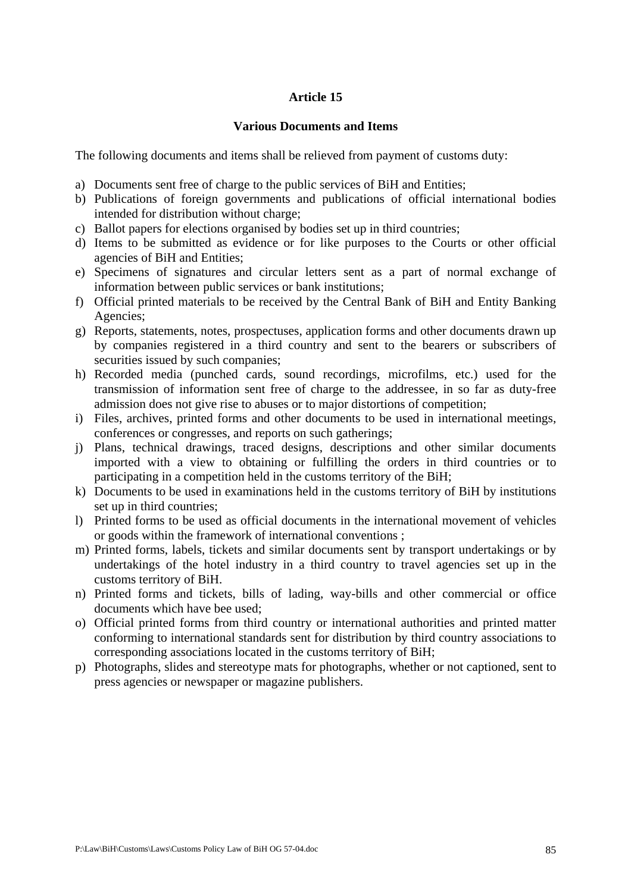#### **Various Documents and Items**

The following documents and items shall be relieved from payment of customs duty:

- a) Documents sent free of charge to the public services of BiH and Entities;
- b) Publications of foreign governments and publications of official international bodies intended for distribution without charge;
- c) Ballot papers for elections organised by bodies set up in third countries;
- d) Items to be submitted as evidence or for like purposes to the Courts or other official agencies of BiH and Entities;
- e) Specimens of signatures and circular letters sent as a part of normal exchange of information between public services or bank institutions;
- f) Official printed materials to be received by the Central Bank of BiH and Entity Banking Agencies;
- g) Reports, statements, notes, prospectuses, application forms and other documents drawn up by companies registered in a third country and sent to the bearers or subscribers of securities issued by such companies;
- h) Recorded media (punched cards, sound recordings, microfilms, etc.) used for the transmission of information sent free of charge to the addressee, in so far as duty-free admission does not give rise to abuses or to major distortions of competition;
- i) Files, archives, printed forms and other documents to be used in international meetings, conferences or congresses, and reports on such gatherings;
- j) Plans, technical drawings, traced designs, descriptions and other similar documents imported with a view to obtaining or fulfilling the orders in third countries or to participating in a competition held in the customs territory of the BiH;
- k) Documents to be used in examinations held in the customs territory of BiH by institutions set up in third countries;
- l) Printed forms to be used as official documents in the international movement of vehicles or goods within the framework of international conventions ;
- m) Printed forms, labels, tickets and similar documents sent by transport undertakings or by undertakings of the hotel industry in a third country to travel agencies set up in the customs territory of BiH.
- n) Printed forms and tickets, bills of lading, way-bills and other commercial or office documents which have bee used;
- o) Official printed forms from third country or international authorities and printed matter conforming to international standards sent for distribution by third country associations to corresponding associations located in the customs territory of BiH;
- p) Photographs, slides and stereotype mats for photographs, whether or not captioned, sent to press agencies or newspaper or magazine publishers.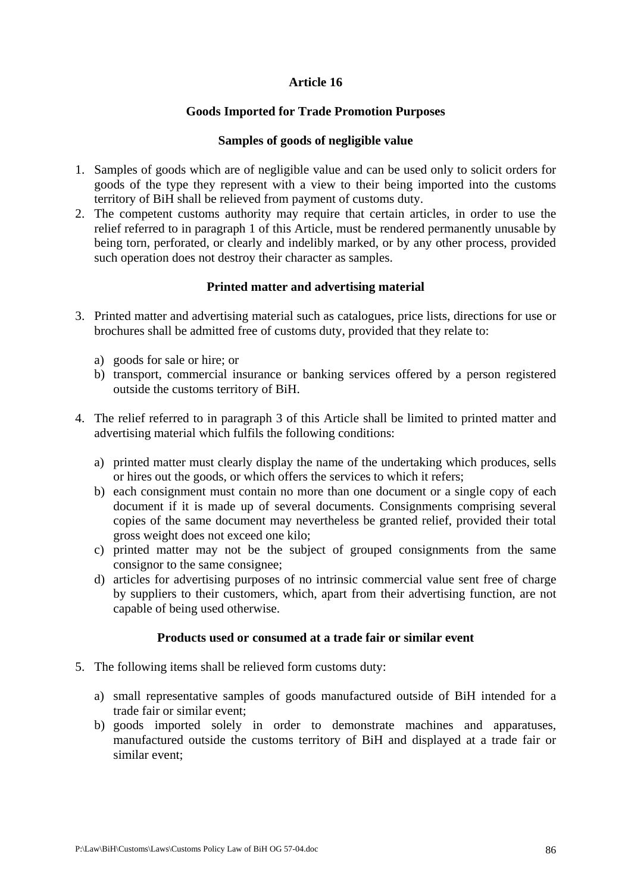## **Goods Imported for Trade Promotion Purposes**

### **Samples of goods of negligible value**

- 1. Samples of goods which are of negligible value and can be used only to solicit orders for goods of the type they represent with a view to their being imported into the customs territory of BiH shall be relieved from payment of customs duty.
- 2. The competent customs authority may require that certain articles, in order to use the relief referred to in paragraph 1 of this Article, must be rendered permanently unusable by being torn, perforated, or clearly and indelibly marked, or by any other process, provided such operation does not destroy their character as samples.

### **Printed matter and advertising material**

- 3. Printed matter and advertising material such as catalogues, price lists, directions for use or brochures shall be admitted free of customs duty, provided that they relate to:
	- a) goods for sale or hire; or
	- b) transport, commercial insurance or banking services offered by a person registered outside the customs territory of BiH.
- 4. The relief referred to in paragraph 3 of this Article shall be limited to printed matter and advertising material which fulfils the following conditions:
	- a) printed matter must clearly display the name of the undertaking which produces, sells or hires out the goods, or which offers the services to which it refers;
	- b) each consignment must contain no more than one document or a single copy of each document if it is made up of several documents. Consignments comprising several copies of the same document may nevertheless be granted relief, provided their total gross weight does not exceed one kilo;
	- c) printed matter may not be the subject of grouped consignments from the same consignor to the same consignee;
	- d) articles for advertising purposes of no intrinsic commercial value sent free of charge by suppliers to their customers, which, apart from their advertising function, are not capable of being used otherwise.

#### **Products used or consumed at a trade fair or similar event**

- 5. The following items shall be relieved form customs duty:
	- a) small representative samples of goods manufactured outside of BiH intended for a trade fair or similar event;
	- b) goods imported solely in order to demonstrate machines and apparatuses, manufactured outside the customs territory of BiH and displayed at a trade fair or similar event;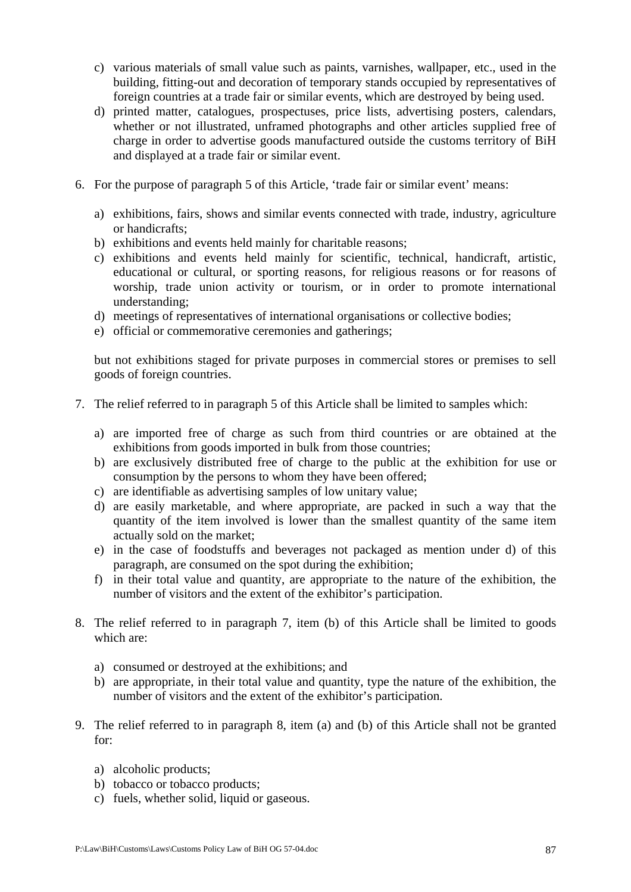- c) various materials of small value such as paints, varnishes, wallpaper, etc., used in the building, fitting-out and decoration of temporary stands occupied by representatives of foreign countries at a trade fair or similar events, which are destroyed by being used.
- d) printed matter, catalogues, prospectuses, price lists, advertising posters, calendars, whether or not illustrated, unframed photographs and other articles supplied free of charge in order to advertise goods manufactured outside the customs territory of BiH and displayed at a trade fair or similar event.
- 6. For the purpose of paragraph 5 of this Article, 'trade fair or similar event' means:
	- a) exhibitions, fairs, shows and similar events connected with trade, industry, agriculture or handicrafts;
	- b) exhibitions and events held mainly for charitable reasons;
	- c) exhibitions and events held mainly for scientific, technical, handicraft, artistic, educational or cultural, or sporting reasons, for religious reasons or for reasons of worship, trade union activity or tourism, or in order to promote international understanding;
	- d) meetings of representatives of international organisations or collective bodies;
	- e) official or commemorative ceremonies and gatherings;

but not exhibitions staged for private purposes in commercial stores or premises to sell goods of foreign countries.

- 7. The relief referred to in paragraph 5 of this Article shall be limited to samples which:
	- a) are imported free of charge as such from third countries or are obtained at the exhibitions from goods imported in bulk from those countries;
	- b) are exclusively distributed free of charge to the public at the exhibition for use or consumption by the persons to whom they have been offered;
	- c) are identifiable as advertising samples of low unitary value;
	- d) are easily marketable, and where appropriate, are packed in such a way that the quantity of the item involved is lower than the smallest quantity of the same item actually sold on the market;
	- e) in the case of foodstuffs and beverages not packaged as mention under d) of this paragraph, are consumed on the spot during the exhibition;
	- f) in their total value and quantity, are appropriate to the nature of the exhibition, the number of visitors and the extent of the exhibitor's participation.
- 8. The relief referred to in paragraph 7, item (b) of this Article shall be limited to goods which are:
	- a) consumed or destroyed at the exhibitions; and
	- b) are appropriate, in their total value and quantity, type the nature of the exhibition, the number of visitors and the extent of the exhibitor's participation.
- 9. The relief referred to in paragraph 8, item (a) and (b) of this Article shall not be granted for:
	- a) alcoholic products;
	- b) tobacco or tobacco products;
	- c) fuels, whether solid, liquid or gaseous.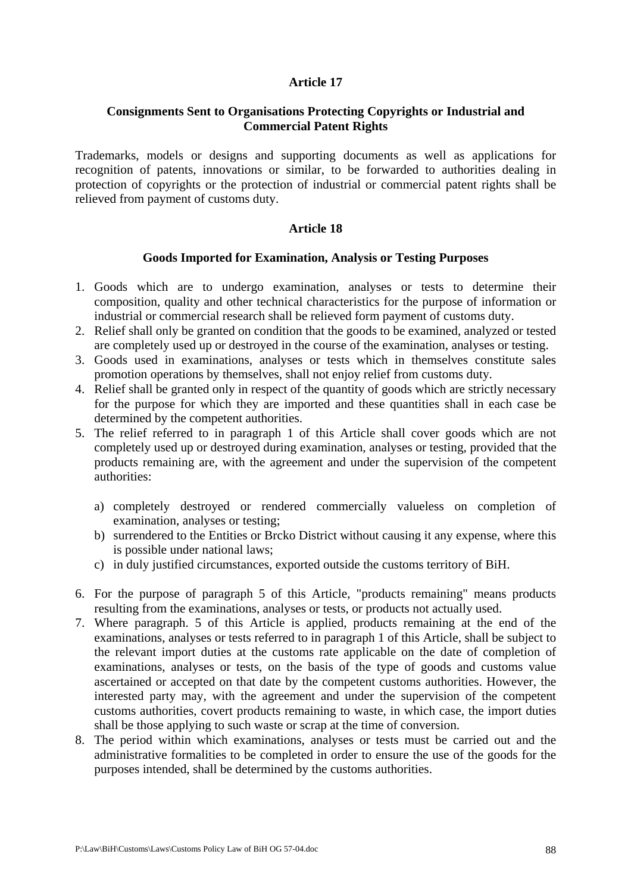### **Consignments Sent to Organisations Protecting Copyrights or Industrial and Commercial Patent Rights**

Trademarks, models or designs and supporting documents as well as applications for recognition of patents, innovations or similar, to be forwarded to authorities dealing in protection of copyrights or the protection of industrial or commercial patent rights shall be relieved from payment of customs duty.

#### **Article 18**

#### **Goods Imported for Examination, Analysis or Testing Purposes**

- 1. Goods which are to undergo examination, analyses or tests to determine their composition, quality and other technical characteristics for the purpose of information or industrial or commercial research shall be relieved form payment of customs duty.
- 2. Relief shall only be granted on condition that the goods to be examined, analyzed or tested are completely used up or destroyed in the course of the examination, analyses or testing.
- 3. Goods used in examinations, analyses or tests which in themselves constitute sales promotion operations by themselves, shall not enjoy relief from customs duty.
- 4. Relief shall be granted only in respect of the quantity of goods which are strictly necessary for the purpose for which they are imported and these quantities shall in each case be determined by the competent authorities.
- 5. The relief referred to in paragraph 1 of this Article shall cover goods which are not completely used up or destroyed during examination, analyses or testing, provided that the products remaining are, with the agreement and under the supervision of the competent authorities:
	- a) completely destroyed or rendered commercially valueless on completion of examination, analyses or testing;
	- b) surrendered to the Entities or Brcko District without causing it any expense, where this is possible under national laws;
	- c) in duly justified circumstances, exported outside the customs territory of BiH.
- 6. For the purpose of paragraph 5 of this Article, "products remaining" means products resulting from the examinations, analyses or tests, or products not actually used.
- 7. Where paragraph. 5 of this Article is applied, products remaining at the end of the examinations, analyses or tests referred to in paragraph 1 of this Article, shall be subject to the relevant import duties at the customs rate applicable on the date of completion of examinations, analyses or tests, on the basis of the type of goods and customs value ascertained or accepted on that date by the competent customs authorities. However, the interested party may, with the agreement and under the supervision of the competent customs authorities, covert products remaining to waste, in which case, the import duties shall be those applying to such waste or scrap at the time of conversion.
- 8. The period within which examinations, analyses or tests must be carried out and the administrative formalities to be completed in order to ensure the use of the goods for the purposes intended, shall be determined by the customs authorities.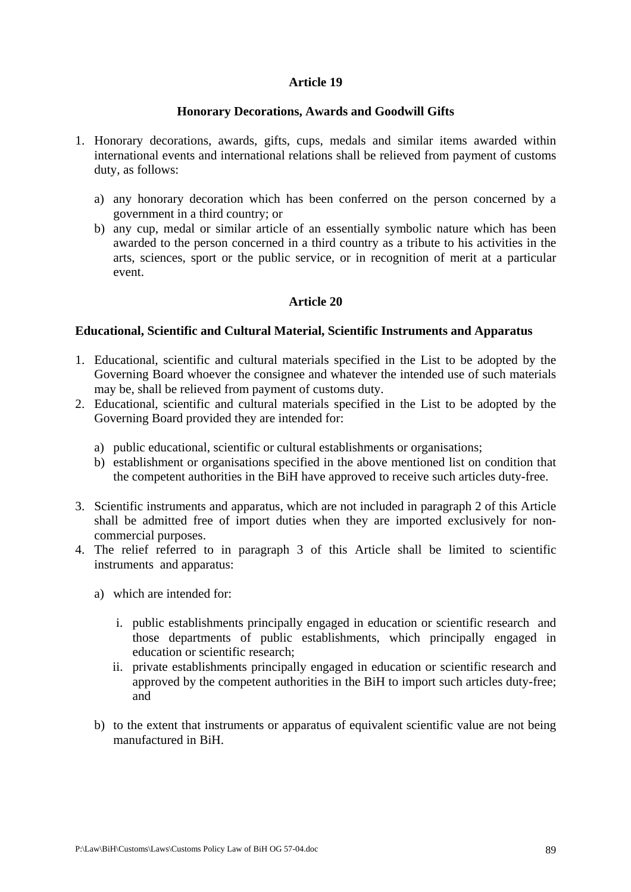#### **Honorary Decorations, Awards and Goodwill Gifts**

- 1. Honorary decorations, awards, gifts, cups, medals and similar items awarded within international events and international relations shall be relieved from payment of customs duty, as follows:
	- a) any honorary decoration which has been conferred on the person concerned by a government in a third country; or
	- b) any cup, medal or similar article of an essentially symbolic nature which has been awarded to the person concerned in a third country as a tribute to his activities in the arts, sciences, sport or the public service, or in recognition of merit at a particular event.

### **Article 20**

#### **Educational, Scientific and Cultural Material, Scientific Instruments and Apparatus**

- 1. Educational, scientific and cultural materials specified in the List to be adopted by the Governing Board whoever the consignee and whatever the intended use of such materials may be, shall be relieved from payment of customs duty.
- 2. Educational, scientific and cultural materials specified in the List to be adopted by the Governing Board provided they are intended for:
	- a) public educational, scientific or cultural establishments or organisations;
	- b) establishment or organisations specified in the above mentioned list on condition that the competent authorities in the BiH have approved to receive such articles duty-free.
- 3. Scientific instruments and apparatus, which are not included in paragraph 2 of this Article shall be admitted free of import duties when they are imported exclusively for noncommercial purposes.
- 4. The relief referred to in paragraph 3 of this Article shall be limited to scientific instruments and apparatus:
	- a) which are intended for:
		- i. public establishments principally engaged in education or scientific research and those departments of public establishments, which principally engaged in education or scientific research;
		- ii. private establishments principally engaged in education or scientific research and approved by the competent authorities in the BiH to import such articles duty-free; and
	- b) to the extent that instruments or apparatus of equivalent scientific value are not being manufactured in BiH.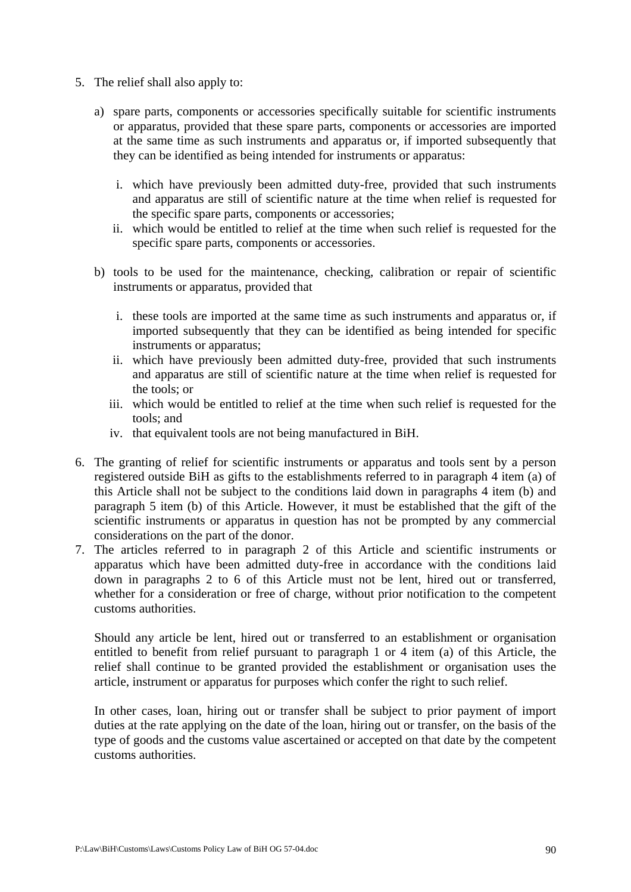- 5. The relief shall also apply to:
	- a) spare parts, components or accessories specifically suitable for scientific instruments or apparatus, provided that these spare parts, components or accessories are imported at the same time as such instruments and apparatus or, if imported subsequently that they can be identified as being intended for instruments or apparatus:
		- i. which have previously been admitted duty-free, provided that such instruments and apparatus are still of scientific nature at the time when relief is requested for the specific spare parts, components or accessories;
		- ii. which would be entitled to relief at the time when such relief is requested for the specific spare parts, components or accessories.
	- b) tools to be used for the maintenance, checking, calibration or repair of scientific instruments or apparatus, provided that
		- i. these tools are imported at the same time as such instruments and apparatus or, if imported subsequently that they can be identified as being intended for specific instruments or apparatus;
		- ii. which have previously been admitted duty-free, provided that such instruments and apparatus are still of scientific nature at the time when relief is requested for the tools; or
		- iii. which would be entitled to relief at the time when such relief is requested for the tools; and
		- iv. that equivalent tools are not being manufactured in BiH.
- 6. The granting of relief for scientific instruments or apparatus and tools sent by a person registered outside BiH as gifts to the establishments referred to in paragraph 4 item (a) of this Article shall not be subject to the conditions laid down in paragraphs 4 item (b) and paragraph 5 item (b) of this Article. However, it must be established that the gift of the scientific instruments or apparatus in question has not be prompted by any commercial considerations on the part of the donor.
- 7. The articles referred to in paragraph 2 of this Article and scientific instruments or apparatus which have been admitted duty-free in accordance with the conditions laid down in paragraphs 2 to 6 of this Article must not be lent, hired out or transferred, whether for a consideration or free of charge, without prior notification to the competent customs authorities.

Should any article be lent, hired out or transferred to an establishment or organisation entitled to benefit from relief pursuant to paragraph 1 or 4 item (a) of this Article, the relief shall continue to be granted provided the establishment or organisation uses the article, instrument or apparatus for purposes which confer the right to such relief.

In other cases, loan, hiring out or transfer shall be subject to prior payment of import duties at the rate applying on the date of the loan, hiring out or transfer, on the basis of the type of goods and the customs value ascertained or accepted on that date by the competent customs authorities.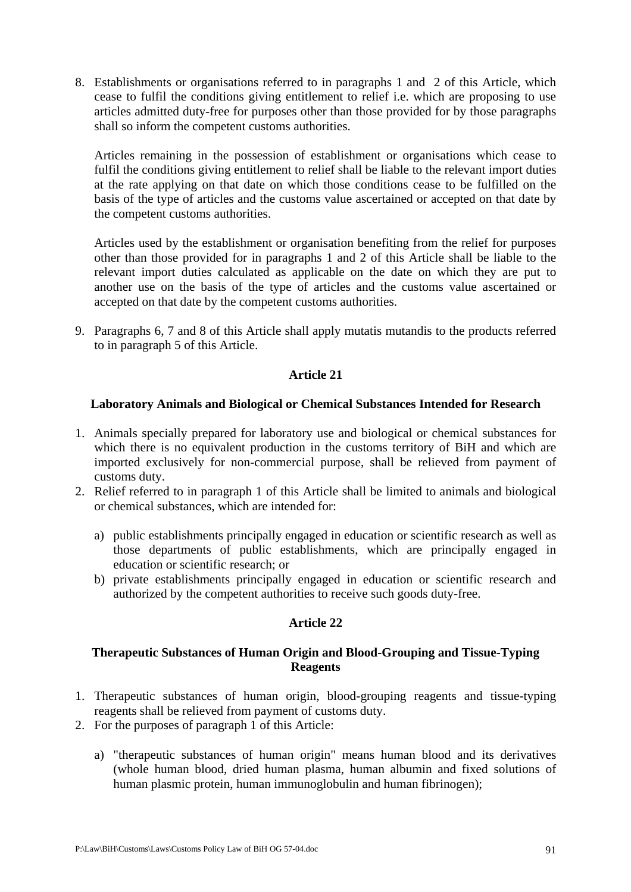8. Establishments or organisations referred to in paragraphs 1 and 2 of this Article, which cease to fulfil the conditions giving entitlement to relief i.e. which are proposing to use articles admitted duty-free for purposes other than those provided for by those paragraphs shall so inform the competent customs authorities.

Articles remaining in the possession of establishment or organisations which cease to fulfil the conditions giving entitlement to relief shall be liable to the relevant import duties at the rate applying on that date on which those conditions cease to be fulfilled on the basis of the type of articles and the customs value ascertained or accepted on that date by the competent customs authorities.

Articles used by the establishment or organisation benefiting from the relief for purposes other than those provided for in paragraphs 1 and 2 of this Article shall be liable to the relevant import duties calculated as applicable on the date on which they are put to another use on the basis of the type of articles and the customs value ascertained or accepted on that date by the competent customs authorities.

9. Paragraphs 6, 7 and 8 of this Article shall apply mutatis mutandis to the products referred to in paragraph 5 of this Article.

### **Article 21**

#### **Laboratory Animals and Biological or Chemical Substances Intended for Research**

- 1. Animals specially prepared for laboratory use and biological or chemical substances for which there is no equivalent production in the customs territory of BiH and which are imported exclusively for non-commercial purpose, shall be relieved from payment of customs duty.
- 2. Relief referred to in paragraph 1 of this Article shall be limited to animals and biological or chemical substances, which are intended for:
	- a) public establishments principally engaged in education or scientific research as well as those departments of public establishments, which are principally engaged in education or scientific research; or
	- b) private establishments principally engaged in education or scientific research and authorized by the competent authorities to receive such goods duty-free.

#### **Article 22**

### **Therapeutic Substances of Human Origin and Blood-Grouping and Tissue-Typing Reagents**

- 1. Therapeutic substances of human origin, blood-grouping reagents and tissue-typing reagents shall be relieved from payment of customs duty.
- 2. For the purposes of paragraph 1 of this Article:
	- a) "therapeutic substances of human origin" means human blood and its derivatives (whole human blood, dried human plasma, human albumin and fixed solutions of human plasmic protein, human immunoglobulin and human fibrinogen);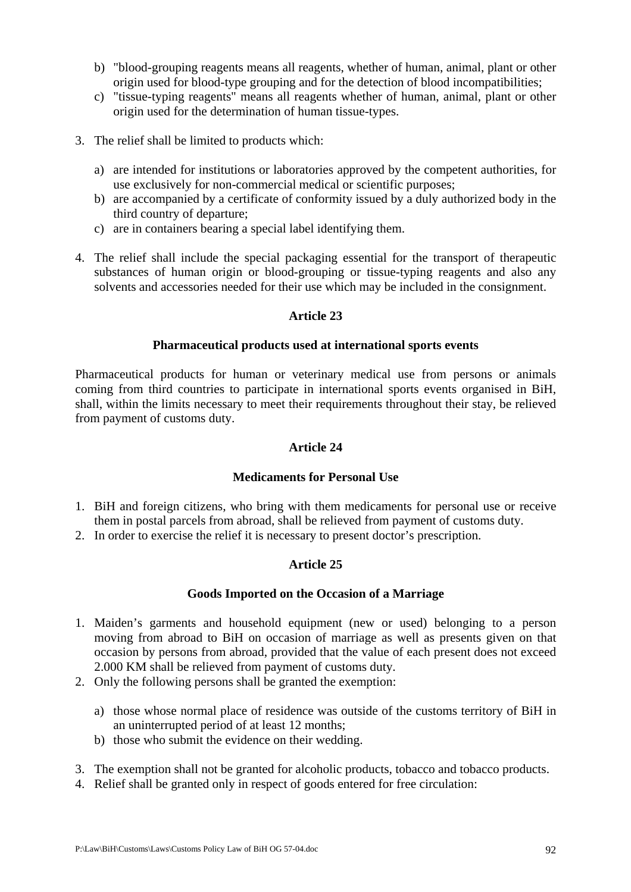- b) "blood-grouping reagents means all reagents, whether of human, animal, plant or other origin used for blood-type grouping and for the detection of blood incompatibilities;
- c) "tissue-typing reagents" means all reagents whether of human, animal, plant or other origin used for the determination of human tissue-types.
- 3. The relief shall be limited to products which:
	- a) are intended for institutions or laboratories approved by the competent authorities, for use exclusively for non-commercial medical or scientific purposes;
	- b) are accompanied by a certificate of conformity issued by a duly authorized body in the third country of departure;
	- c) are in containers bearing a special label identifying them.
- 4. The relief shall include the special packaging essential for the transport of therapeutic substances of human origin or blood-grouping or tissue-typing reagents and also any solvents and accessories needed for their use which may be included in the consignment.

#### **Pharmaceutical products used at international sports events**

Pharmaceutical products for human or veterinary medical use from persons or animals coming from third countries to participate in international sports events organised in BiH, shall, within the limits necessary to meet their requirements throughout their stay, be relieved from payment of customs duty.

### **Article 24**

#### **Medicaments for Personal Use**

- 1. BiH and foreign citizens, who bring with them medicaments for personal use or receive them in postal parcels from abroad, shall be relieved from payment of customs duty.
- 2. In order to exercise the relief it is necessary to present doctor's prescription.

# **Article 25**

#### **Goods Imported on the Occasion of a Marriage**

- 1. Maiden's garments and household equipment (new or used) belonging to a person moving from abroad to BiH on occasion of marriage as well as presents given on that occasion by persons from abroad, provided that the value of each present does not exceed 2.000 KM shall be relieved from payment of customs duty.
- 2. Only the following persons shall be granted the exemption:
	- a) those whose normal place of residence was outside of the customs territory of BiH in an uninterrupted period of at least 12 months;
	- b) those who submit the evidence on their wedding.
- 3. The exemption shall not be granted for alcoholic products, tobacco and tobacco products.
- 4. Relief shall be granted only in respect of goods entered for free circulation: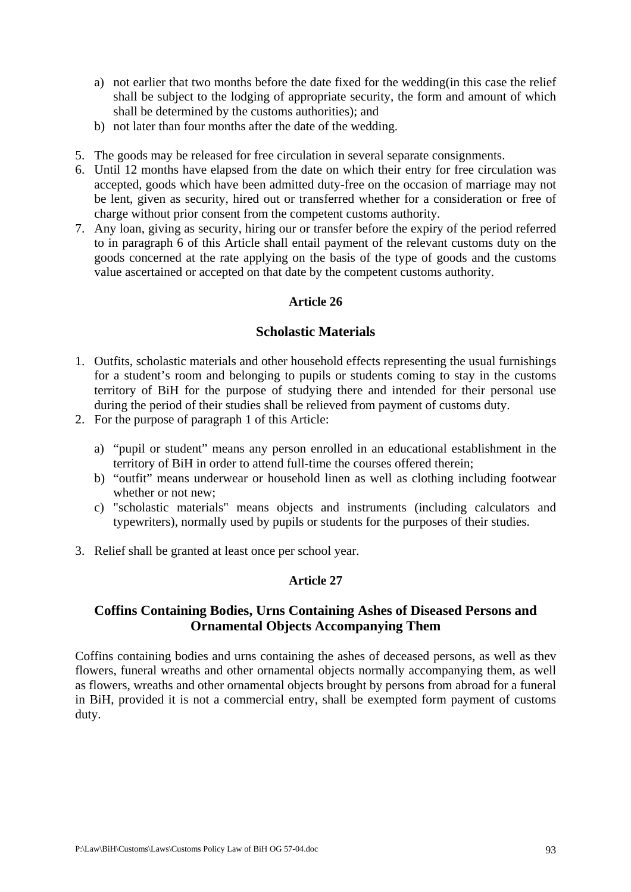- a) not earlier that two months before the date fixed for the wedding(in this case the relief shall be subject to the lodging of appropriate security, the form and amount of which shall be determined by the customs authorities); and
- b) not later than four months after the date of the wedding.
- 5. The goods may be released for free circulation in several separate consignments.
- 6. Until 12 months have elapsed from the date on which their entry for free circulation was accepted, goods which have been admitted duty-free on the occasion of marriage may not be lent, given as security, hired out or transferred whether for a consideration or free of charge without prior consent from the competent customs authority.
- 7. Any loan, giving as security, hiring our or transfer before the expiry of the period referred to in paragraph 6 of this Article shall entail payment of the relevant customs duty on the goods concerned at the rate applying on the basis of the type of goods and the customs value ascertained or accepted on that date by the competent customs authority.

# **Scholastic Materials**

- 1. Outfits, scholastic materials and other household effects representing the usual furnishings for a student's room and belonging to pupils or students coming to stay in the customs territory of BiH for the purpose of studying there and intended for their personal use during the period of their studies shall be relieved from payment of customs duty.
- 2. For the purpose of paragraph 1 of this Article:
	- a) "pupil or student" means any person enrolled in an educational establishment in the territory of BiH in order to attend full-time the courses offered therein;
	- b) "outfit" means underwear or household linen as well as clothing including footwear whether or not new;
	- c) "scholastic materials" means objects and instruments (including calculators and typewriters), normally used by pupils or students for the purposes of their studies.
- 3. Relief shall be granted at least once per school year.

# **Article 27**

# **Coffins Containing Bodies, Urns Containing Ashes of Diseased Persons and Ornamental Objects Accompanying Them**

Coffins containing bodies and urns containing the ashes of deceased persons, as well as thev flowers, funeral wreaths and other ornamental objects normally accompanying them, as well as flowers, wreaths and other ornamental objects brought by persons from abroad for a funeral in BiH, provided it is not a commercial entry, shall be exempted form payment of customs duty.